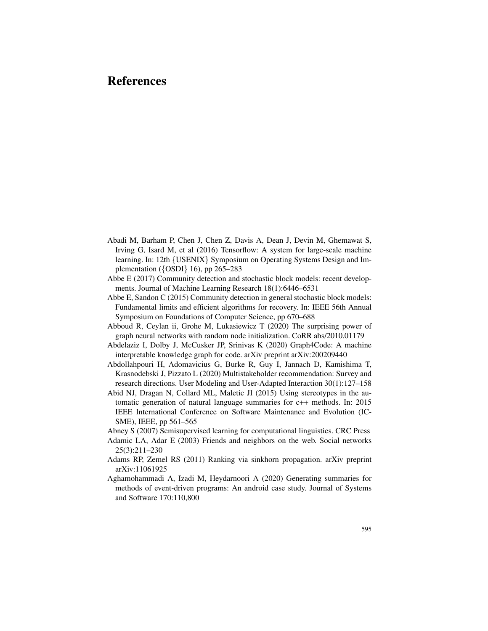- Abadi M, Barham P, Chen J, Chen Z, Davis A, Dean J, Devin M, Ghemawat S, Irving G, Isard M, et al (2016) Tensorflow: A system for large-scale machine learning. In: 12th *{*USENIX*}* Symposium on Operating Systems Design and Implementation (*{*OSDI*}* 16), pp 265–283
- Abbe E (2017) Community detection and stochastic block models: recent developments. Journal of Machine Learning Research 18(1):6446–6531
- Abbe E, Sandon C (2015) Community detection in general stochastic block models: Fundamental limits and efficient algorithms for recovery. In: IEEE 56th Annual Symposium on Foundations of Computer Science, pp 670–688
- Abboud R, Ceylan ii, Grohe M, Lukasiewicz T (2020) The surprising power of graph neural networks with random node initialization. CoRR abs/2010.01179
- Abdelaziz I, Dolby J, McCusker JP, Srinivas K (2020) Graph4Code: A machine interpretable knowledge graph for code. arXiv preprint arXiv:200209440
- Abdollahpouri H, Adomavicius G, Burke R, Guy I, Jannach D, Kamishima T, Krasnodebski J, Pizzato L (2020) Multistakeholder recommendation: Survey and research directions. User Modeling and User-Adapted Interaction 30(1):127–158
- Abid NJ, Dragan N, Collard ML, Maletic JI (2015) Using stereotypes in the automatic generation of natural language summaries for c++ methods. In: 2015 IEEE International Conference on Software Maintenance and Evolution (IC-SME), IEEE, pp 561–565
- Abney S (2007) Semisupervised learning for computational linguistics. CRC Press
- Adamic LA, Adar E (2003) Friends and neighbors on the web. Social networks 25(3):211–230
- Adams RP, Zemel RS (2011) Ranking via sinkhorn propagation. arXiv preprint arXiv:11061925
- Aghamohammadi A, Izadi M, Heydarnoori A (2020) Generating summaries for methods of event-driven programs: An android case study. Journal of Systems and Software 170:110,800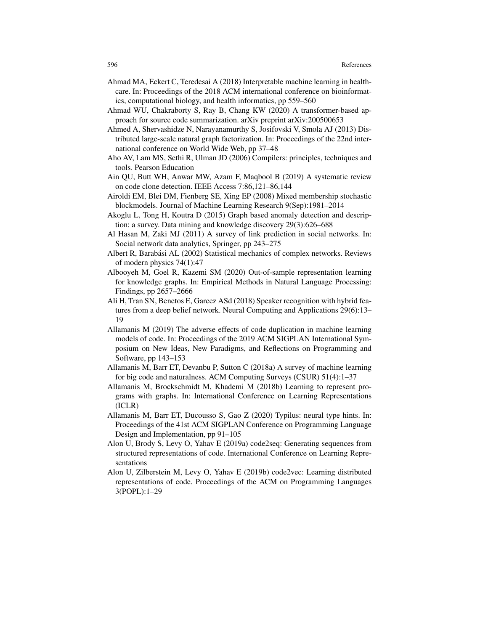- Ahmad MA, Eckert C, Teredesai A (2018) Interpretable machine learning in healthcare. In: Proceedings of the 2018 ACM international conference on bioinformatics, computational biology, and health informatics, pp 559–560
- Ahmad WU, Chakraborty S, Ray B, Chang KW (2020) A transformer-based approach for source code summarization. arXiv preprint arXiv:200500653
- Ahmed A, Shervashidze N, Narayanamurthy S, Josifovski V, Smola AJ (2013) Distributed large-scale natural graph factorization. In: Proceedings of the 22nd international conference on World Wide Web, pp 37–48
- Aho AV, Lam MS, Sethi R, Ulman JD (2006) Compilers: principles, techniques and tools. Pearson Education
- Ain QU, Butt WH, Anwar MW, Azam F, Maqbool B (2019) A systematic review on code clone detection. IEEE Access 7:86,121–86,144
- Airoldi EM, Blei DM, Fienberg SE, Xing EP (2008) Mixed membership stochastic blockmodels. Journal of Machine Learning Research 9(Sep):1981–2014
- Akoglu L, Tong H, Koutra D (2015) Graph based anomaly detection and description: a survey. Data mining and knowledge discovery 29(3):626–688
- Al Hasan M, Zaki MJ (2011) A survey of link prediction in social networks. In: Social network data analytics, Springer, pp 243–275
- Albert R, Barabási AL (2002) Statistical mechanics of complex networks. Reviews of modern physics 74(1):47
- Albooyeh M, Goel R, Kazemi SM (2020) Out-of-sample representation learning for knowledge graphs. In: Empirical Methods in Natural Language Processing: Findings, pp 2657–2666
- Ali H, Tran SN, Benetos E, Garcez ASd (2018) Speaker recognition with hybrid features from a deep belief network. Neural Computing and Applications 29(6):13– 19
- Allamanis M (2019) The adverse effects of code duplication in machine learning models of code. In: Proceedings of the 2019 ACM SIGPLAN International Symposium on New Ideas, New Paradigms, and Reflections on Programming and Software, pp 143–153
- Allamanis M, Barr ET, Devanbu P, Sutton C (2018a) A survey of machine learning for big code and naturalness. ACM Computing Surveys (CSUR) 51(4):1–37
- Allamanis M, Brockschmidt M, Khademi M (2018b) Learning to represent programs with graphs. In: International Conference on Learning Representations (ICLR)
- Allamanis M, Barr ET, Ducousso S, Gao Z (2020) Typilus: neural type hints. In: Proceedings of the 41st ACM SIGPLAN Conference on Programming Language Design and Implementation, pp 91–105
- Alon U, Brody S, Levy O, Yahav E (2019a) code2seq: Generating sequences from structured representations of code. International Conference on Learning Representations
- Alon U, Zilberstein M, Levy O, Yahav E (2019b) code2vec: Learning distributed representations of code. Proceedings of the ACM on Programming Languages 3(POPL):1–29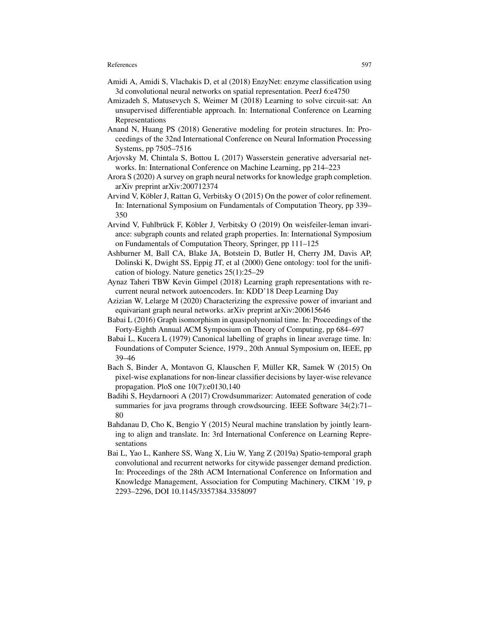- Amidi A, Amidi S, Vlachakis D, et al (2018) EnzyNet: enzyme classification using 3d convolutional neural networks on spatial representation. PeerJ 6:e4750
- Amizadeh S, Matusevych S, Weimer M (2018) Learning to solve circuit-sat: An unsupervised differentiable approach. In: International Conference on Learning Representations
- Anand N, Huang PS (2018) Generative modeling for protein structures. In: Proceedings of the 32nd International Conference on Neural Information Processing Systems, pp 7505–7516
- Arjovsky M, Chintala S, Bottou L (2017) Wasserstein generative adversarial networks. In: International Conference on Machine Learning, pp 214–223
- Arora S (2020) A survey on graph neural networks for knowledge graph completion. arXiv preprint arXiv:200712374
- Arvind V, Köbler J, Rattan G, Verbitsky O (2015) On the power of color refinement. In: International Symposium on Fundamentals of Computation Theory, pp 339– 350
- Arvind V, Fuhlbrück F, Köbler J, Verbitsky O  $(2019)$  On weisfeiler-leman invariance: subgraph counts and related graph properties. In: International Symposium on Fundamentals of Computation Theory, Springer, pp 111–125
- Ashburner M, Ball CA, Blake JA, Botstein D, Butler H, Cherry JM, Davis AP, Dolinski K, Dwight SS, Eppig JT, et al (2000) Gene ontology: tool for the unification of biology. Nature genetics 25(1):25–29
- Aynaz Taheri TBW Kevin Gimpel (2018) Learning graph representations with recurrent neural network autoencoders. In: KDD'18 Deep Learning Day
- Azizian W, Lelarge M (2020) Characterizing the expressive power of invariant and equivariant graph neural networks. arXiv preprint arXiv:200615646
- Babai L (2016) Graph isomorphism in quasipolynomial time. In: Proceedings of the Forty-Eighth Annual ACM Symposium on Theory of Computing, pp 684–697
- Babai L, Kucera L (1979) Canonical labelling of graphs in linear average time. In: Foundations of Computer Science, 1979., 20th Annual Symposium on, IEEE, pp 39–46
- Bach S, Binder A, Montavon G, Klauschen F, Müller KR, Samek W (2015) On pixel-wise explanations for non-linear classifier decisions by layer-wise relevance propagation. PloS one 10(7):e0130,140
- Badihi S, Heydarnoori A (2017) Crowdsummarizer: Automated generation of code summaries for java programs through crowdsourcing. IEEE Software 34(2):71– 80
- Bahdanau D, Cho K, Bengio Y (2015) Neural machine translation by jointly learning to align and translate. In: 3rd International Conference on Learning Representations
- Bai L, Yao L, Kanhere SS, Wang X, Liu W, Yang Z (2019a) Spatio-temporal graph convolutional and recurrent networks for citywide passenger demand prediction. In: Proceedings of the 28th ACM International Conference on Information and Knowledge Management, Association for Computing Machinery, CIKM '19, p 2293–2296, DOI 10.1145/3357384.3358097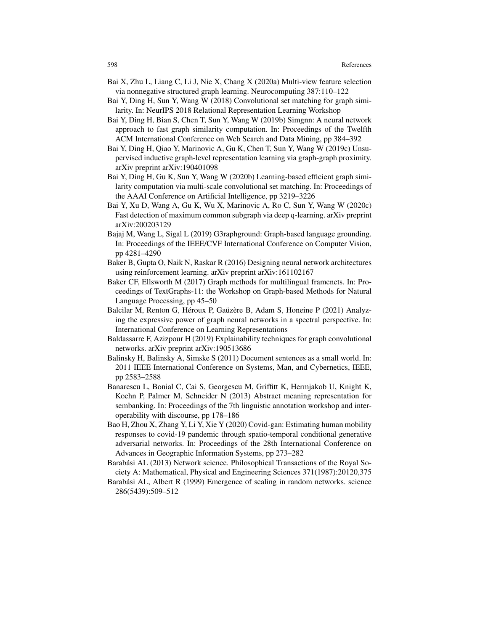- Bai X, Zhu L, Liang C, Li J, Nie X, Chang X (2020a) Multi-view feature selection via nonnegative structured graph learning. Neurocomputing 387:110–122
- Bai Y, Ding H, Sun Y, Wang W (2018) Convolutional set matching for graph similarity. In: NeurIPS 2018 Relational Representation Learning Workshop
- Bai Y, Ding H, Bian S, Chen T, Sun Y, Wang W (2019b) Simgnn: A neural network approach to fast graph similarity computation. In: Proceedings of the Twelfth ACM International Conference on Web Search and Data Mining, pp 384–392
- Bai Y, Ding H, Qiao Y, Marinovic A, Gu K, Chen T, Sun Y, Wang W (2019c) Unsupervised inductive graph-level representation learning via graph-graph proximity. arXiv preprint arXiv:190401098
- Bai Y, Ding H, Gu K, Sun Y, Wang W (2020b) Learning-based efficient graph similarity computation via multi-scale convolutional set matching. In: Proceedings of the AAAI Conference on Artificial Intelligence, pp 3219–3226
- Bai Y, Xu D, Wang A, Gu K, Wu X, Marinovic A, Ro C, Sun Y, Wang W (2020c) Fast detection of maximum common subgraph via deep q-learning. arXiv preprint arXiv:200203129
- Bajaj M, Wang L, Sigal L (2019) G3raphground: Graph-based language grounding. In: Proceedings of the IEEE/CVF International Conference on Computer Vision, pp 4281–4290
- Baker B, Gupta O, Naik N, Raskar R (2016) Designing neural network architectures using reinforcement learning. arXiv preprint arXiv:161102167
- Baker CF, Ellsworth M (2017) Graph methods for multilingual framenets. In: Proceedings of TextGraphs-11: the Workshop on Graph-based Methods for Natural Language Processing, pp 45–50
- Balcilar M, Renton G, Héroux P, Gaüzère B, Adam S, Honeine P (2021) Analyzing the expressive power of graph neural networks in a spectral perspective. In: International Conference on Learning Representations
- Baldassarre F, Azizpour H (2019) Explainability techniques for graph convolutional networks. arXiv preprint arXiv:190513686
- Balinsky H, Balinsky A, Simske S (2011) Document sentences as a small world. In: 2011 IEEE International Conference on Systems, Man, and Cybernetics, IEEE, pp 2583–2588
- Banarescu L, Bonial C, Cai S, Georgescu M, Griffitt K, Hermjakob U, Knight K, Koehn P, Palmer M, Schneider N (2013) Abstract meaning representation for sembanking. In: Proceedings of the 7th linguistic annotation workshop and interoperability with discourse, pp 178–186
- Bao H, Zhou X, Zhang Y, Li Y, Xie Y (2020) Covid-gan: Estimating human mobility responses to covid-19 pandemic through spatio-temporal conditional generative adversarial networks. In: Proceedings of the 28th International Conference on Advances in Geographic Information Systems, pp 273–282
- Barabási AL (2013) Network science. Philosophical Transactions of the Royal Society A: Mathematical, Physical and Engineering Sciences 371(1987):20120,375
- Barabási AL, Albert R (1999) Emergence of scaling in random networks. science 286(5439):509–512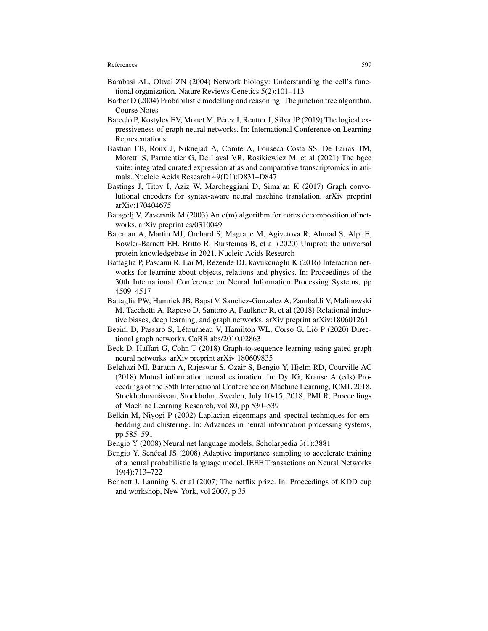- Barabasi AL, Oltvai ZN (2004) Network biology: Understanding the cell's functional organization. Nature Reviews Genetics 5(2):101–113
- Barber D (2004) Probabilistic modelling and reasoning: The junction tree algorithm. Course Notes
- Barceló P, Kostylev EV, Monet M, Pérez J, Reutter J, Silva JP (2019) The logical expressiveness of graph neural networks. In: International Conference on Learning Representations
- Bastian FB, Roux J, Niknejad A, Comte A, Fonseca Costa SS, De Farias TM, Moretti S, Parmentier G, De Laval VR, Rosikiewicz M, et al (2021) The bgee suite: integrated curated expression atlas and comparative transcriptomics in animals. Nucleic Acids Research 49(D1):D831–D847
- Bastings J, Titov I, Aziz W, Marcheggiani D, Sima'an K (2017) Graph convolutional encoders for syntax-aware neural machine translation. arXiv preprint arXiv:170404675
- Batagelj V, Zaversnik M (2003) An o(m) algorithm for cores decomposition of networks. arXiv preprint cs/0310049
- Bateman A, Martin MJ, Orchard S, Magrane M, Agivetova R, Ahmad S, Alpi E, Bowler-Barnett EH, Britto R, Bursteinas B, et al (2020) Uniprot: the universal protein knowledgebase in 2021. Nucleic Acids Research
- Battaglia P, Pascanu R, Lai M, Rezende DJ, kavukcuoglu K (2016) Interaction networks for learning about objects, relations and physics. In: Proceedings of the 30th International Conference on Neural Information Processing Systems, pp 4509–4517
- Battaglia PW, Hamrick JB, Bapst V, Sanchez-Gonzalez A, Zambaldi V, Malinowski M, Tacchetti A, Raposo D, Santoro A, Faulkner R, et al (2018) Relational inductive biases, deep learning, and graph networks. arXiv preprint arXiv:180601261
- Beaini D, Passaro S, Létourneau V, Hamilton WL, Corso G, Liò P (2020) Directional graph networks. CoRR abs/2010.02863
- Beck D, Haffari G, Cohn T (2018) Graph-to-sequence learning using gated graph neural networks. arXiv preprint arXiv:180609835
- Belghazi MI, Baratin A, Rajeswar S, Ozair S, Bengio Y, Hjelm RD, Courville AC (2018) Mutual information neural estimation. In: Dy JG, Krause A (eds) Proceedings of the 35th International Conference on Machine Learning, ICML 2018, Stockholmsmässan, Stockholm, Sweden, July 10-15, 2018, PMLR, Proceedings of Machine Learning Research, vol 80, pp 530–539
- Belkin M, Niyogi P (2002) Laplacian eigenmaps and spectral techniques for embedding and clustering. In: Advances in neural information processing systems, pp 585–591
- Bengio Y (2008) Neural net language models. Scholarpedia 3(1):3881
- Bengio Y, Senécal JS (2008) Adaptive importance sampling to accelerate training of a neural probabilistic language model. IEEE Transactions on Neural Networks 19(4):713–722
- Bennett J, Lanning S, et al (2007) The netflix prize. In: Proceedings of KDD cup and workshop, New York, vol 2007, p 35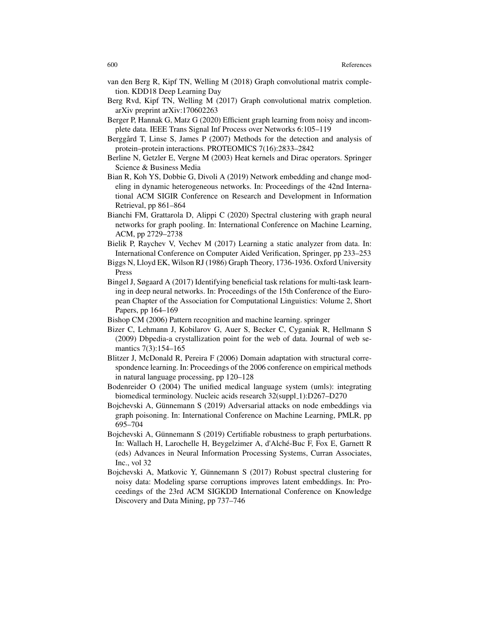- van den Berg R, Kipf TN, Welling M (2018) Graph convolutional matrix completion. KDD18 Deep Learning Day
- Berg Rvd, Kipf TN, Welling M (2017) Graph convolutional matrix completion. arXiv preprint arXiv:170602263
- Berger P, Hannak G, Matz G (2020) Efficient graph learning from noisy and incomplete data. IEEE Trans Signal Inf Process over Networks 6:105–119
- Berggård T, Linse S, James P (2007) Methods for the detection and analysis of protein–protein interactions. PROTEOMICS 7(16):2833–2842
- Berline N, Getzler E, Vergne M (2003) Heat kernels and Dirac operators. Springer Science & Business Media
- Bian R, Koh YS, Dobbie G, Divoli A (2019) Network embedding and change modeling in dynamic heterogeneous networks. In: Proceedings of the 42nd International ACM SIGIR Conference on Research and Development in Information Retrieval, pp 861–864
- Bianchi FM, Grattarola D, Alippi C (2020) Spectral clustering with graph neural networks for graph pooling. In: International Conference on Machine Learning, ACM, pp 2729–2738
- Bielik P, Raychev V, Vechev M (2017) Learning a static analyzer from data. In: International Conference on Computer Aided Verification, Springer, pp 233–253
- Biggs N, Lloyd EK, Wilson RJ (1986) Graph Theory, 1736-1936. Oxford University Press
- Bingel J, Søgaard A (2017) Identifying beneficial task relations for multi-task learning in deep neural networks. In: Proceedings of the 15th Conference of the European Chapter of the Association for Computational Linguistics: Volume 2, Short Papers, pp 164–169
- Bishop CM (2006) Pattern recognition and machine learning. springer
- Bizer C, Lehmann J, Kobilarov G, Auer S, Becker C, Cyganiak R, Hellmann S (2009) Dbpedia-a crystallization point for the web of data. Journal of web semantics 7(3):154–165
- Blitzer J, McDonald R, Pereira F (2006) Domain adaptation with structural correspondence learning. In: Proceedings of the 2006 conference on empirical methods in natural language processing, pp 120–128
- Bodenreider O (2004) The unified medical language system (umls): integrating biomedical terminology. Nucleic acids research 32(suppl\_1):D267-D270
- Bojchevski A, Gunnemann S (2019) Adversarial attacks on node embeddings via ¨ graph poisoning. In: International Conference on Machine Learning, PMLR, pp 695–704
- Bojchevski A, Günnemann S (2019) Certifiable robustness to graph perturbations. In: Wallach H, Larochelle H, Beygelzimer A, d'Alché-Buc F, Fox E, Garnett R (eds) Advances in Neural Information Processing Systems, Curran Associates, Inc., vol 32
- Bojchevski A, Matkovic Y, Günnemann S (2017) Robust spectral clustering for noisy data: Modeling sparse corruptions improves latent embeddings. In: Proceedings of the 23rd ACM SIGKDD International Conference on Knowledge Discovery and Data Mining, pp 737–746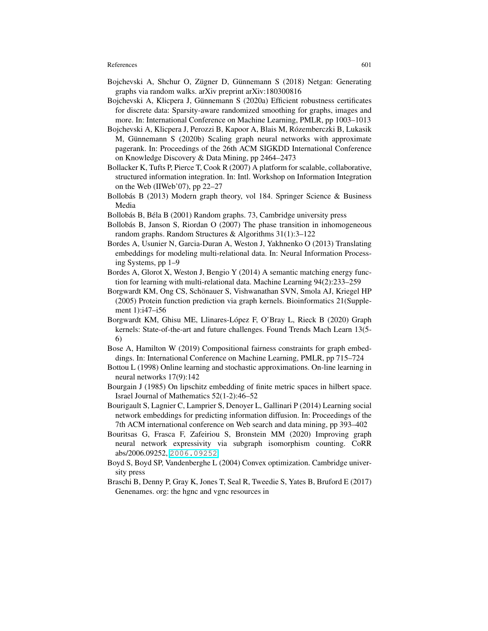- Bojchevski A, Shchur O, Zügner D, Günnemann S (2018) Netgan: Generating graphs via random walks. arXiv preprint arXiv:180300816
- Bojchevski A, Klicpera J, Günnemann S (2020a) Efficient robustness certificates for discrete data: Sparsity-aware randomized smoothing for graphs, images and more. In: International Conference on Machine Learning, PMLR, pp 1003–1013
- Bojchevski A, Klicpera J, Perozzi B, Kapoor A, Blais M, Rozemberczki B, Lukasik ´ M, Günnemann S (2020b) Scaling graph neural networks with approximate pagerank. In: Proceedings of the 26th ACM SIGKDD International Conference on Knowledge Discovery & Data Mining, pp 2464–2473
- Bollacker K, Tufts P, Pierce T, Cook R (2007) A platform for scalable, collaborative, structured information integration. In: Intl. Workshop on Information Integration on the Web (IIWeb'07), pp 22–27
- Bollobás B (2013) Modern graph theory, vol 184. Springer Science  $\&$  Business Media
- Bollobás B, Béla B (2001) Random graphs. 73, Cambridge university press
- Bollobás B, Janson S, Riordan O (2007) The phase transition in inhomogeneous random graphs. Random Structures & Algorithms 31(1):3–122
- Bordes A, Usunier N, Garcia-Duran A, Weston J, Yakhnenko O (2013) Translating embeddings for modeling multi-relational data. In: Neural Information Processing Systems, pp 1–9
- Bordes A, Glorot X, Weston J, Bengio Y (2014) A semantic matching energy function for learning with multi-relational data. Machine Learning 94(2):233–259
- Borgwardt KM, Ong CS, Schonauer S, Vishwanathan SVN, Smola AJ, Kriegel HP ¨ (2005) Protein function prediction via graph kernels. Bioinformatics 21(Supplement 1):i47–i56
- Borgwardt KM, Ghisu ME, Llinares-Lopez F, O'Bray L, Rieck B (2020) Graph ´ kernels: State-of-the-art and future challenges. Found Trends Mach Learn 13(5- 6)
- Bose A, Hamilton W (2019) Compositional fairness constraints for graph embeddings. In: International Conference on Machine Learning, PMLR, pp 715–724
- Bottou L (1998) Online learning and stochastic approximations. On-line learning in neural networks 17(9):142
- Bourgain J (1985) On lipschitz embedding of finite metric spaces in hilbert space. Israel Journal of Mathematics 52(1-2):46–52
- Bourigault S, Lagnier C, Lamprier S, Denoyer L, Gallinari P (2014) Learning social network embeddings for predicting information diffusion. In: Proceedings of the 7th ACM international conference on Web search and data mining, pp 393–402
- Bouritsas G, Frasca F, Zafeiriou S, Bronstein MM (2020) Improving graph neural network expressivity via subgraph isomorphism counting. CoRR abs/2006.09252, <2006.09252>
- Boyd S, Boyd SP, Vandenberghe L (2004) Convex optimization. Cambridge university press
- Braschi B, Denny P, Gray K, Jones T, Seal R, Tweedie S, Yates B, Bruford E (2017) Genenames. org: the hgnc and vgnc resources in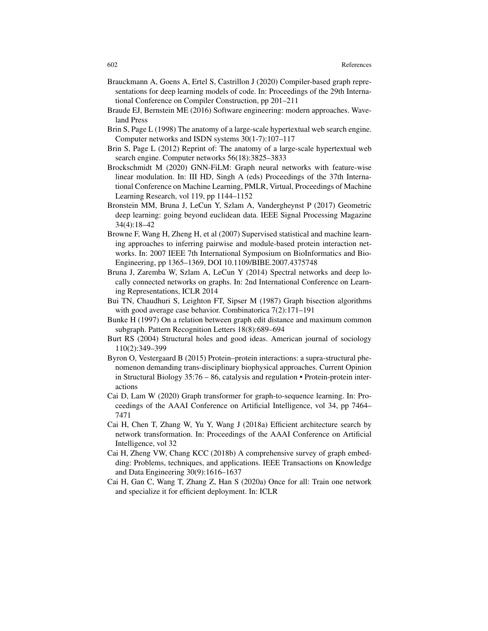- Brauckmann A, Goens A, Ertel S, Castrillon J (2020) Compiler-based graph representations for deep learning models of code. In: Proceedings of the 29th International Conference on Compiler Construction, pp 201–211
- Braude EJ, Bernstein ME (2016) Software engineering: modern approaches. Waveland Press
- Brin S, Page L (1998) The anatomy of a large-scale hypertextual web search engine. Computer networks and ISDN systems 30(1-7):107–117
- Brin S, Page L (2012) Reprint of: The anatomy of a large-scale hypertextual web search engine. Computer networks 56(18):3825–3833
- Brockschmidt M (2020) GNN-FiLM: Graph neural networks with feature-wise linear modulation. In: III HD, Singh A (eds) Proceedings of the 37th International Conference on Machine Learning, PMLR, Virtual, Proceedings of Machine Learning Research, vol 119, pp 1144–1152
- Bronstein MM, Bruna J, LeCun Y, Szlam A, Vandergheynst P (2017) Geometric deep learning: going beyond euclidean data. IEEE Signal Processing Magazine 34(4):18–42
- Browne F, Wang H, Zheng H, et al (2007) Supervised statistical and machine learning approaches to inferring pairwise and module-based protein interaction networks. In: 2007 IEEE 7th International Symposium on BioInformatics and Bio-Engineering, pp 1365–1369, DOI 10.1109/BIBE.2007.4375748
- Bruna J, Zaremba W, Szlam A, LeCun Y (2014) Spectral networks and deep locally connected networks on graphs. In: 2nd International Conference on Learning Representations, ICLR 2014
- Bui TN, Chaudhuri S, Leighton FT, Sipser M (1987) Graph bisection algorithms with good average case behavior. Combinatorica 7(2):171–191
- Bunke H (1997) On a relation between graph edit distance and maximum common subgraph. Pattern Recognition Letters 18(8):689–694
- Burt RS (2004) Structural holes and good ideas. American journal of sociology 110(2):349–399
- Byron O, Vestergaard B (2015) Protein–protein interactions: a supra-structural phenomenon demanding trans-disciplinary biophysical approaches. Current Opinion in Structural Biology 35:76 – 86, catalysis and regulation • Protein-protein interactions
- Cai D, Lam W (2020) Graph transformer for graph-to-sequence learning. In: Proceedings of the AAAI Conference on Artificial Intelligence, vol 34, pp 7464– 7471
- Cai H, Chen T, Zhang W, Yu Y, Wang J (2018a) Efficient architecture search by network transformation. In: Proceedings of the AAAI Conference on Artificial Intelligence, vol 32
- Cai H, Zheng VW, Chang KCC (2018b) A comprehensive survey of graph embedding: Problems, techniques, and applications. IEEE Transactions on Knowledge and Data Engineering 30(9):1616–1637
- Cai H, Gan C, Wang T, Zhang Z, Han S (2020a) Once for all: Train one network and specialize it for efficient deployment. In: ICLR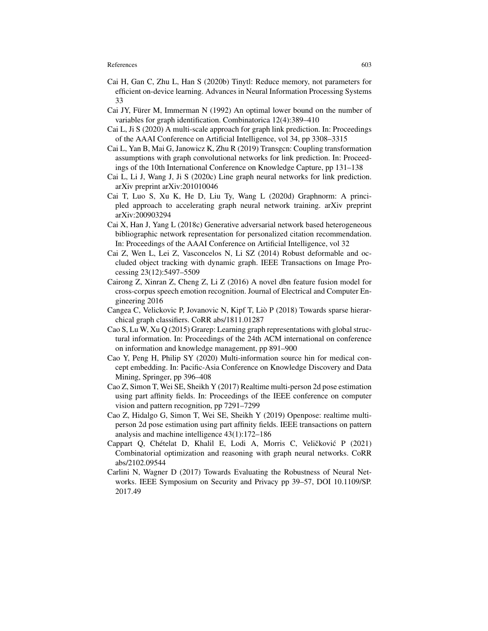- Cai H, Gan C, Zhu L, Han S (2020b) Tinytl: Reduce memory, not parameters for efficient on-device learning. Advances in Neural Information Processing Systems 33
- Cai JY, Fürer M, Immerman N  $(1992)$  An optimal lower bound on the number of variables for graph identification. Combinatorica 12(4):389–410
- Cai L, Ji S (2020) A multi-scale approach for graph link prediction. In: Proceedings of the AAAI Conference on Artificial Intelligence, vol 34, pp 3308–3315
- Cai L, Yan B, Mai G, Janowicz K, Zhu R (2019) Transgcn: Coupling transformation assumptions with graph convolutional networks for link prediction. In: Proceedings of the 10th International Conference on Knowledge Capture, pp 131–138
- Cai L, Li J, Wang J, Ji S (2020c) Line graph neural networks for link prediction. arXiv preprint arXiv:201010046
- Cai T, Luo S, Xu K, He D, Liu Ty, Wang L (2020d) Graphnorm: A principled approach to accelerating graph neural network training. arXiv preprint arXiv:200903294
- Cai X, Han J, Yang L (2018c) Generative adversarial network based heterogeneous bibliographic network representation for personalized citation recommendation. In: Proceedings of the AAAI Conference on Artificial Intelligence, vol 32
- Cai Z, Wen L, Lei Z, Vasconcelos N, Li SZ (2014) Robust deformable and occluded object tracking with dynamic graph. IEEE Transactions on Image Processing 23(12):5497–5509
- Cairong Z, Xinran Z, Cheng Z, Li Z (2016) A novel dbn feature fusion model for cross-corpus speech emotion recognition. Journal of Electrical and Computer Engineering 2016
- Cangea C, Velickovic P, Jovanovic N, Kipf T, Lio P (2018) Towards sparse hierar- ` chical graph classifiers. CoRR abs/1811.01287
- Cao S, Lu W, Xu Q (2015) Grarep: Learning graph representations with global structural information. In: Proceedings of the 24th ACM international on conference on information and knowledge management, pp 891–900
- Cao Y, Peng H, Philip SY (2020) Multi-information source hin for medical concept embedding. In: Pacific-Asia Conference on Knowledge Discovery and Data Mining, Springer, pp 396–408
- Cao Z, Simon T, Wei SE, Sheikh Y (2017) Realtime multi-person 2d pose estimation using part affinity fields. In: Proceedings of the IEEE conference on computer vision and pattern recognition, pp 7291–7299
- Cao Z, Hidalgo G, Simon T, Wei SE, Sheikh Y (2019) Openpose: realtime multiperson 2d pose estimation using part affinity fields. IEEE transactions on pattern analysis and machine intelligence 43(1):172–186
- Cappart Q, Chételat D, Khalil E, Lodi A, Morris C, Veličković P (2021) Combinatorial optimization and reasoning with graph neural networks. CoRR abs/2102.09544
- Carlini N, Wagner D (2017) Towards Evaluating the Robustness of Neural Networks. IEEE Symposium on Security and Privacy pp 39–57, DOI 10.1109/SP. 2017.49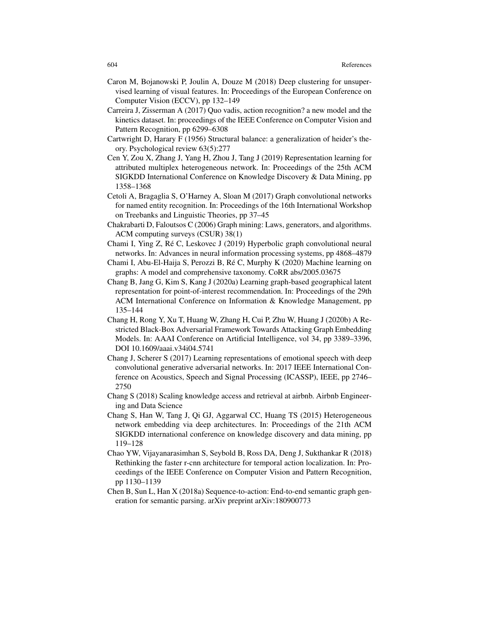- Caron M, Bojanowski P, Joulin A, Douze M (2018) Deep clustering for unsupervised learning of visual features. In: Proceedings of the European Conference on Computer Vision (ECCV), pp 132–149
- Carreira J, Zisserman A (2017) Quo vadis, action recognition? a new model and the kinetics dataset. In: proceedings of the IEEE Conference on Computer Vision and Pattern Recognition, pp 6299–6308
- Cartwright D, Harary F (1956) Structural balance: a generalization of heider's theory. Psychological review 63(5):277
- Cen Y, Zou X, Zhang J, Yang H, Zhou J, Tang J (2019) Representation learning for attributed multiplex heterogeneous network. In: Proceedings of the 25th ACM SIGKDD International Conference on Knowledge Discovery & Data Mining, pp 1358–1368
- Cetoli A, Bragaglia S, O'Harney A, Sloan M (2017) Graph convolutional networks for named entity recognition. In: Proceedings of the 16th International Workshop on Treebanks and Linguistic Theories, pp 37–45
- Chakrabarti D, Faloutsos C (2006) Graph mining: Laws, generators, and algorithms. ACM computing surveys (CSUR) 38(1)
- Chami I, Ying Z, Re C, Leskovec J (2019) Hyperbolic graph convolutional neural ´ networks. In: Advances in neural information processing systems, pp 4868–4879
- Chami I, Abu-El-Haija S, Perozzi B, Ré C, Murphy K (2020) Machine learning on graphs: A model and comprehensive taxonomy. CoRR abs/2005.03675
- Chang B, Jang G, Kim S, Kang J (2020a) Learning graph-based geographical latent representation for point-of-interest recommendation. In: Proceedings of the 29th ACM International Conference on Information & Knowledge Management, pp 135–144
- Chang H, Rong Y, Xu T, Huang W, Zhang H, Cui P, Zhu W, Huang J (2020b) A Restricted Black-Box Adversarial Framework Towards Attacking Graph Embedding Models. In: AAAI Conference on Artificial Intelligence, vol 34, pp 3389–3396, DOI 10.1609/aaai.v34i04.5741
- Chang J, Scherer S (2017) Learning representations of emotional speech with deep convolutional generative adversarial networks. In: 2017 IEEE International Conference on Acoustics, Speech and Signal Processing (ICASSP), IEEE, pp 2746– 2750
- Chang S (2018) Scaling knowledge access and retrieval at airbnb. Airbnb Engineering and Data Science
- Chang S, Han W, Tang J, Qi GJ, Aggarwal CC, Huang TS (2015) Heterogeneous network embedding via deep architectures. In: Proceedings of the 21th ACM SIGKDD international conference on knowledge discovery and data mining, pp 119–128
- Chao YW, Vijayanarasimhan S, Seybold B, Ross DA, Deng J, Sukthankar R (2018) Rethinking the faster r-cnn architecture for temporal action localization. In: Proceedings of the IEEE Conference on Computer Vision and Pattern Recognition, pp 1130–1139
- Chen B, Sun L, Han X (2018a) Sequence-to-action: End-to-end semantic graph generation for semantic parsing. arXiv preprint arXiv:180900773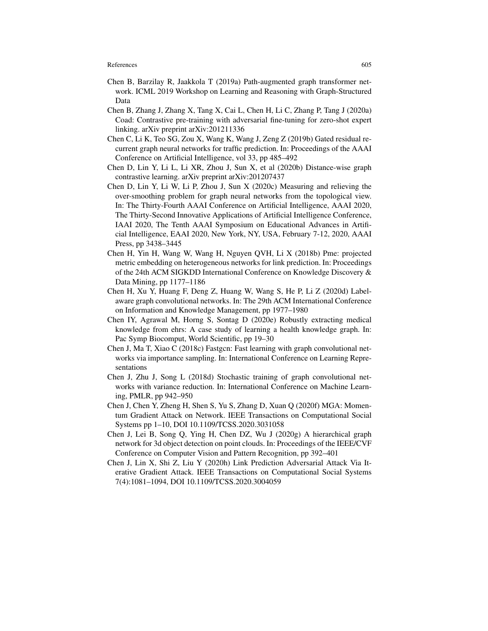- Chen B, Barzilay R, Jaakkola T (2019a) Path-augmented graph transformer network. ICML 2019 Workshop on Learning and Reasoning with Graph-Structured Data
- Chen B, Zhang J, Zhang X, Tang X, Cai L, Chen H, Li C, Zhang P, Tang J (2020a) Coad: Contrastive pre-training with adversarial fine-tuning for zero-shot expert linking. arXiv preprint arXiv:201211336
- Chen C, Li K, Teo SG, Zou X, Wang K, Wang J, Zeng Z (2019b) Gated residual recurrent graph neural networks for traffic prediction. In: Proceedings of the AAAI Conference on Artificial Intelligence, vol 33, pp 485–492
- Chen D, Lin Y, Li L, Li XR, Zhou J, Sun X, et al (2020b) Distance-wise graph contrastive learning. arXiv preprint arXiv:201207437
- Chen D, Lin Y, Li W, Li P, Zhou J, Sun X (2020c) Measuring and relieving the over-smoothing problem for graph neural networks from the topological view. In: The Thirty-Fourth AAAI Conference on Artificial Intelligence, AAAI 2020, The Thirty-Second Innovative Applications of Artificial Intelligence Conference, IAAI 2020, The Tenth AAAI Symposium on Educational Advances in Artificial Intelligence, EAAI 2020, New York, NY, USA, February 7-12, 2020, AAAI Press, pp 3438–3445
- Chen H, Yin H, Wang W, Wang H, Nguyen QVH, Li X (2018b) Pme: projected metric embedding on heterogeneous networks for link prediction. In: Proceedings of the 24th ACM SIGKDD International Conference on Knowledge Discovery & Data Mining, pp 1177–1186
- Chen H, Xu Y, Huang F, Deng Z, Huang W, Wang S, He P, Li Z (2020d) Labelaware graph convolutional networks. In: The 29th ACM International Conference on Information and Knowledge Management, pp 1977–1980
- Chen IY, Agrawal M, Horng S, Sontag D (2020e) Robustly extracting medical knowledge from ehrs: A case study of learning a health knowledge graph. In: Pac Symp Biocomput, World Scientific, pp 19–30
- Chen J, Ma T, Xiao C (2018c) Fastgcn: Fast learning with graph convolutional networks via importance sampling. In: International Conference on Learning Representations
- Chen J, Zhu J, Song L (2018d) Stochastic training of graph convolutional networks with variance reduction. In: International Conference on Machine Learning, PMLR, pp 942–950
- Chen J, Chen Y, Zheng H, Shen S, Yu S, Zhang D, Xuan Q (2020f) MGA: Momentum Gradient Attack on Network. IEEE Transactions on Computational Social Systems pp 1–10, DOI 10.1109/TCSS.2020.3031058
- Chen J, Lei B, Song Q, Ying H, Chen DZ, Wu J (2020g) A hierarchical graph network for 3d object detection on point clouds. In: Proceedings of the IEEE/CVF Conference on Computer Vision and Pattern Recognition, pp 392–401
- Chen J, Lin X, Shi Z, Liu Y (2020h) Link Prediction Adversarial Attack Via Iterative Gradient Attack. IEEE Transactions on Computational Social Systems 7(4):1081–1094, DOI 10.1109/TCSS.2020.3004059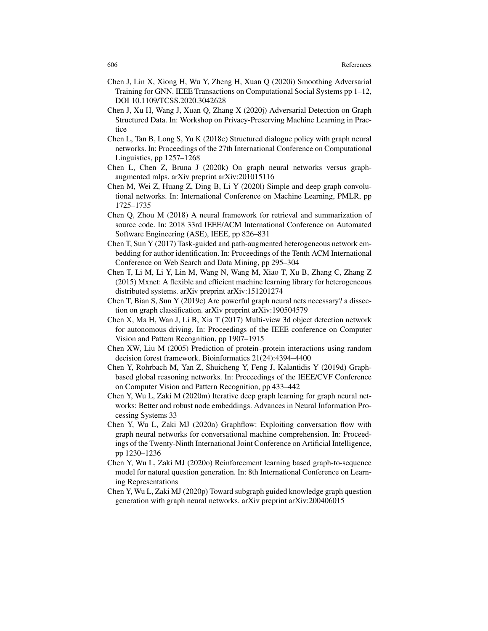- Chen J, Lin X, Xiong H, Wu Y, Zheng H, Xuan Q (2020i) Smoothing Adversarial Training for GNN. IEEE Transactions on Computational Social Systems pp 1–12, DOI 10.1109/TCSS.2020.3042628
- Chen J, Xu H, Wang J, Xuan Q, Zhang X (2020j) Adversarial Detection on Graph Structured Data. In: Workshop on Privacy-Preserving Machine Learning in Practice
- Chen L, Tan B, Long S, Yu K (2018e) Structured dialogue policy with graph neural networks. In: Proceedings of the 27th International Conference on Computational Linguistics, pp 1257–1268
- Chen L, Chen Z, Bruna J (2020k) On graph neural networks versus graphaugmented mlps. arXiv preprint arXiv:201015116
- Chen M, Wei Z, Huang Z, Ding B, Li Y (2020l) Simple and deep graph convolutional networks. In: International Conference on Machine Learning, PMLR, pp 1725–1735
- Chen Q, Zhou M (2018) A neural framework for retrieval and summarization of source code. In: 2018 33rd IEEE/ACM International Conference on Automated Software Engineering (ASE), IEEE, pp 826–831
- Chen T, Sun Y (2017) Task-guided and path-augmented heterogeneous network embedding for author identification. In: Proceedings of the Tenth ACM International Conference on Web Search and Data Mining, pp 295–304
- Chen T, Li M, Li Y, Lin M, Wang N, Wang M, Xiao T, Xu B, Zhang C, Zhang Z (2015) Mxnet: A flexible and efficient machine learning library for heterogeneous distributed systems. arXiv preprint arXiv:151201274
- Chen T, Bian S, Sun Y (2019c) Are powerful graph neural nets necessary? a dissection on graph classification. arXiv preprint arXiv:190504579
- Chen X, Ma H, Wan J, Li B, Xia T (2017) Multi-view 3d object detection network for autonomous driving. In: Proceedings of the IEEE conference on Computer Vision and Pattern Recognition, pp 1907–1915
- Chen XW, Liu M (2005) Prediction of protein–protein interactions using random decision forest framework. Bioinformatics 21(24):4394–4400
- Chen Y, Rohrbach M, Yan Z, Shuicheng Y, Feng J, Kalantidis Y (2019d) Graphbased global reasoning networks. In: Proceedings of the IEEE/CVF Conference on Computer Vision and Pattern Recognition, pp 433–442
- Chen Y, Wu L, Zaki M (2020m) Iterative deep graph learning for graph neural networks: Better and robust node embeddings. Advances in Neural Information Processing Systems 33
- Chen Y, Wu L, Zaki MJ (2020n) Graphflow: Exploiting conversation flow with graph neural networks for conversational machine comprehension. In: Proceedings of the Twenty-Ninth International Joint Conference on Artificial Intelligence, pp 1230–1236
- Chen Y, Wu L, Zaki MJ (2020o) Reinforcement learning based graph-to-sequence model for natural question generation. In: 8th International Conference on Learning Representations
- Chen Y, Wu L, Zaki MJ (2020p) Toward subgraph guided knowledge graph question generation with graph neural networks. arXiv preprint arXiv:200406015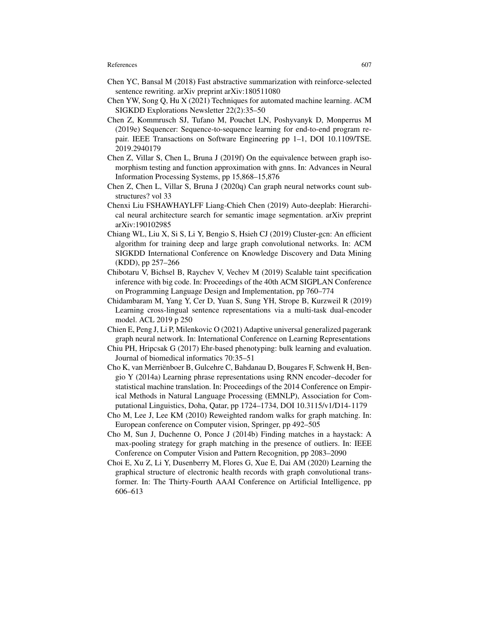- Chen YC, Bansal M (2018) Fast abstractive summarization with reinforce-selected sentence rewriting. arXiv preprint arXiv:180511080
- Chen YW, Song Q, Hu X (2021) Techniques for automated machine learning. ACM SIGKDD Explorations Newsletter 22(2):35–50
- Chen Z, Kommrusch SJ, Tufano M, Pouchet LN, Poshyvanyk D, Monperrus M (2019e) Sequencer: Sequence-to-sequence learning for end-to-end program repair. IEEE Transactions on Software Engineering pp 1–1, DOI 10.1109/TSE. 2019.2940179
- Chen Z, Villar S, Chen L, Bruna J (2019f) On the equivalence between graph isomorphism testing and function approximation with gnns. In: Advances in Neural Information Processing Systems, pp 15,868–15,876
- Chen Z, Chen L, Villar S, Bruna J (2020q) Can graph neural networks count substructures? vol 33
- Chenxi Liu FSHAWHAYLFF Liang-Chieh Chen (2019) Auto-deeplab: Hierarchical neural architecture search for semantic image segmentation. arXiv preprint arXiv:190102985
- Chiang WL, Liu X, Si S, Li Y, Bengio S, Hsieh CJ (2019) Cluster-gcn: An efficient algorithm for training deep and large graph convolutional networks. In: ACM SIGKDD International Conference on Knowledge Discovery and Data Mining (KDD), pp 257–266
- Chibotaru V, Bichsel B, Raychev V, Vechev M (2019) Scalable taint specification inference with big code. In: Proceedings of the 40th ACM SIGPLAN Conference on Programming Language Design and Implementation, pp 760–774
- Chidambaram M, Yang Y, Cer D, Yuan S, Sung YH, Strope B, Kurzweil R (2019) Learning cross-lingual sentence representations via a multi-task dual-encoder model. ACL 2019 p 250
- Chien E, Peng J, Li P, Milenkovic O (2021) Adaptive universal generalized pagerank graph neural network. In: International Conference on Learning Representations
- Chiu PH, Hripcsak G (2017) Ehr-based phenotyping: bulk learning and evaluation. Journal of biomedical informatics 70:35–51
- Cho K, van Merrienboer B, Gulcehre C, Bahdanau D, Bougares F, Schwenk H, Ben- ¨ gio Y (2014a) Learning phrase representations using RNN encoder–decoder for statistical machine translation. In: Proceedings of the 2014 Conference on Empirical Methods in Natural Language Processing (EMNLP), Association for Computational Linguistics, Doha, Qatar, pp 1724–1734, DOI 10.3115/v1/D14-1179
- Cho M, Lee J, Lee KM (2010) Reweighted random walks for graph matching. In: European conference on Computer vision, Springer, pp 492–505
- Cho M, Sun J, Duchenne O, Ponce J (2014b) Finding matches in a haystack: A max-pooling strategy for graph matching in the presence of outliers. In: IEEE Conference on Computer Vision and Pattern Recognition, pp 2083–2090
- Choi E, Xu Z, Li Y, Dusenberry M, Flores G, Xue E, Dai AM (2020) Learning the graphical structure of electronic health records with graph convolutional transformer. In: The Thirty-Fourth AAAI Conference on Artificial Intelligence, pp 606–613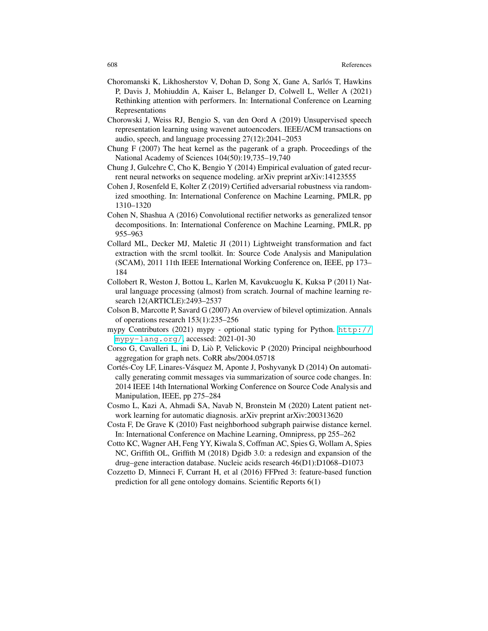- Choromanski K, Likhosherstov V, Dohan D, Song X, Gane A, Sarlós T, Hawkins P, Davis J, Mohiuddin A, Kaiser L, Belanger D, Colwell L, Weller A (2021) Rethinking attention with performers. In: International Conference on Learning Representations
- Chorowski J, Weiss RJ, Bengio S, van den Oord A (2019) Unsupervised speech representation learning using wavenet autoencoders. IEEE/ACM transactions on audio, speech, and language processing 27(12):2041–2053
- Chung F (2007) The heat kernel as the pagerank of a graph. Proceedings of the National Academy of Sciences 104(50):19,735–19,740
- Chung J, Gulcehre C, Cho K, Bengio Y (2014) Empirical evaluation of gated recurrent neural networks on sequence modeling. arXiv preprint arXiv:14123555
- Cohen J, Rosenfeld E, Kolter Z (2019) Certified adversarial robustness via randomized smoothing. In: International Conference on Machine Learning, PMLR, pp 1310–1320
- Cohen N, Shashua A (2016) Convolutional rectifier networks as generalized tensor decompositions. In: International Conference on Machine Learning, PMLR, pp 955–963
- Collard ML, Decker MJ, Maletic JI (2011) Lightweight transformation and fact extraction with the srcml toolkit. In: Source Code Analysis and Manipulation (SCAM), 2011 11th IEEE International Working Conference on, IEEE, pp 173– 184
- Collobert R, Weston J, Bottou L, Karlen M, Kavukcuoglu K, Kuksa P (2011) Natural language processing (almost) from scratch. Journal of machine learning research 12(ARTICLE):2493–2537
- Colson B, Marcotte P, Savard G (2007) An overview of bilevel optimization. Annals of operations research 153(1):235–256
- mypy Contributors (2021) mypy optional static typing for Python.  $\frac{\hbar \epsilon p}{\hbar \epsilon}$ [mypy-lang.org/](http://mypy-lang.org/), accessed: 2021-01-30
- Corso G, Cavalleri L, ini D, Lio P, Velickovic P (2020) Principal neighbourhood ` aggregation for graph nets. CoRR abs/2004.05718
- Cortés-Coy LF, Linares-Vásquez M, Aponte J, Poshyvanyk D (2014) On automatically generating commit messages via summarization of source code changes. In: 2014 IEEE 14th International Working Conference on Source Code Analysis and Manipulation, IEEE, pp 275–284
- Cosmo L, Kazi A, Ahmadi SA, Navab N, Bronstein M (2020) Latent patient network learning for automatic diagnosis. arXiv preprint arXiv:200313620
- Costa F, De Grave K (2010) Fast neighborhood subgraph pairwise distance kernel. In: International Conference on Machine Learning, Omnipress, pp 255–262
- Cotto KC, Wagner AH, Feng YY, Kiwala S, Coffman AC, Spies G, Wollam A, Spies NC, Griffith OL, Griffith M (2018) Dgidb 3.0: a redesign and expansion of the drug–gene interaction database. Nucleic acids research 46(D1):D1068–D1073
- Cozzetto D, Minneci F, Currant H, et al (2016) FFPred 3: feature-based function prediction for all gene ontology domains. Scientific Reports 6(1)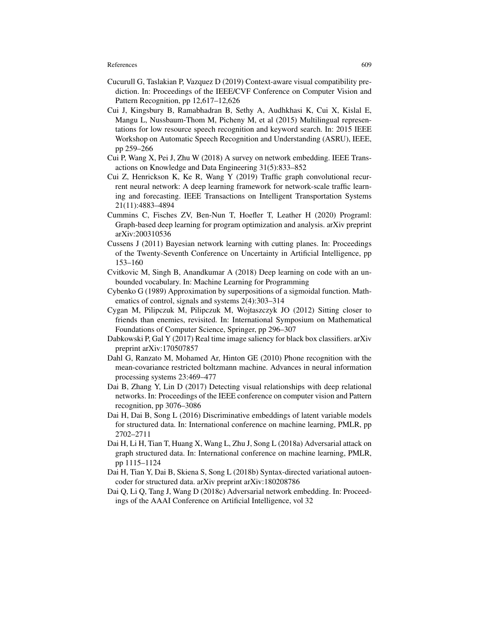- Cucurull G, Taslakian P, Vazquez D (2019) Context-aware visual compatibility prediction. In: Proceedings of the IEEE/CVF Conference on Computer Vision and Pattern Recognition, pp 12,617–12,626
- Cui J, Kingsbury B, Ramabhadran B, Sethy A, Audhkhasi K, Cui X, Kislal E, Mangu L, Nussbaum-Thom M, Picheny M, et al (2015) Multilingual representations for low resource speech recognition and keyword search. In: 2015 IEEE Workshop on Automatic Speech Recognition and Understanding (ASRU), IEEE, pp 259–266
- Cui P, Wang X, Pei J, Zhu W (2018) A survey on network embedding. IEEE Transactions on Knowledge and Data Engineering 31(5):833–852
- Cui Z, Henrickson K, Ke R, Wang Y (2019) Traffic graph convolutional recurrent neural network: A deep learning framework for network-scale traffic learning and forecasting. IEEE Transactions on Intelligent Transportation Systems 21(11):4883–4894
- Cummins C, Fisches ZV, Ben-Nun T, Hoefler T, Leather H (2020) Programl: Graph-based deep learning for program optimization and analysis. arXiv preprint arXiv:200310536
- Cussens J (2011) Bayesian network learning with cutting planes. In: Proceedings of the Twenty-Seventh Conference on Uncertainty in Artificial Intelligence, pp 153–160
- Cvitkovic M, Singh B, Anandkumar A (2018) Deep learning on code with an unbounded vocabulary. In: Machine Learning for Programming
- Cybenko G (1989) Approximation by superpositions of a sigmoidal function. Mathematics of control, signals and systems 2(4):303–314
- Cygan M, Pilipczuk M, Pilipczuk M, Wojtaszczyk JO (2012) Sitting closer to friends than enemies, revisited. In: International Symposium on Mathematical Foundations of Computer Science, Springer, pp 296–307
- Dabkowski P, Gal Y (2017) Real time image saliency for black box classifiers. arXiv preprint arXiv:170507857
- Dahl G, Ranzato M, Mohamed Ar, Hinton GE (2010) Phone recognition with the mean-covariance restricted boltzmann machine. Advances in neural information processing systems 23:469–477
- Dai B, Zhang Y, Lin D (2017) Detecting visual relationships with deep relational networks. In: Proceedings of the IEEE conference on computer vision and Pattern recognition, pp 3076–3086
- Dai H, Dai B, Song L (2016) Discriminative embeddings of latent variable models for structured data. In: International conference on machine learning, PMLR, pp 2702–2711
- Dai H, Li H, Tian T, Huang X, Wang L, Zhu J, Song L (2018a) Adversarial attack on graph structured data. In: International conference on machine learning, PMLR, pp 1115–1124
- Dai H, Tian Y, Dai B, Skiena S, Song L (2018b) Syntax-directed variational autoencoder for structured data. arXiv preprint arXiv:180208786
- Dai Q, Li Q, Tang J, Wang D (2018c) Adversarial network embedding. In: Proceedings of the AAAI Conference on Artificial Intelligence, vol 32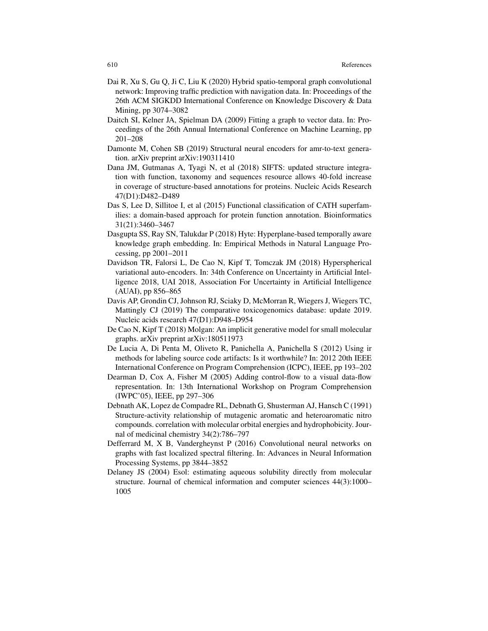- Dai R, Xu S, Gu Q, Ji C, Liu K (2020) Hybrid spatio-temporal graph convolutional network: Improving traffic prediction with navigation data. In: Proceedings of the 26th ACM SIGKDD International Conference on Knowledge Discovery & Data Mining, pp 3074–3082
- Daitch SI, Kelner JA, Spielman DA (2009) Fitting a graph to vector data. In: Proceedings of the 26th Annual International Conference on Machine Learning, pp 201–208
- Damonte M, Cohen SB (2019) Structural neural encoders for amr-to-text generation. arXiv preprint arXiv:190311410
- Dana JM, Gutmanas A, Tyagi N, et al (2018) SIFTS: updated structure integration with function, taxonomy and sequences resource allows 40-fold increase in coverage of structure-based annotations for proteins. Nucleic Acids Research 47(D1):D482–D489
- Das S, Lee D, Sillitoe I, et al (2015) Functional classification of CATH superfamilies: a domain-based approach for protein function annotation. Bioinformatics 31(21):3460–3467
- Dasgupta SS, Ray SN, Talukdar P (2018) Hyte: Hyperplane-based temporally aware knowledge graph embedding. In: Empirical Methods in Natural Language Processing, pp 2001–2011
- Davidson TR, Falorsi L, De Cao N, Kipf T, Tomczak JM (2018) Hyperspherical variational auto-encoders. In: 34th Conference on Uncertainty in Artificial Intelligence 2018, UAI 2018, Association For Uncertainty in Artificial Intelligence (AUAI), pp 856–865
- Davis AP, Grondin CJ, Johnson RJ, Sciaky D, McMorran R, Wiegers J, Wiegers TC, Mattingly CJ (2019) The comparative toxicogenomics database: update 2019. Nucleic acids research 47(D1):D948–D954
- De Cao N, Kipf T (2018) Molgan: An implicit generative model for small molecular graphs. arXiv preprint arXiv:180511973
- De Lucia A, Di Penta M, Oliveto R, Panichella A, Panichella S (2012) Using ir methods for labeling source code artifacts: Is it worthwhile? In: 2012 20th IEEE International Conference on Program Comprehension (ICPC), IEEE, pp 193–202
- Dearman D, Cox A, Fisher M (2005) Adding control-flow to a visual data-flow representation. In: 13th International Workshop on Program Comprehension (IWPC'05), IEEE, pp 297–306
- Debnath AK, Lopez de Compadre RL, Debnath G, Shusterman AJ, Hansch C (1991) Structure-activity relationship of mutagenic aromatic and heteroaromatic nitro compounds. correlation with molecular orbital energies and hydrophobicity. Journal of medicinal chemistry 34(2):786–797
- Defferrard M, X B, Vandergheynst P (2016) Convolutional neural networks on graphs with fast localized spectral filtering. In: Advances in Neural Information Processing Systems, pp 3844–3852
- Delaney JS (2004) Esol: estimating aqueous solubility directly from molecular structure. Journal of chemical information and computer sciences 44(3):1000– 1005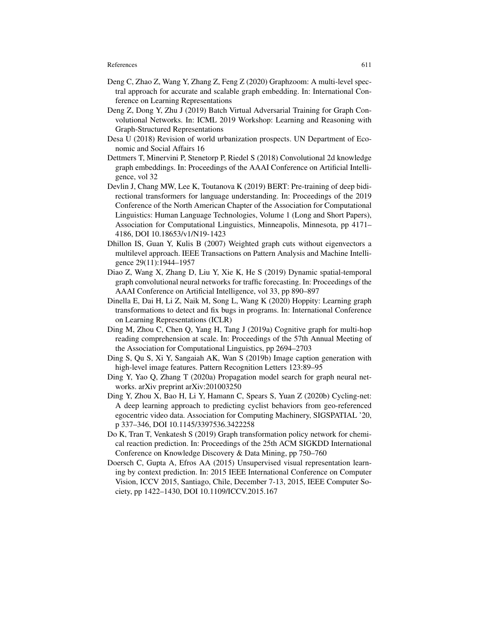- Deng C, Zhao Z, Wang Y, Zhang Z, Feng Z (2020) Graphzoom: A multi-level spectral approach for accurate and scalable graph embedding. In: International Conference on Learning Representations
- Deng Z, Dong Y, Zhu J (2019) Batch Virtual Adversarial Training for Graph Convolutional Networks. In: ICML 2019 Workshop: Learning and Reasoning with Graph-Structured Representations
- Desa U (2018) Revision of world urbanization prospects. UN Department of Economic and Social Affairs 16
- Dettmers T, Minervini P, Stenetorp P, Riedel S (2018) Convolutional 2d knowledge graph embeddings. In: Proceedings of the AAAI Conference on Artificial Intelligence, vol 32
- Devlin J, Chang MW, Lee K, Toutanova K (2019) BERT: Pre-training of deep bidirectional transformers for language understanding. In: Proceedings of the 2019 Conference of the North American Chapter of the Association for Computational Linguistics: Human Language Technologies, Volume 1 (Long and Short Papers), Association for Computational Linguistics, Minneapolis, Minnesota, pp 4171– 4186, DOI 10.18653/v1/N19-1423
- Dhillon IS, Guan Y, Kulis B (2007) Weighted graph cuts without eigenvectors a multilevel approach. IEEE Transactions on Pattern Analysis and Machine Intelligence 29(11):1944–1957
- Diao Z, Wang X, Zhang D, Liu Y, Xie K, He S (2019) Dynamic spatial-temporal graph convolutional neural networks for traffic forecasting. In: Proceedings of the AAAI Conference on Artificial Intelligence, vol 33, pp 890–897
- Dinella E, Dai H, Li Z, Naik M, Song L, Wang K (2020) Hoppity: Learning graph transformations to detect and fix bugs in programs. In: International Conference on Learning Representations (ICLR)
- Ding M, Zhou C, Chen Q, Yang H, Tang J (2019a) Cognitive graph for multi-hop reading comprehension at scale. In: Proceedings of the 57th Annual Meeting of the Association for Computational Linguistics, pp 2694–2703
- Ding S, Qu S, Xi Y, Sangaiah AK, Wan S (2019b) Image caption generation with high-level image features. Pattern Recognition Letters 123:89–95
- Ding Y, Yao Q, Zhang T (2020a) Propagation model search for graph neural networks. arXiv preprint arXiv:201003250
- Ding Y, Zhou X, Bao H, Li Y, Hamann C, Spears S, Yuan Z (2020b) Cycling-net: A deep learning approach to predicting cyclist behaviors from geo-referenced egocentric video data. Association for Computing Machinery, SIGSPATIAL '20, p 337–346, DOI 10.1145/3397536.3422258
- Do K, Tran T, Venkatesh S (2019) Graph transformation policy network for chemical reaction prediction. In: Proceedings of the 25th ACM SIGKDD International Conference on Knowledge Discovery & Data Mining, pp 750–760
- Doersch C, Gupta A, Efros AA (2015) Unsupervised visual representation learning by context prediction. In: 2015 IEEE International Conference on Computer Vision, ICCV 2015, Santiago, Chile, December 7-13, 2015, IEEE Computer Society, pp 1422–1430, DOI 10.1109/ICCV.2015.167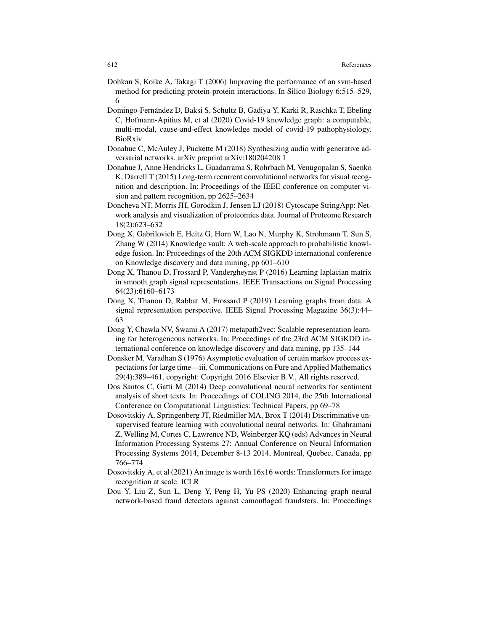- Dohkan S, Koike A, Takagi T (2006) Improving the performance of an svm-based method for predicting protein-protein interactions. In Silico Biology 6:515–529, 6
- Domingo-Fernandez D, Baksi S, Schultz B, Gadiya Y, Karki R, Raschka T, Ebeling ´ C, Hofmann-Apitius M, et al (2020) Covid-19 knowledge graph: a computable, multi-modal, cause-and-effect knowledge model of covid-19 pathophysiology. BioRxiv
- Donahue C, McAuley J, Puckette M (2018) Synthesizing audio with generative adversarial networks. arXiv preprint arXiv:180204208 1
- Donahue J, Anne Hendricks L, Guadarrama S, Rohrbach M, Venugopalan S, Saenko K, Darrell T (2015) Long-term recurrent convolutional networks for visual recognition and description. In: Proceedings of the IEEE conference on computer vision and pattern recognition, pp 2625–2634
- Doncheva NT, Morris JH, Gorodkin J, Jensen LJ (2018) Cytoscape StringApp: Network analysis and visualization of proteomics data. Journal of Proteome Research 18(2):623–632
- Dong X, Gabrilovich E, Heitz G, Horn W, Lao N, Murphy K, Strohmann T, Sun S, Zhang W (2014) Knowledge vault: A web-scale approach to probabilistic knowledge fusion. In: Proceedings of the 20th ACM SIGKDD international conference on Knowledge discovery and data mining, pp 601–610
- Dong X, Thanou D, Frossard P, Vandergheynst P (2016) Learning laplacian matrix in smooth graph signal representations. IEEE Transactions on Signal Processing 64(23):6160–6173
- Dong X, Thanou D, Rabbat M, Frossard P (2019) Learning graphs from data: A signal representation perspective. IEEE Signal Processing Magazine 36(3):44– 63
- Dong Y, Chawla NV, Swami A (2017) metapath2vec: Scalable representation learning for heterogeneous networks. In: Proceedings of the 23rd ACM SIGKDD international conference on knowledge discovery and data mining, pp 135–144
- Donsker M, Varadhan S (1976) Asymptotic evaluation of certain markov process expectations for large time—iii. Communications on Pure and Applied Mathematics 29(4):389–461, copyright: Copyright 2016 Elsevier B.V., All rights reserved.
- Dos Santos C, Gatti M (2014) Deep convolutional neural networks for sentiment analysis of short texts. In: Proceedings of COLING 2014, the 25th International Conference on Computational Linguistics: Technical Papers, pp 69–78
- Dosovitskiy A, Springenberg JT, Riedmiller MA, Brox T (2014) Discriminative unsupervised feature learning with convolutional neural networks. In: Ghahramani Z, Welling M, Cortes C, Lawrence ND, Weinberger KQ (eds) Advances in Neural Information Processing Systems 27: Annual Conference on Neural Information Processing Systems 2014, December 8-13 2014, Montreal, Quebec, Canada, pp 766–774
- Dosovitskiy A, et al (2021) An image is worth 16x16 words: Transformers for image recognition at scale. ICLR
- Dou Y, Liu Z, Sun L, Deng Y, Peng H, Yu PS (2020) Enhancing graph neural network-based fraud detectors against camouflaged fraudsters. In: Proceedings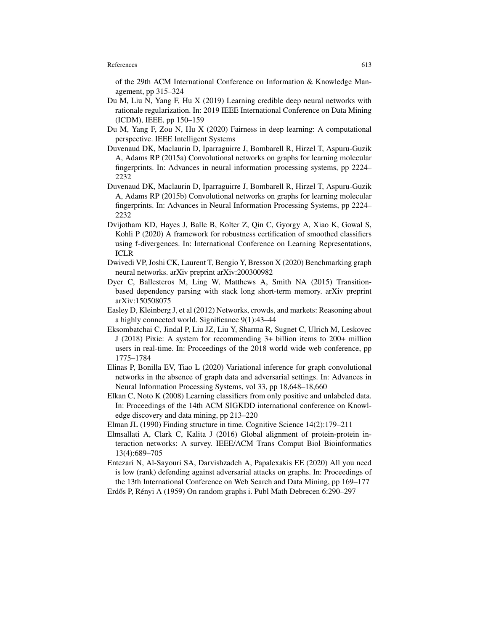of the 29th ACM International Conference on Information & Knowledge Management, pp 315–324

- Du M, Liu N, Yang F, Hu X (2019) Learning credible deep neural networks with rationale regularization. In: 2019 IEEE International Conference on Data Mining (ICDM), IEEE, pp 150–159
- Du M, Yang F, Zou N, Hu X (2020) Fairness in deep learning: A computational perspective. IEEE Intelligent Systems
- Duvenaud DK, Maclaurin D, Iparraguirre J, Bombarell R, Hirzel T, Aspuru-Guzik A, Adams RP (2015a) Convolutional networks on graphs for learning molecular fingerprints. In: Advances in neural information processing systems, pp 2224– 2232
- Duvenaud DK, Maclaurin D, Iparraguirre J, Bombarell R, Hirzel T, Aspuru-Guzik A, Adams RP (2015b) Convolutional networks on graphs for learning molecular fingerprints. In: Advances in Neural Information Processing Systems, pp 2224– 2232
- Dvijotham KD, Hayes J, Balle B, Kolter Z, Qin C, Gyorgy A, Xiao K, Gowal S, Kohli P (2020) A framework for robustness certification of smoothed classifiers using f-divergences. In: International Conference on Learning Representations, ICLR
- Dwivedi VP, Joshi CK, Laurent T, Bengio Y, Bresson X (2020) Benchmarking graph neural networks. arXiv preprint arXiv:200300982
- Dyer C, Ballesteros M, Ling W, Matthews A, Smith NA (2015) Transitionbased dependency parsing with stack long short-term memory. arXiv preprint arXiv:150508075
- Easley D, Kleinberg J, et al (2012) Networks, crowds, and markets: Reasoning about a highly connected world. Significance 9(1):43–44
- Eksombatchai C, Jindal P, Liu JZ, Liu Y, Sharma R, Sugnet C, Ulrich M, Leskovec J (2018) Pixie: A system for recommending 3+ billion items to 200+ million users in real-time. In: Proceedings of the 2018 world wide web conference, pp 1775–1784
- Elinas P, Bonilla EV, Tiao L (2020) Variational inference for graph convolutional networks in the absence of graph data and adversarial settings. In: Advances in Neural Information Processing Systems, vol 33, pp 18,648–18,660
- Elkan C, Noto K (2008) Learning classifiers from only positive and unlabeled data. In: Proceedings of the 14th ACM SIGKDD international conference on Knowledge discovery and data mining, pp 213–220
- Elman JL (1990) Finding structure in time. Cognitive Science 14(2):179–211
- Elmsallati A, Clark C, Kalita J (2016) Global alignment of protein-protein interaction networks: A survey. IEEE/ACM Trans Comput Biol Bioinformatics 13(4):689–705
- Entezari N, Al-Sayouri SA, Darvishzadeh A, Papalexakis EE (2020) All you need is low (rank) defending against adversarial attacks on graphs. In: Proceedings of the 13th International Conference on Web Search and Data Mining, pp 169–177
- Erdős P, Rényi A (1959) On random graphs i. Publ Math Debrecen 6:290–297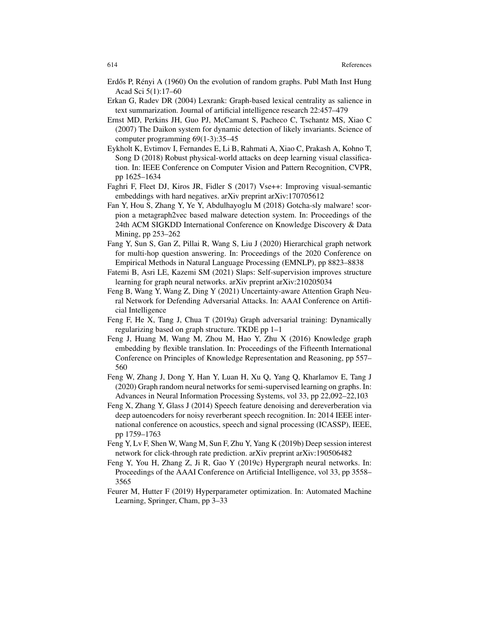- Erdős P, Rényi A  $(1960)$  On the evolution of random graphs. Publ Math Inst Hung Acad Sci 5(1):17–60
- Erkan G, Radev DR (2004) Lexrank: Graph-based lexical centrality as salience in text summarization. Journal of artificial intelligence research 22:457–479
- Ernst MD, Perkins JH, Guo PJ, McCamant S, Pacheco C, Tschantz MS, Xiao C (2007) The Daikon system for dynamic detection of likely invariants. Science of computer programming 69(1-3):35–45
- Eykholt K, Evtimov I, Fernandes E, Li B, Rahmati A, Xiao C, Prakash A, Kohno T, Song D (2018) Robust physical-world attacks on deep learning visual classification. In: IEEE Conference on Computer Vision and Pattern Recognition, CVPR, pp 1625–1634
- Faghri F, Fleet DJ, Kiros JR, Fidler S (2017) Vse++: Improving visual-semantic embeddings with hard negatives. arXiv preprint arXiv:170705612
- Fan Y, Hou S, Zhang Y, Ye Y, Abdulhayoglu M (2018) Gotcha-sly malware! scorpion a metagraph2vec based malware detection system. In: Proceedings of the 24th ACM SIGKDD International Conference on Knowledge Discovery & Data Mining, pp 253–262
- Fang Y, Sun S, Gan Z, Pillai R, Wang S, Liu J (2020) Hierarchical graph network for multi-hop question answering. In: Proceedings of the 2020 Conference on Empirical Methods in Natural Language Processing (EMNLP), pp 8823–8838
- Fatemi B, Asri LE, Kazemi SM (2021) Slaps: Self-supervision improves structure learning for graph neural networks. arXiv preprint arXiv:210205034
- Feng B, Wang Y, Wang Z, Ding Y (2021) Uncertainty-aware Attention Graph Neural Network for Defending Adversarial Attacks. In: AAAI Conference on Artificial Intelligence
- Feng F, He X, Tang J, Chua T (2019a) Graph adversarial training: Dynamically regularizing based on graph structure. TKDE pp 1–1
- Feng J, Huang M, Wang M, Zhou M, Hao Y, Zhu X (2016) Knowledge graph embedding by flexible translation. In: Proceedings of the Fifteenth International Conference on Principles of Knowledge Representation and Reasoning, pp 557– 560
- Feng W, Zhang J, Dong Y, Han Y, Luan H, Xu Q, Yang Q, Kharlamov E, Tang J (2020) Graph random neural networks for semi-supervised learning on graphs. In: Advances in Neural Information Processing Systems, vol 33, pp 22,092–22,103
- Feng X, Zhang Y, Glass J (2014) Speech feature denoising and dereverberation via deep autoencoders for noisy reverberant speech recognition. In: 2014 IEEE international conference on acoustics, speech and signal processing (ICASSP), IEEE, pp 1759–1763
- Feng Y, Lv F, Shen W, Wang M, Sun F, Zhu Y, Yang K (2019b) Deep session interest network for click-through rate prediction. arXiv preprint arXiv:190506482
- Feng Y, You H, Zhang Z, Ji R, Gao Y (2019c) Hypergraph neural networks. In: Proceedings of the AAAI Conference on Artificial Intelligence, vol 33, pp 3558– 3565
- Feurer M, Hutter F (2019) Hyperparameter optimization. In: Automated Machine Learning, Springer, Cham, pp 3–33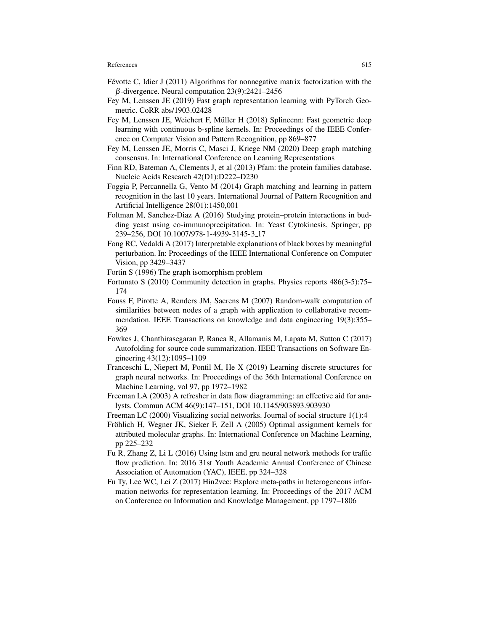- Févotte C, Idier J  $(2011)$  Algorithms for nonnegative matrix factorization with the  $\beta$ -divergence. Neural computation 23(9):2421–2456
- Fey M, Lenssen JE (2019) Fast graph representation learning with PyTorch Geometric. CoRR abs/1903.02428
- Fey M, Lenssen JE, Weichert F, Müller H (2018) Splinecnn: Fast geometric deep learning with continuous b-spline kernels. In: Proceedings of the IEEE Conference on Computer Vision and Pattern Recognition, pp 869–877
- Fey M, Lenssen JE, Morris C, Masci J, Kriege NM (2020) Deep graph matching consensus. In: International Conference on Learning Representations
- Finn RD, Bateman A, Clements J, et al (2013) Pfam: the protein families database. Nucleic Acids Research 42(D1):D222–D230
- Foggia P, Percannella G, Vento M (2014) Graph matching and learning in pattern recognition in the last 10 years. International Journal of Pattern Recognition and Artificial Intelligence 28(01):1450,001
- Foltman M, Sanchez-Diaz A (2016) Studying protein–protein interactions in budding yeast using co-immunoprecipitation. In: Yeast Cytokinesis, Springer, pp 239–256, DOI 10.1007/978-1-4939-3145-3 17
- Fong RC, Vedaldi A (2017) Interpretable explanations of black boxes by meaningful perturbation. In: Proceedings of the IEEE International Conference on Computer Vision, pp 3429–3437
- Fortin S (1996) The graph isomorphism problem
- Fortunato S (2010) Community detection in graphs. Physics reports 486(3-5):75– 174
- Fouss F, Pirotte A, Renders JM, Saerens M (2007) Random-walk computation of similarities between nodes of a graph with application to collaborative recommendation. IEEE Transactions on knowledge and data engineering 19(3):355– 369
- Fowkes J, Chanthirasegaran P, Ranca R, Allamanis M, Lapata M, Sutton C (2017) Autofolding for source code summarization. IEEE Transactions on Software Engineering 43(12):1095–1109
- Franceschi L, Niepert M, Pontil M, He X (2019) Learning discrete structures for graph neural networks. In: Proceedings of the 36th International Conference on Machine Learning, vol 97, pp 1972–1982
- Freeman LA (2003) A refresher in data flow diagramming: an effective aid for analysts. Commun ACM 46(9):147–151, DOI 10.1145/903893.903930
- Freeman LC (2000) Visualizing social networks. Journal of social structure 1(1):4
- Fröhlich H, Wegner JK, Sieker F, Zell A (2005) Optimal assignment kernels for attributed molecular graphs. In: International Conference on Machine Learning, pp 225–232
- Fu R, Zhang Z, Li L (2016) Using lstm and gru neural network methods for traffic flow prediction. In: 2016 31st Youth Academic Annual Conference of Chinese Association of Automation (YAC), IEEE, pp 324–328
- Fu Ty, Lee WC, Lei Z (2017) Hin2vec: Explore meta-paths in heterogeneous information networks for representation learning. In: Proceedings of the 2017 ACM on Conference on Information and Knowledge Management, pp 1797–1806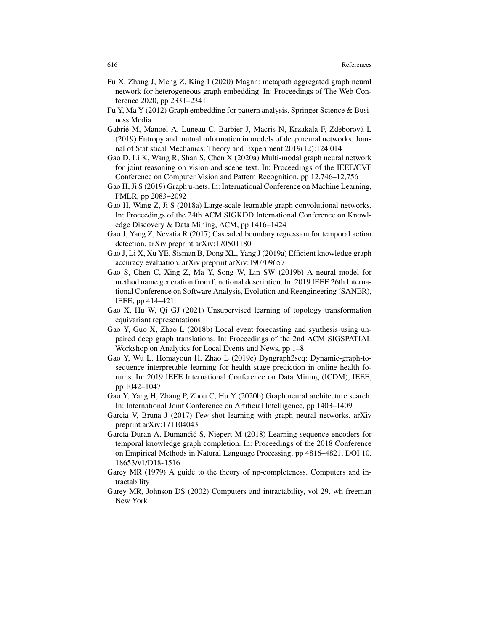- Fu X, Zhang J, Meng Z, King I (2020) Magnn: metapath aggregated graph neural network for heterogeneous graph embedding. In: Proceedings of The Web Conference 2020, pp 2331–2341
- Fu Y, Ma Y (2012) Graph embedding for pattern analysis. Springer Science & Business Media
- Gabrié M, Manoel A, Luneau C, Barbier J, Macris N, Krzakala F, Zdeborová L (2019) Entropy and mutual information in models of deep neural networks. Journal of Statistical Mechanics: Theory and Experiment 2019(12):124,014
- Gao D, Li K, Wang R, Shan S, Chen X (2020a) Multi-modal graph neural network for joint reasoning on vision and scene text. In: Proceedings of the IEEE/CVF Conference on Computer Vision and Pattern Recognition, pp 12,746–12,756
- Gao H, Ji S (2019) Graph u-nets. In: International Conference on Machine Learning, PMLR, pp 2083–2092
- Gao H, Wang Z, Ji S (2018a) Large-scale learnable graph convolutional networks. In: Proceedings of the 24th ACM SIGKDD International Conference on Knowledge Discovery & Data Mining, ACM, pp 1416–1424
- Gao J, Yang Z, Nevatia R (2017) Cascaded boundary regression for temporal action detection. arXiv preprint arXiv:170501180
- Gao J, Li X, Xu YE, Sisman B, Dong XL, Yang J (2019a) Efficient knowledge graph accuracy evaluation. arXiv preprint arXiv:190709657
- Gao S, Chen C, Xing Z, Ma Y, Song W, Lin SW (2019b) A neural model for method name generation from functional description. In: 2019 IEEE 26th International Conference on Software Analysis, Evolution and Reengineering (SANER), IEEE, pp 414–421
- Gao X, Hu W, Qi GJ (2021) Unsupervised learning of topology transformation equivariant representations
- Gao Y, Guo X, Zhao L (2018b) Local event forecasting and synthesis using unpaired deep graph translations. In: Proceedings of the 2nd ACM SIGSPATIAL Workshop on Analytics for Local Events and News, pp 1–8
- Gao Y, Wu L, Homayoun H, Zhao L (2019c) Dyngraph2seq: Dynamic-graph-tosequence interpretable learning for health stage prediction in online health forums. In: 2019 IEEE International Conference on Data Mining (ICDM), IEEE, pp 1042–1047
- Gao Y, Yang H, Zhang P, Zhou C, Hu Y (2020b) Graph neural architecture search. In: International Joint Conference on Artificial Intelligence, pp 1403–1409
- Garcia V, Bruna J (2017) Few-shot learning with graph neural networks. arXiv preprint arXiv:171104043
- García-Durán A, Dumančić S, Niepert M (2018) Learning sequence encoders for temporal knowledge graph completion. In: Proceedings of the 2018 Conference on Empirical Methods in Natural Language Processing, pp 4816–4821, DOI 10. 18653/v1/D18-1516
- Garey MR (1979) A guide to the theory of np-completeness. Computers and intractability
- Garey MR, Johnson DS (2002) Computers and intractability, vol 29. wh freeman New York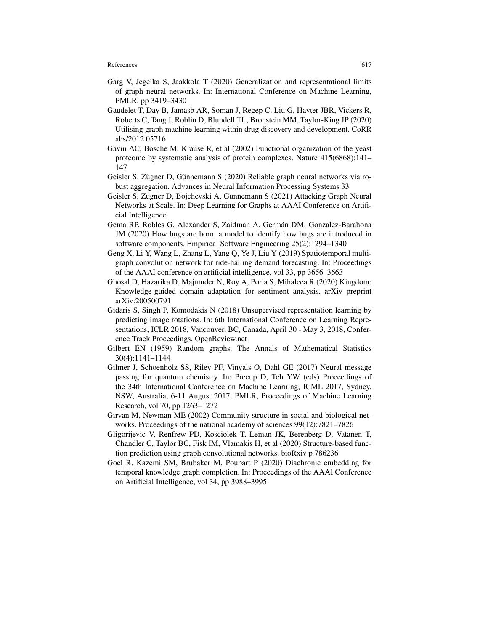- Garg V, Jegelka S, Jaakkola T (2020) Generalization and representational limits of graph neural networks. In: International Conference on Machine Learning, PMLR, pp 3419–3430
- Gaudelet T, Day B, Jamasb AR, Soman J, Regep C, Liu G, Hayter JBR, Vickers R, Roberts C, Tang J, Roblin D, Blundell TL, Bronstein MM, Taylor-King JP (2020) Utilising graph machine learning within drug discovery and development. CoRR abs/2012.05716
- Gavin AC, Bösche M, Krause R, et al (2002) Functional organization of the yeast proteome by systematic analysis of protein complexes. Nature 415(6868):141– 147
- Geisler S, Zügner D, Günnemann S (2020) Reliable graph neural networks via robust aggregation. Advances in Neural Information Processing Systems 33
- Geisler S, Zügner D, Bojchevski A, Günnemann S (2021) Attacking Graph Neural Networks at Scale. In: Deep Learning for Graphs at AAAI Conference on Artificial Intelligence
- Gema RP, Robles G, Alexander S, Zaidman A, German DM, Gonzalez-Barahona ´ JM (2020) How bugs are born: a model to identify how bugs are introduced in software components. Empirical Software Engineering 25(2):1294–1340
- Geng X, Li Y, Wang L, Zhang L, Yang Q, Ye J, Liu Y (2019) Spatiotemporal multigraph convolution network for ride-hailing demand forecasting. In: Proceedings of the AAAI conference on artificial intelligence, vol 33, pp 3656–3663
- Ghosal D, Hazarika D, Majumder N, Roy A, Poria S, Mihalcea R (2020) Kingdom: Knowledge-guided domain adaptation for sentiment analysis. arXiv preprint arXiv:200500791
- Gidaris S, Singh P, Komodakis N (2018) Unsupervised representation learning by predicting image rotations. In: 6th International Conference on Learning Representations, ICLR 2018, Vancouver, BC, Canada, April 30 - May 3, 2018, Conference Track Proceedings, OpenReview.net
- Gilbert EN (1959) Random graphs. The Annals of Mathematical Statistics 30(4):1141–1144
- Gilmer J, Schoenholz SS, Riley PF, Vinyals O, Dahl GE (2017) Neural message passing for quantum chemistry. In: Precup D, Teh YW (eds) Proceedings of the 34th International Conference on Machine Learning, ICML 2017, Sydney, NSW, Australia, 6-11 August 2017, PMLR, Proceedings of Machine Learning Research, vol 70, pp 1263–1272
- Girvan M, Newman ME (2002) Community structure in social and biological networks. Proceedings of the national academy of sciences 99(12):7821–7826
- Gligorijevic V, Renfrew PD, Kosciolek T, Leman JK, Berenberg D, Vatanen T, Chandler C, Taylor BC, Fisk IM, Vlamakis H, et al (2020) Structure-based function prediction using graph convolutional networks. bioRxiv p 786236
- Goel R, Kazemi SM, Brubaker M, Poupart P (2020) Diachronic embedding for temporal knowledge graph completion. In: Proceedings of the AAAI Conference on Artificial Intelligence, vol 34, pp 3988–3995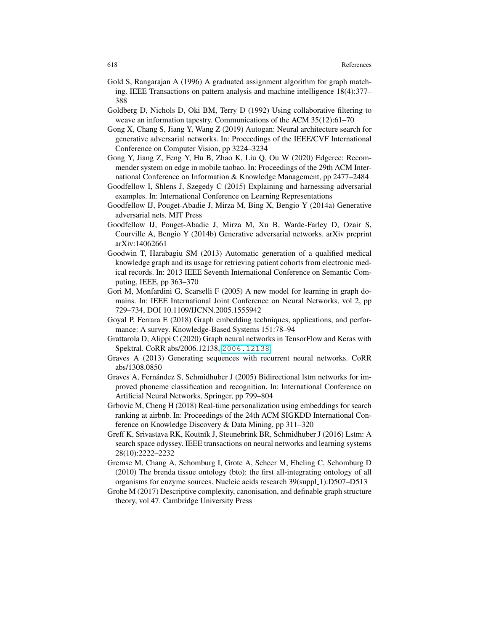- Gold S, Rangarajan A (1996) A graduated assignment algorithm for graph matching. IEEE Transactions on pattern analysis and machine intelligence 18(4):377– 388
- Goldberg D, Nichols D, Oki BM, Terry D (1992) Using collaborative filtering to weave an information tapestry. Communications of the ACM 35(12):61–70
- Gong X, Chang S, Jiang Y, Wang Z (2019) Autogan: Neural architecture search for generative adversarial networks. In: Proceedings of the IEEE/CVF International Conference on Computer Vision, pp 3224–3234
- Gong Y, Jiang Z, Feng Y, Hu B, Zhao K, Liu Q, Ou W (2020) Edgerec: Recommender system on edge in mobile taobao. In: Proceedings of the 29th ACM International Conference on Information & Knowledge Management, pp 2477–2484
- Goodfellow I, Shlens J, Szegedy C (2015) Explaining and harnessing adversarial examples. In: International Conference on Learning Representations
- Goodfellow IJ, Pouget-Abadie J, Mirza M, Bing X, Bengio Y (2014a) Generative adversarial nets. MIT Press
- Goodfellow IJ, Pouget-Abadie J, Mirza M, Xu B, Warde-Farley D, Ozair S, Courville A, Bengio Y (2014b) Generative adversarial networks. arXiv preprint arXiv:14062661
- Goodwin T, Harabagiu SM (2013) Automatic generation of a qualified medical knowledge graph and its usage for retrieving patient cohorts from electronic medical records. In: 2013 IEEE Seventh International Conference on Semantic Computing, IEEE, pp 363–370
- Gori M, Monfardini G, Scarselli F (2005) A new model for learning in graph domains. In: IEEE International Joint Conference on Neural Networks, vol 2, pp 729–734, DOI 10.1109/IJCNN.2005.1555942
- Goyal P, Ferrara E (2018) Graph embedding techniques, applications, and performance: A survey. Knowledge-Based Systems 151:78–94
- Grattarola D, Alippi C (2020) Graph neural networks in TensorFlow and Keras with Spektral. CoRR abs/2006.12138, <2006.12138>
- Graves A (2013) Generating sequences with recurrent neural networks. CoRR abs/1308.0850
- Graves A, Fernández S, Schmidhuber J (2005) Bidirectional lstm networks for improved phoneme classification and recognition. In: International Conference on Artificial Neural Networks, Springer, pp 799–804
- Grbovic M, Cheng H (2018) Real-time personalization using embeddings for search ranking at airbnb. In: Proceedings of the 24th ACM SIGKDD International Conference on Knowledge Discovery & Data Mining, pp 311–320
- Greff K, Srivastava RK, Koutník J, Steunebrink BR, Schmidhuber J (2016) Lstm: A search space odyssey. IEEE transactions on neural networks and learning systems 28(10):2222–2232
- Gremse M, Chang A, Schomburg I, Grote A, Scheer M, Ebeling C, Schomburg D (2010) The brenda tissue ontology (bto): the first all-integrating ontology of all organisms for enzyme sources. Nucleic acids research 39(suppl\_1):D507-D513
- Grohe M (2017) Descriptive complexity, canonisation, and definable graph structure theory, vol 47. Cambridge University Press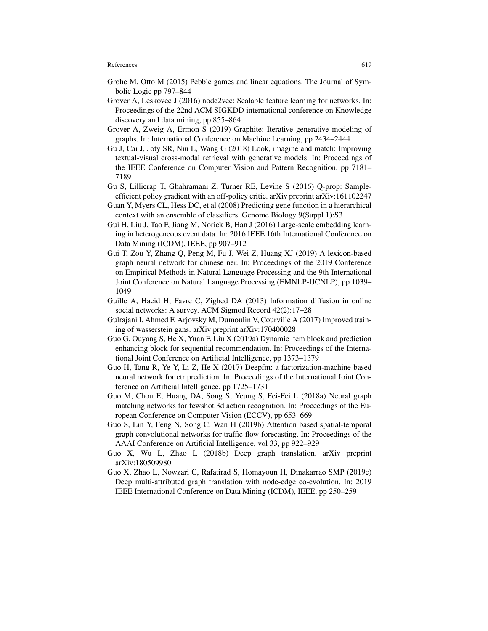- Grohe M, Otto M (2015) Pebble games and linear equations. The Journal of Symbolic Logic pp 797–844
- Grover A, Leskovec J (2016) node2vec: Scalable feature learning for networks. In: Proceedings of the 22nd ACM SIGKDD international conference on Knowledge discovery and data mining, pp 855–864
- Grover A, Zweig A, Ermon S (2019) Graphite: Iterative generative modeling of graphs. In: International Conference on Machine Learning, pp 2434–2444
- Gu J, Cai J, Joty SR, Niu L, Wang G (2018) Look, imagine and match: Improving textual-visual cross-modal retrieval with generative models. In: Proceedings of the IEEE Conference on Computer Vision and Pattern Recognition, pp 7181– 7189
- Gu S, Lillicrap T, Ghahramani Z, Turner RE, Levine S (2016) Q-prop: Sampleefficient policy gradient with an off-policy critic. arXiv preprint arXiv:161102247
- Guan Y, Myers CL, Hess DC, et al (2008) Predicting gene function in a hierarchical context with an ensemble of classifiers. Genome Biology 9(Suppl 1):S3
- Gui H, Liu J, Tao F, Jiang M, Norick B, Han J (2016) Large-scale embedding learning in heterogeneous event data. In: 2016 IEEE 16th International Conference on Data Mining (ICDM), IEEE, pp 907–912
- Gui T, Zou Y, Zhang Q, Peng M, Fu J, Wei Z, Huang XJ (2019) A lexicon-based graph neural network for chinese ner. In: Proceedings of the 2019 Conference on Empirical Methods in Natural Language Processing and the 9th International Joint Conference on Natural Language Processing (EMNLP-IJCNLP), pp 1039– 1049
- Guille A, Hacid H, Favre C, Zighed DA (2013) Information diffusion in online social networks: A survey. ACM Sigmod Record 42(2):17–28
- Gulrajani I, Ahmed F, Arjovsky M, Dumoulin V, Courville A (2017) Improved training of wasserstein gans. arXiv preprint arXiv:170400028
- Guo G, Ouyang S, He X, Yuan F, Liu X (2019a) Dynamic item block and prediction enhancing block for sequential recommendation. In: Proceedings of the International Joint Conference on Artificial Intelligence, pp 1373–1379
- Guo H, Tang R, Ye Y, Li Z, He X (2017) Deepfm: a factorization-machine based neural network for ctr prediction. In: Proceedings of the International Joint Conference on Artificial Intelligence, pp 1725–1731
- Guo M, Chou E, Huang DA, Song S, Yeung S, Fei-Fei L (2018a) Neural graph matching networks for fewshot 3d action recognition. In: Proceedings of the European Conference on Computer Vision (ECCV), pp 653–669
- Guo S, Lin Y, Feng N, Song C, Wan H (2019b) Attention based spatial-temporal graph convolutional networks for traffic flow forecasting. In: Proceedings of the AAAI Conference on Artificial Intelligence, vol 33, pp 922–929
- Guo X, Wu L, Zhao L (2018b) Deep graph translation. arXiv preprint arXiv:180509980
- Guo X, Zhao L, Nowzari C, Rafatirad S, Homayoun H, Dinakarrao SMP (2019c) Deep multi-attributed graph translation with node-edge co-evolution. In: 2019 IEEE International Conference on Data Mining (ICDM), IEEE, pp 250–259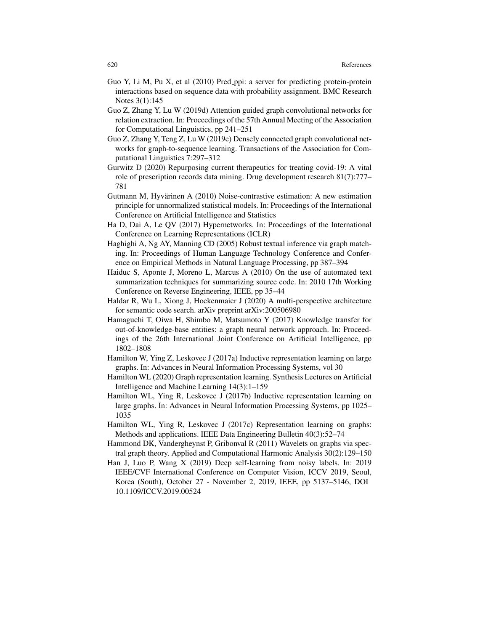- Guo Y, Li M, Pu X, et al (2010) Pred ppi: a server for predicting protein-protein interactions based on sequence data with probability assignment. BMC Research Notes 3(1):145
- Guo Z, Zhang Y, Lu W (2019d) Attention guided graph convolutional networks for relation extraction. In: Proceedings of the 57th Annual Meeting of the Association for Computational Linguistics, pp 241–251
- Guo Z, Zhang Y, Teng Z, Lu W (2019e) Densely connected graph convolutional networks for graph-to-sequence learning. Transactions of the Association for Computational Linguistics 7:297–312
- Gurwitz D (2020) Repurposing current therapeutics for treating covid-19: A vital role of prescription records data mining. Drug development research 81(7):777– 781
- Gutmann M, Hyvärinen A  $(2010)$  Noise-contrastive estimation: A new estimation principle for unnormalized statistical models. In: Proceedings of the International Conference on Artificial Intelligence and Statistics
- Ha D, Dai A, Le QV (2017) Hypernetworks. In: Proceedings of the International Conference on Learning Representations (ICLR)
- Haghighi A, Ng AY, Manning CD (2005) Robust textual inference via graph matching. In: Proceedings of Human Language Technology Conference and Conference on Empirical Methods in Natural Language Processing, pp 387–394
- Haiduc S, Aponte J, Moreno L, Marcus A (2010) On the use of automated text summarization techniques for summarizing source code. In: 2010 17th Working Conference on Reverse Engineering, IEEE, pp 35–44
- Haldar R, Wu L, Xiong J, Hockenmaier J (2020) A multi-perspective architecture for semantic code search. arXiv preprint arXiv:200506980
- Hamaguchi T, Oiwa H, Shimbo M, Matsumoto Y (2017) Knowledge transfer for out-of-knowledge-base entities: a graph neural network approach. In: Proceedings of the 26th International Joint Conference on Artificial Intelligence, pp 1802–1808
- Hamilton W, Ying Z, Leskovec J (2017a) Inductive representation learning on large graphs. In: Advances in Neural Information Processing Systems, vol 30
- Hamilton WL (2020) Graph representation learning. Synthesis Lectures on Artificial Intelligence and Machine Learning 14(3):1–159
- Hamilton WL, Ying R, Leskovec J (2017b) Inductive representation learning on large graphs. In: Advances in Neural Information Processing Systems, pp 1025– 1035
- Hamilton WL, Ying R, Leskovec J (2017c) Representation learning on graphs: Methods and applications. IEEE Data Engineering Bulletin 40(3):52–74
- Hammond DK, Vandergheynst P, Gribonval R (2011) Wavelets on graphs via spectral graph theory. Applied and Computational Harmonic Analysis 30(2):129–150
- Han J, Luo P, Wang X (2019) Deep self-learning from noisy labels. In: 2019 IEEE/CVF International Conference on Computer Vision, ICCV 2019, Seoul, Korea (South), October 27 - November 2, 2019, IEEE, pp 5137–5146, DOI 10.1109/ICCV.2019.00524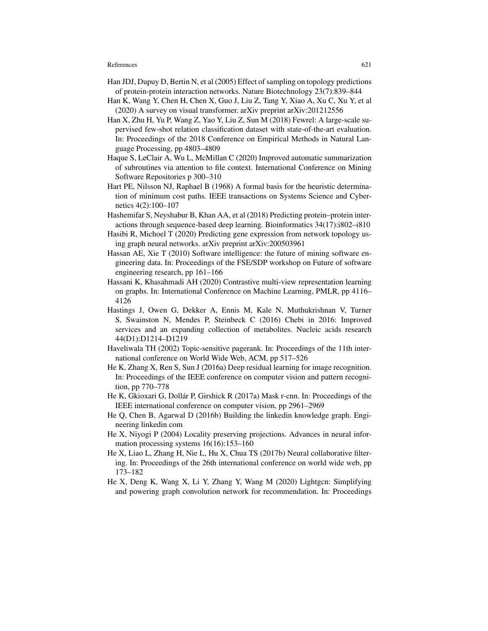- Han JDJ, Dupuy D, Bertin N, et al (2005) Effect of sampling on topology predictions of protein-protein interaction networks. Nature Biotechnology 23(7):839–844
- Han K, Wang Y, Chen H, Chen X, Guo J, Liu Z, Tang Y, Xiao A, Xu C, Xu Y, et al (2020) A survey on visual transformer. arXiv preprint arXiv:201212556
- Han X, Zhu H, Yu P, Wang Z, Yao Y, Liu Z, Sun M (2018) Fewrel: A large-scale supervised few-shot relation classification dataset with state-of-the-art evaluation. In: Proceedings of the 2018 Conference on Empirical Methods in Natural Language Processing, pp 4803–4809
- Haque S, LeClair A, Wu L, McMillan C (2020) Improved automatic summarization of subroutines via attention to file context. International Conference on Mining Software Repositories p 300–310
- Hart PE, Nilsson NJ, Raphael B (1968) A formal basis for the heuristic determination of minimum cost paths. IEEE transactions on Systems Science and Cybernetics 4(2):100–107
- Hashemifar S, Neyshabur B, Khan AA, et al (2018) Predicting protein–protein interactions through sequence-based deep learning. Bioinformatics 34(17):i802–i810
- Hasibi R, Michoel T (2020) Predicting gene expression from network topology using graph neural networks. arXiv preprint arXiv:200503961
- Hassan AE, Xie T (2010) Software intelligence: the future of mining software engineering data. In: Proceedings of the FSE/SDP workshop on Future of software engineering research, pp 161–166
- Hassani K, Khasahmadi AH (2020) Contrastive multi-view representation learning on graphs. In: International Conference on Machine Learning, PMLR, pp 4116– 4126
- Hastings J, Owen G, Dekker A, Ennis M, Kale N, Muthukrishnan V, Turner S, Swainston N, Mendes P, Steinbeck C (2016) Chebi in 2016: Improved services and an expanding collection of metabolites. Nucleic acids research 44(D1):D1214–D1219
- Haveliwala TH (2002) Topic-sensitive pagerank. In: Proceedings of the 11th international conference on World Wide Web, ACM, pp 517–526
- He K, Zhang X, Ren S, Sun J (2016a) Deep residual learning for image recognition. In: Proceedings of the IEEE conference on computer vision and pattern recognition, pp 770–778
- He K, Gkioxari G, Dollár P, Girshick R (2017a) Mask r-cnn. In: Proceedings of the IEEE international conference on computer vision, pp 2961–2969
- He Q, Chen B, Agarwal D (2016b) Building the linkedin knowledge graph. Engineering linkedin com
- He X, Niyogi P (2004) Locality preserving projections. Advances in neural information processing systems 16(16):153–160
- He X, Liao L, Zhang H, Nie L, Hu X, Chua TS (2017b) Neural collaborative filtering. In: Proceedings of the 26th international conference on world wide web, pp 173–182
- He X, Deng K, Wang X, Li Y, Zhang Y, Wang M (2020) Lightgcn: Simplifying and powering graph convolution network for recommendation. In: Proceedings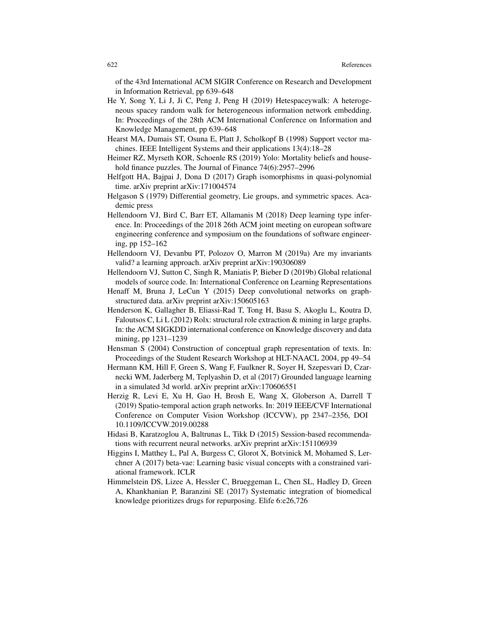of the 43rd International ACM SIGIR Conference on Research and Development in Information Retrieval, pp 639–648

- He Y, Song Y, Li J, Ji C, Peng J, Peng H (2019) Hetespaceywalk: A heterogeneous spacey random walk for heterogeneous information network embedding. In: Proceedings of the 28th ACM International Conference on Information and Knowledge Management, pp 639–648
- Hearst MA, Dumais ST, Osuna E, Platt J, Scholkopf B (1998) Support vector machines. IEEE Intelligent Systems and their applications 13(4):18–28
- Heimer RZ, Myrseth KOR, Schoenle RS (2019) Yolo: Mortality beliefs and household finance puzzles. The Journal of Finance 74(6):2957–2996
- Helfgott HA, Bajpai J, Dona D (2017) Graph isomorphisms in quasi-polynomial time. arXiv preprint arXiv:171004574
- Helgason S (1979) Differential geometry, Lie groups, and symmetric spaces. Academic press
- Hellendoorn VJ, Bird C, Barr ET, Allamanis M (2018) Deep learning type inference. In: Proceedings of the 2018 26th ACM joint meeting on european software engineering conference and symposium on the foundations of software engineering, pp 152–162
- Hellendoorn VJ, Devanbu PT, Polozov O, Marron M (2019a) Are my invariants valid? a learning approach. arXiv preprint arXiv:190306089
- Hellendoorn VJ, Sutton C, Singh R, Maniatis P, Bieber D (2019b) Global relational models of source code. In: International Conference on Learning Representations
- Henaff M, Bruna J, LeCun Y (2015) Deep convolutional networks on graphstructured data. arXiv preprint arXiv:150605163
- Henderson K, Gallagher B, Eliassi-Rad T, Tong H, Basu S, Akoglu L, Koutra D, Faloutsos C, Li L (2012) Rolx: structural role extraction & mining in large graphs. In: the ACM SIGKDD international conference on Knowledge discovery and data mining, pp 1231–1239
- Hensman S (2004) Construction of conceptual graph representation of texts. In: Proceedings of the Student Research Workshop at HLT-NAACL 2004, pp 49–54
- Hermann KM, Hill F, Green S, Wang F, Faulkner R, Soyer H, Szepesvari D, Czarnecki WM, Jaderberg M, Teplyashin D, et al (2017) Grounded language learning in a simulated 3d world. arXiv preprint arXiv:170606551
- Herzig R, Levi E, Xu H, Gao H, Brosh E, Wang X, Globerson A, Darrell T (2019) Spatio-temporal action graph networks. In: 2019 IEEE/CVF International Conference on Computer Vision Workshop (ICCVW), pp 2347–2356, DOI 10.1109/ICCVW.2019.00288
- Hidasi B, Karatzoglou A, Baltrunas L, Tikk D (2015) Session-based recommendations with recurrent neural networks. arXiv preprint arXiv:151106939
- Higgins I, Matthey L, Pal A, Burgess C, Glorot X, Botvinick M, Mohamed S, Lerchner A (2017) beta-vae: Learning basic visual concepts with a constrained variational framework. ICLR
- Himmelstein DS, Lizee A, Hessler C, Brueggeman L, Chen SL, Hadley D, Green A, Khankhanian P, Baranzini SE (2017) Systematic integration of biomedical knowledge prioritizes drugs for repurposing. Elife 6:e26,726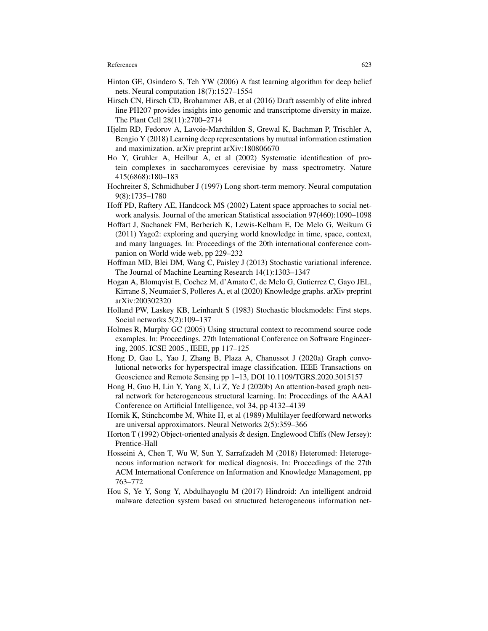- Hinton GE, Osindero S, Teh YW (2006) A fast learning algorithm for deep belief nets. Neural computation 18(7):1527–1554
- Hirsch CN, Hirsch CD, Brohammer AB, et al (2016) Draft assembly of elite inbred line PH207 provides insights into genomic and transcriptome diversity in maize. The Plant Cell 28(11):2700–2714
- Hjelm RD, Fedorov A, Lavoie-Marchildon S, Grewal K, Bachman P, Trischler A, Bengio Y (2018) Learning deep representations by mutual information estimation and maximization. arXiv preprint arXiv:180806670
- Ho Y, Gruhler A, Heilbut A, et al (2002) Systematic identification of protein complexes in saccharomyces cerevisiae by mass spectrometry. Nature 415(6868):180–183
- Hochreiter S, Schmidhuber J (1997) Long short-term memory. Neural computation 9(8):1735–1780
- Hoff PD, Raftery AE, Handcock MS (2002) Latent space approaches to social network analysis. Journal of the american Statistical association 97(460):1090–1098
- Hoffart J, Suchanek FM, Berberich K, Lewis-Kelham E, De Melo G, Weikum G (2011) Yago2: exploring and querying world knowledge in time, space, context, and many languages. In: Proceedings of the 20th international conference companion on World wide web, pp 229–232
- Hoffman MD, Blei DM, Wang C, Paisley J (2013) Stochastic variational inference. The Journal of Machine Learning Research 14(1):1303–1347
- Hogan A, Blomqvist E, Cochez M, d'Amato C, de Melo G, Gutierrez C, Gayo JEL, Kirrane S, Neumaier S, Polleres A, et al (2020) Knowledge graphs. arXiv preprint arXiv:200302320
- Holland PW, Laskey KB, Leinhardt S (1983) Stochastic blockmodels: First steps. Social networks 5(2):109–137
- Holmes R, Murphy GC (2005) Using structural context to recommend source code examples. In: Proceedings. 27th International Conference on Software Engineering, 2005. ICSE 2005., IEEE, pp 117–125
- Hong D, Gao L, Yao J, Zhang B, Plaza A, Chanussot J (2020a) Graph convolutional networks for hyperspectral image classification. IEEE Transactions on Geoscience and Remote Sensing pp 1–13, DOI 10.1109/TGRS.2020.3015157
- Hong H, Guo H, Lin Y, Yang X, Li Z, Ye J (2020b) An attention-based graph neural network for heterogeneous structural learning. In: Proceedings of the AAAI Conference on Artificial Intelligence, vol 34, pp 4132–4139
- Hornik K, Stinchcombe M, White H, et al (1989) Multilayer feedforward networks are universal approximators. Neural Networks 2(5):359–366
- Horton T (1992) Object-oriented analysis & design. Englewood Cliffs (New Jersey): Prentice-Hall
- Hosseini A, Chen T, Wu W, Sun Y, Sarrafzadeh M (2018) Heteromed: Heterogeneous information network for medical diagnosis. In: Proceedings of the 27th ACM International Conference on Information and Knowledge Management, pp 763–772
- Hou S, Ye Y, Song Y, Abdulhayoglu M (2017) Hindroid: An intelligent android malware detection system based on structured heterogeneous information net-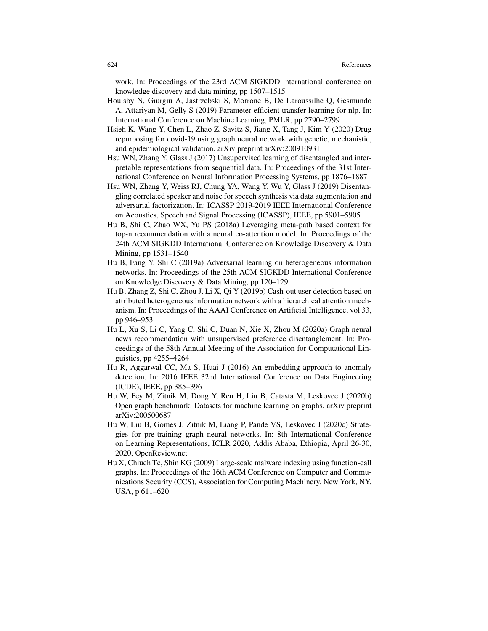work. In: Proceedings of the 23rd ACM SIGKDD international conference on knowledge discovery and data mining, pp 1507–1515

- Houlsby N, Giurgiu A, Jastrzebski S, Morrone B, De Laroussilhe Q, Gesmundo A, Attariyan M, Gelly S (2019) Parameter-efficient transfer learning for nlp. In: International Conference on Machine Learning, PMLR, pp 2790–2799
- Hsieh K, Wang Y, Chen L, Zhao Z, Savitz S, Jiang X, Tang J, Kim Y (2020) Drug repurposing for covid-19 using graph neural network with genetic, mechanistic, and epidemiological validation. arXiv preprint arXiv:200910931
- Hsu WN, Zhang Y, Glass J (2017) Unsupervised learning of disentangled and interpretable representations from sequential data. In: Proceedings of the 31st International Conference on Neural Information Processing Systems, pp 1876–1887
- Hsu WN, Zhang Y, Weiss RJ, Chung YA, Wang Y, Wu Y, Glass J (2019) Disentangling correlated speaker and noise for speech synthesis via data augmentation and adversarial factorization. In: ICASSP 2019-2019 IEEE International Conference on Acoustics, Speech and Signal Processing (ICASSP), IEEE, pp 5901–5905
- Hu B, Shi C, Zhao WX, Yu PS (2018a) Leveraging meta-path based context for top-n recommendation with a neural co-attention model. In: Proceedings of the 24th ACM SIGKDD International Conference on Knowledge Discovery & Data Mining, pp 1531–1540
- Hu B, Fang Y, Shi C (2019a) Adversarial learning on heterogeneous information networks. In: Proceedings of the 25th ACM SIGKDD International Conference on Knowledge Discovery & Data Mining, pp 120–129
- Hu B, Zhang Z, Shi C, Zhou J, Li X, Qi Y (2019b) Cash-out user detection based on attributed heterogeneous information network with a hierarchical attention mechanism. In: Proceedings of the AAAI Conference on Artificial Intelligence, vol 33, pp 946–953
- Hu L, Xu S, Li C, Yang C, Shi C, Duan N, Xie X, Zhou M (2020a) Graph neural news recommendation with unsupervised preference disentanglement. In: Proceedings of the 58th Annual Meeting of the Association for Computational Linguistics, pp 4255–4264
- Hu R, Aggarwal CC, Ma S, Huai J (2016) An embedding approach to anomaly detection. In: 2016 IEEE 32nd International Conference on Data Engineering (ICDE), IEEE, pp 385–396
- Hu W, Fey M, Zitnik M, Dong Y, Ren H, Liu B, Catasta M, Leskovec J (2020b) Open graph benchmark: Datasets for machine learning on graphs. arXiv preprint arXiv:200500687
- Hu W, Liu B, Gomes J, Zitnik M, Liang P, Pande VS, Leskovec J (2020c) Strategies for pre-training graph neural networks. In: 8th International Conference on Learning Representations, ICLR 2020, Addis Ababa, Ethiopia, April 26-30, 2020, OpenReview.net
- Hu X, Chiueh Tc, Shin KG (2009) Large-scale malware indexing using function-call graphs. In: Proceedings of the 16th ACM Conference on Computer and Communications Security (CCS), Association for Computing Machinery, New York, NY, USA, p 611–620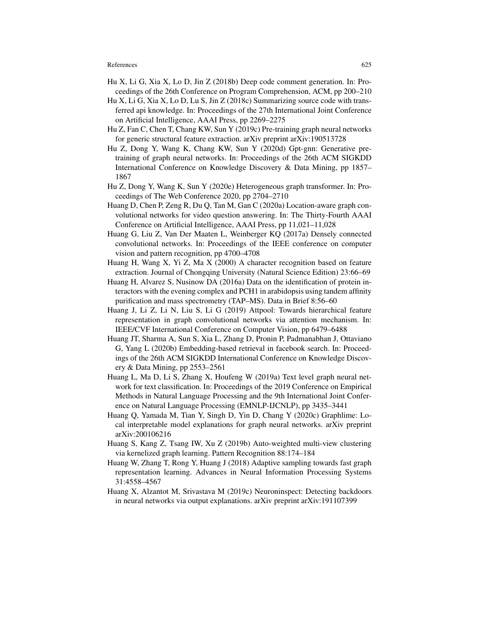- Hu X, Li G, Xia X, Lo D, Jin Z (2018b) Deep code comment generation. In: Proceedings of the 26th Conference on Program Comprehension, ACM, pp 200–210
- Hu X, Li G, Xia X, Lo D, Lu S, Jin Z (2018c) Summarizing source code with transferred api knowledge. In: Proceedings of the 27th International Joint Conference on Artificial Intelligence, AAAI Press, pp 2269–2275
- Hu Z, Fan C, Chen T, Chang KW, Sun Y (2019c) Pre-training graph neural networks for generic structural feature extraction. arXiv preprint arXiv:190513728
- Hu Z, Dong Y, Wang K, Chang KW, Sun Y (2020d) Gpt-gnn: Generative pretraining of graph neural networks. In: Proceedings of the 26th ACM SIGKDD International Conference on Knowledge Discovery & Data Mining, pp 1857– 1867
- Hu Z, Dong Y, Wang K, Sun Y (2020e) Heterogeneous graph transformer. In: Proceedings of The Web Conference 2020, pp 2704–2710
- Huang D, Chen P, Zeng R, Du Q, Tan M, Gan C (2020a) Location-aware graph convolutional networks for video question answering. In: The Thirty-Fourth AAAI Conference on Artificial Intelligence, AAAI Press, pp 11,021–11,028
- Huang G, Liu Z, Van Der Maaten L, Weinberger KQ (2017a) Densely connected convolutional networks. In: Proceedings of the IEEE conference on computer vision and pattern recognition, pp 4700–4708
- Huang H, Wang X, Yi Z, Ma X (2000) A character recognition based on feature extraction. Journal of Chongqing University (Natural Science Edition) 23:66–69
- Huang H, Alvarez S, Nusinow DA (2016a) Data on the identification of protein interactors with the evening complex and PCH1 in arabidopsis using tandem affinity purification and mass spectrometry (TAP–MS). Data in Brief 8:56–60
- Huang J, Li Z, Li N, Liu S, Li G (2019) Attpool: Towards hierarchical feature representation in graph convolutional networks via attention mechanism. In: IEEE/CVF International Conference on Computer Vision, pp 6479–6488
- Huang JT, Sharma A, Sun S, Xia L, Zhang D, Pronin P, Padmanabhan J, Ottaviano G, Yang L (2020b) Embedding-based retrieval in facebook search. In: Proceedings of the 26th ACM SIGKDD International Conference on Knowledge Discovery & Data Mining, pp 2553–2561
- Huang L, Ma D, Li S, Zhang X, Houfeng W (2019a) Text level graph neural network for text classification. In: Proceedings of the 2019 Conference on Empirical Methods in Natural Language Processing and the 9th International Joint Conference on Natural Language Processing (EMNLP-IJCNLP), pp 3435–3441
- Huang Q, Yamada M, Tian Y, Singh D, Yin D, Chang Y (2020c) Graphlime: Local interpretable model explanations for graph neural networks. arXiv preprint arXiv:200106216
- Huang S, Kang Z, Tsang IW, Xu Z (2019b) Auto-weighted multi-view clustering via kernelized graph learning. Pattern Recognition 88:174–184
- Huang W, Zhang T, Rong Y, Huang J (2018) Adaptive sampling towards fast graph representation learning. Advances in Neural Information Processing Systems 31:4558–4567
- Huang X, Alzantot M, Srivastava M (2019c) Neuroninspect: Detecting backdoors in neural networks via output explanations. arXiv preprint arXiv:191107399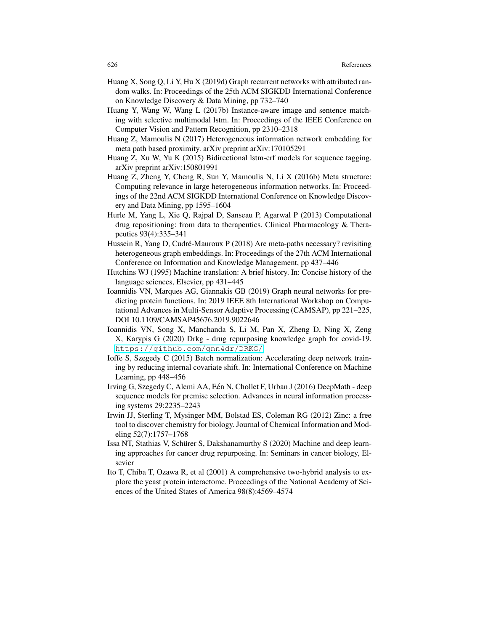- Huang X, Song Q, Li Y, Hu X (2019d) Graph recurrent networks with attributed random walks. In: Proceedings of the 25th ACM SIGKDD International Conference on Knowledge Discovery & Data Mining, pp 732–740
- Huang Y, Wang W, Wang L (2017b) Instance-aware image and sentence matching with selective multimodal lstm. In: Proceedings of the IEEE Conference on Computer Vision and Pattern Recognition, pp 2310–2318
- Huang Z, Mamoulis N (2017) Heterogeneous information network embedding for meta path based proximity. arXiv preprint arXiv:170105291
- Huang Z, Xu W, Yu K (2015) Bidirectional lstm-crf models for sequence tagging. arXiv preprint arXiv:150801991
- Huang Z, Zheng Y, Cheng R, Sun Y, Mamoulis N, Li X (2016b) Meta structure: Computing relevance in large heterogeneous information networks. In: Proceedings of the 22nd ACM SIGKDD International Conference on Knowledge Discovery and Data Mining, pp 1595–1604
- Hurle M, Yang L, Xie Q, Rajpal D, Sanseau P, Agarwal P (2013) Computational drug repositioning: from data to therapeutics. Clinical Pharmacology & Therapeutics 93(4):335–341
- Hussein R, Yang D, Cudré-Mauroux P  $(2018)$  Are meta-paths necessary? revisiting heterogeneous graph embeddings. In: Proceedings of the 27th ACM International Conference on Information and Knowledge Management, pp 437–446
- Hutchins WJ (1995) Machine translation: A brief history. In: Concise history of the language sciences, Elsevier, pp 431–445
- Ioannidis VN, Marques AG, Giannakis GB (2019) Graph neural networks for predicting protein functions. In: 2019 IEEE 8th International Workshop on Computational Advances in Multi-Sensor Adaptive Processing (CAMSAP), pp 221–225, DOI 10.1109/CAMSAP45676.2019.9022646
- Ioannidis VN, Song X, Manchanda S, Li M, Pan X, Zheng D, Ning X, Zeng X, Karypis G (2020) Drkg - drug repurposing knowledge graph for covid-19. <https://github.com/gnn4dr/DRKG/>
- Ioffe S, Szegedy C (2015) Batch normalization: Accelerating deep network training by reducing internal covariate shift. In: International Conference on Machine Learning, pp 448–456
- Irving G, Szegedy C, Alemi AA, Een N, Chollet F, Urban J (2016) DeepMath deep ´ sequence models for premise selection. Advances in neural information processing systems 29:2235–2243
- Irwin JJ, Sterling T, Mysinger MM, Bolstad ES, Coleman RG (2012) Zinc: a free tool to discover chemistry for biology. Journal of Chemical Information and Modeling 52(7):1757–1768
- Issa NT, Stathias V, Schurer S, Dakshanamurthy S (2020) Machine and deep learn- ¨ ing approaches for cancer drug repurposing. In: Seminars in cancer biology, Elsevier
- Ito T, Chiba T, Ozawa R, et al (2001) A comprehensive two-hybrid analysis to explore the yeast protein interactome. Proceedings of the National Academy of Sciences of the United States of America 98(8):4569–4574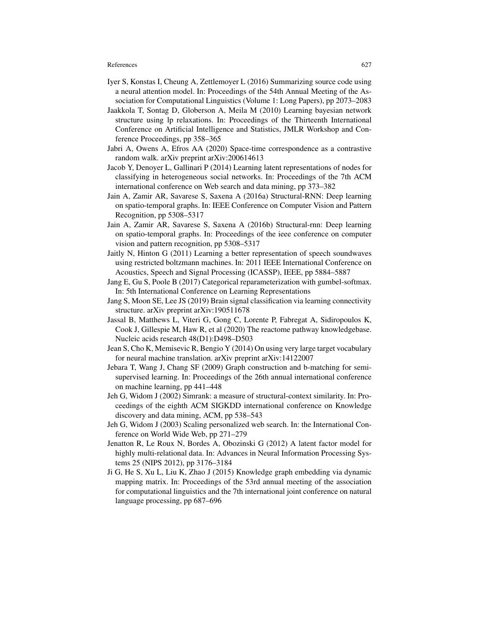- Iyer S, Konstas I, Cheung A, Zettlemoyer L (2016) Summarizing source code using a neural attention model. In: Proceedings of the 54th Annual Meeting of the Association for Computational Linguistics (Volume 1: Long Papers), pp 2073–2083
- Jaakkola T, Sontag D, Globerson A, Meila M (2010) Learning bayesian network structure using lp relaxations. In: Proceedings of the Thirteenth International Conference on Artificial Intelligence and Statistics, JMLR Workshop and Conference Proceedings, pp 358–365
- Jabri A, Owens A, Efros AA (2020) Space-time correspondence as a contrastive random walk. arXiv preprint arXiv:200614613
- Jacob Y, Denoyer L, Gallinari P (2014) Learning latent representations of nodes for classifying in heterogeneous social networks. In: Proceedings of the 7th ACM international conference on Web search and data mining, pp 373–382
- Jain A, Zamir AR, Savarese S, Saxena A (2016a) Structural-RNN: Deep learning on spatio-temporal graphs. In: IEEE Conference on Computer Vision and Pattern Recognition, pp 5308–5317
- Jain A, Zamir AR, Savarese S, Saxena A (2016b) Structural-rnn: Deep learning on spatio-temporal graphs. In: Proceedings of the ieee conference on computer vision and pattern recognition, pp 5308–5317
- Jaitly N, Hinton G (2011) Learning a better representation of speech soundwaves using restricted boltzmann machines. In: 2011 IEEE International Conference on Acoustics, Speech and Signal Processing (ICASSP), IEEE, pp 5884–5887
- Jang E, Gu S, Poole B (2017) Categorical reparameterization with gumbel-softmax. In: 5th International Conference on Learning Representations
- Jang S, Moon SE, Lee JS (2019) Brain signal classification via learning connectivity structure. arXiv preprint arXiv:190511678
- Jassal B, Matthews L, Viteri G, Gong C, Lorente P, Fabregat A, Sidiropoulos K, Cook J, Gillespie M, Haw R, et al (2020) The reactome pathway knowledgebase. Nucleic acids research 48(D1):D498–D503
- Jean S, Cho K, Memisevic R, Bengio Y (2014) On using very large target vocabulary for neural machine translation. arXiv preprint arXiv:14122007
- Jebara T, Wang J, Chang SF (2009) Graph construction and b-matching for semisupervised learning. In: Proceedings of the 26th annual international conference on machine learning, pp 441–448
- Jeh G, Widom J (2002) Simrank: a measure of structural-context similarity. In: Proceedings of the eighth ACM SIGKDD international conference on Knowledge discovery and data mining, ACM, pp 538–543
- Jeh G, Widom J (2003) Scaling personalized web search. In: the International Conference on World Wide Web, pp 271–279
- Jenatton R, Le Roux N, Bordes A, Obozinski G (2012) A latent factor model for highly multi-relational data. In: Advances in Neural Information Processing Systems 25 (NIPS 2012), pp 3176–3184
- Ji G, He S, Xu L, Liu K, Zhao J (2015) Knowledge graph embedding via dynamic mapping matrix. In: Proceedings of the 53rd annual meeting of the association for computational linguistics and the 7th international joint conference on natural language processing, pp 687–696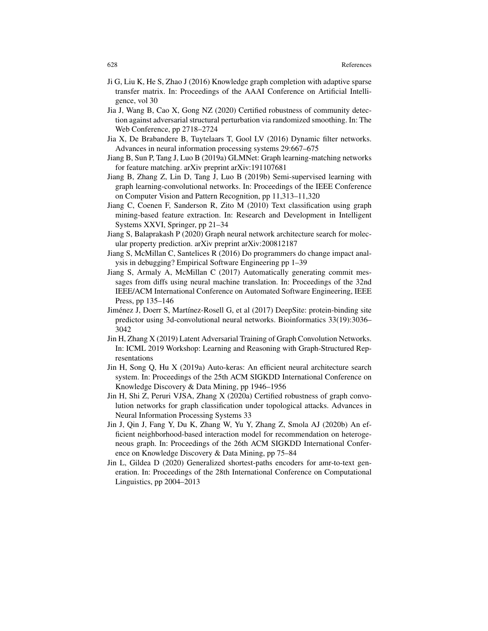- Ji G, Liu K, He S, Zhao J (2016) Knowledge graph completion with adaptive sparse transfer matrix. In: Proceedings of the AAAI Conference on Artificial Intelligence, vol 30
- Jia J, Wang B, Cao X, Gong NZ (2020) Certified robustness of community detection against adversarial structural perturbation via randomized smoothing. In: The Web Conference, pp 2718–2724
- Jia X, De Brabandere B, Tuytelaars T, Gool LV (2016) Dynamic filter networks. Advances in neural information processing systems 29:667–675
- Jiang B, Sun P, Tang J, Luo B (2019a) GLMNet: Graph learning-matching networks for feature matching. arXiv preprint arXiv:191107681
- Jiang B, Zhang Z, Lin D, Tang J, Luo B (2019b) Semi-supervised learning with graph learning-convolutional networks. In: Proceedings of the IEEE Conference on Computer Vision and Pattern Recognition, pp 11,313–11,320
- Jiang C, Coenen F, Sanderson R, Zito M (2010) Text classification using graph mining-based feature extraction. In: Research and Development in Intelligent Systems XXVI, Springer, pp 21–34
- Jiang S, Balaprakash P (2020) Graph neural network architecture search for molecular property prediction. arXiv preprint arXiv:200812187
- Jiang S, McMillan C, Santelices R (2016) Do programmers do change impact analysis in debugging? Empirical Software Engineering pp 1–39
- Jiang S, Armaly A, McMillan C (2017) Automatically generating commit messages from diffs using neural machine translation. In: Proceedings of the 32nd IEEE/ACM International Conference on Automated Software Engineering, IEEE Press, pp 135–146
- Jiménez J, Doerr S, Martínez-Rosell G, et al (2017) DeepSite: protein-binding site predictor using 3d-convolutional neural networks. Bioinformatics 33(19):3036– 3042
- Jin H, Zhang X (2019) Latent Adversarial Training of Graph Convolution Networks. In: ICML 2019 Workshop: Learning and Reasoning with Graph-Structured Representations
- Jin H, Song Q, Hu X (2019a) Auto-keras: An efficient neural architecture search system. In: Proceedings of the 25th ACM SIGKDD International Conference on Knowledge Discovery & Data Mining, pp 1946–1956
- Jin H, Shi Z, Peruri VJSA, Zhang X (2020a) Certified robustness of graph convolution networks for graph classification under topological attacks. Advances in Neural Information Processing Systems 33
- Jin J, Qin J, Fang Y, Du K, Zhang W, Yu Y, Zhang Z, Smola AJ (2020b) An efficient neighborhood-based interaction model for recommendation on heterogeneous graph. In: Proceedings of the 26th ACM SIGKDD International Conference on Knowledge Discovery & Data Mining, pp 75–84
- Jin L, Gildea D (2020) Generalized shortest-paths encoders for amr-to-text generation. In: Proceedings of the 28th International Conference on Computational Linguistics, pp 2004–2013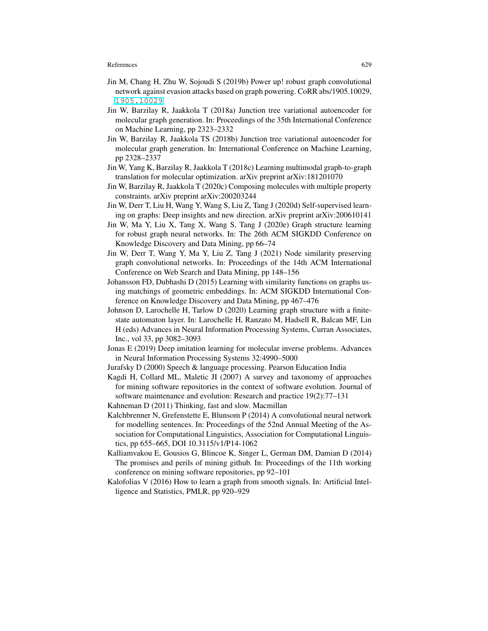- Jin M, Chang H, Zhu W, Sojoudi S (2019b) Power up! robust graph convolutional network against evasion attacks based on graph powering. CoRR abs/1905.10029, <1905.10029>
- Jin W, Barzilay R, Jaakkola T (2018a) Junction tree variational autoencoder for molecular graph generation. In: Proceedings of the 35th International Conference on Machine Learning, pp 2323–2332
- Jin W, Barzilay R, Jaakkola TS (2018b) Junction tree variational autoencoder for molecular graph generation. In: International Conference on Machine Learning, pp 2328–2337
- Jin W, Yang K, Barzilay R, Jaakkola T (2018c) Learning multimodal graph-to-graph translation for molecular optimization. arXiv preprint arXiv:181201070
- Jin W, Barzilay R, Jaakkola T (2020c) Composing molecules with multiple property constraints. arXiv preprint arXiv:200203244
- Jin W, Derr T, Liu H, Wang Y, Wang S, Liu Z, Tang J (2020d) Self-supervised learning on graphs: Deep insights and new direction. arXiv preprint arXiv:200610141
- Jin W, Ma Y, Liu X, Tang X, Wang S, Tang J (2020e) Graph structure learning for robust graph neural networks. In: The 26th ACM SIGKDD Conference on Knowledge Discovery and Data Mining, pp 66–74
- Jin W, Derr T, Wang Y, Ma Y, Liu Z, Tang J (2021) Node similarity preserving graph convolutional networks. In: Proceedings of the 14th ACM International Conference on Web Search and Data Mining, pp 148–156
- Johansson FD, Dubhashi D (2015) Learning with similarity functions on graphs using matchings of geometric embeddings. In: ACM SIGKDD International Conference on Knowledge Discovery and Data Mining, pp 467–476
- Johnson D, Larochelle H, Tarlow D (2020) Learning graph structure with a finitestate automaton layer. In: Larochelle H, Ranzato M, Hadsell R, Balcan MF, Lin H (eds) Advances in Neural Information Processing Systems, Curran Associates, Inc., vol 33, pp 3082–3093
- Jonas E (2019) Deep imitation learning for molecular inverse problems. Advances in Neural Information Processing Systems 32:4990–5000
- Jurafsky D (2000) Speech & language processing. Pearson Education India
- Kagdi H, Collard ML, Maletic JI (2007) A survey and taxonomy of approaches for mining software repositories in the context of software evolution. Journal of software maintenance and evolution: Research and practice 19(2):77–131
- Kahneman D (2011) Thinking, fast and slow. Macmillan
- Kalchbrenner N, Grefenstette E, Blunsom P (2014) A convolutional neural network for modelling sentences. In: Proceedings of the 52nd Annual Meeting of the Association for Computational Linguistics, Association for Computational Linguistics, pp 655–665, DOI 10.3115/v1/P14-1062
- Kalliamvakou E, Gousios G, Blincoe K, Singer L, German DM, Damian D (2014) The promises and perils of mining github. In: Proceedings of the 11th working conference on mining software repositories, pp 92–101
- Kalofolias V (2016) How to learn a graph from smooth signals. In: Artificial Intelligence and Statistics, PMLR, pp 920–929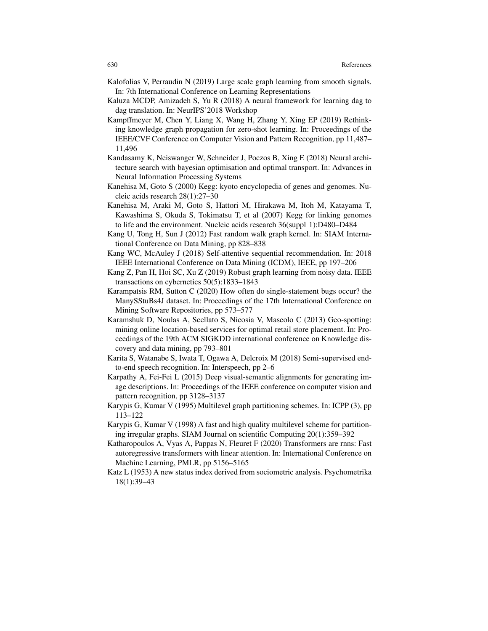- Kalofolias V, Perraudin N (2019) Large scale graph learning from smooth signals. In: 7th International Conference on Learning Representations
- Kaluza MCDP, Amizadeh S, Yu R (2018) A neural framework for learning dag to dag translation. In: NeurIPS'2018 Workshop
- Kampffmeyer M, Chen Y, Liang X, Wang H, Zhang Y, Xing EP (2019) Rethinking knowledge graph propagation for zero-shot learning. In: Proceedings of the IEEE/CVF Conference on Computer Vision and Pattern Recognition, pp 11,487– 11,496
- Kandasamy K, Neiswanger W, Schneider J, Poczos B, Xing E (2018) Neural architecture search with bayesian optimisation and optimal transport. In: Advances in Neural Information Processing Systems
- Kanehisa M, Goto S (2000) Kegg: kyoto encyclopedia of genes and genomes. Nucleic acids research 28(1):27–30
- Kanehisa M, Araki M, Goto S, Hattori M, Hirakawa M, Itoh M, Katayama T, Kawashima S, Okuda S, Tokimatsu T, et al (2007) Kegg for linking genomes to life and the environment. Nucleic acids research  $36\text{(suppl-1)}$ :D480–D484
- Kang U, Tong H, Sun J (2012) Fast random walk graph kernel. In: SIAM International Conference on Data Mining, pp 828–838
- Kang WC, McAuley J (2018) Self-attentive sequential recommendation. In: 2018 IEEE International Conference on Data Mining (ICDM), IEEE, pp 197–206
- Kang Z, Pan H, Hoi SC, Xu Z (2019) Robust graph learning from noisy data. IEEE transactions on cybernetics 50(5):1833–1843
- Karampatsis RM, Sutton C (2020) How often do single-statement bugs occur? the ManySStuBs4J dataset. In: Proceedings of the 17th International Conference on Mining Software Repositories, pp 573–577
- Karamshuk D, Noulas A, Scellato S, Nicosia V, Mascolo C (2013) Geo-spotting: mining online location-based services for optimal retail store placement. In: Proceedings of the 19th ACM SIGKDD international conference on Knowledge discovery and data mining, pp 793–801
- Karita S, Watanabe S, Iwata T, Ogawa A, Delcroix M (2018) Semi-supervised endto-end speech recognition. In: Interspeech, pp 2–6
- Karpathy A, Fei-Fei L (2015) Deep visual-semantic alignments for generating image descriptions. In: Proceedings of the IEEE conference on computer vision and pattern recognition, pp 3128–3137
- Karypis G, Kumar V (1995) Multilevel graph partitioning schemes. In: ICPP (3), pp 113–122
- Karypis G, Kumar V (1998) A fast and high quality multilevel scheme for partitioning irregular graphs. SIAM Journal on scientific Computing 20(1):359–392
- Katharopoulos A, Vyas A, Pappas N, Fleuret F (2020) Transformers are rnns: Fast autoregressive transformers with linear attention. In: International Conference on Machine Learning, PMLR, pp 5156–5165
- Katz L (1953) A new status index derived from sociometric analysis. Psychometrika 18(1):39–43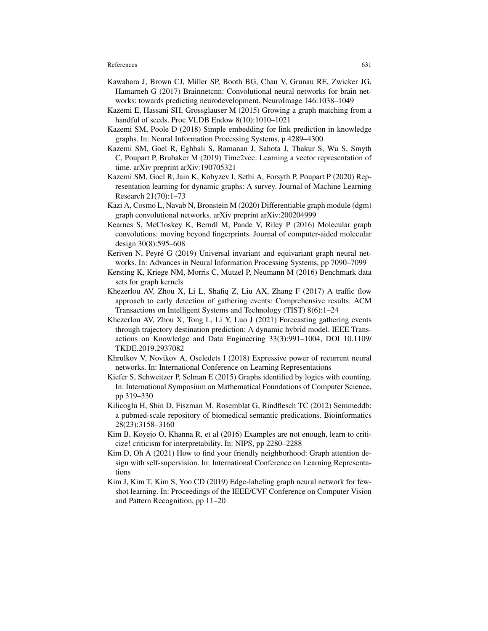- Kawahara J, Brown CJ, Miller SP, Booth BG, Chau V, Grunau RE, Zwicker JG, Hamarneh G (2017) Brainnetcnn: Convolutional neural networks for brain networks; towards predicting neurodevelopment. NeuroImage 146:1038–1049
- Kazemi E, Hassani SH, Grossglauser M (2015) Growing a graph matching from a handful of seeds. Proc VLDB Endow 8(10):1010–1021
- Kazemi SM, Poole D (2018) Simple embedding for link prediction in knowledge graphs. In: Neural Information Processing Systems, p 4289–4300
- Kazemi SM, Goel R, Eghbali S, Ramanan J, Sahota J, Thakur S, Wu S, Smyth C, Poupart P, Brubaker M (2019) Time2vec: Learning a vector representation of time. arXiv preprint arXiv:190705321
- Kazemi SM, Goel R, Jain K, Kobyzev I, Sethi A, Forsyth P, Poupart P (2020) Representation learning for dynamic graphs: A survey. Journal of Machine Learning Research 21(70):1–73
- Kazi A, Cosmo L, Navab N, Bronstein M (2020) Differentiable graph module (dgm) graph convolutional networks. arXiv preprint arXiv:200204999
- Kearnes S, McCloskey K, Berndl M, Pande V, Riley P (2016) Molecular graph convolutions: moving beyond fingerprints. Journal of computer-aided molecular design 30(8):595–608
- Keriven N, Peyré G (2019) Universal invariant and equivariant graph neural networks. In: Advances in Neural Information Processing Systems, pp 7090–7099
- Kersting K, Kriege NM, Morris C, Mutzel P, Neumann M (2016) Benchmark data sets for graph kernels
- Khezerlou AV, Zhou X, Li L, Shafiq Z, Liu AX, Zhang F (2017) A traffic flow approach to early detection of gathering events: Comprehensive results. ACM Transactions on Intelligent Systems and Technology (TIST) 8(6):1–24
- Khezerlou AV, Zhou X, Tong L, Li Y, Luo J (2021) Forecasting gathering events through trajectory destination prediction: A dynamic hybrid model. IEEE Transactions on Knowledge and Data Engineering 33(3):991–1004, DOI 10.1109/ TKDE.2019.2937082
- Khrulkov V, Novikov A, Oseledets I (2018) Expressive power of recurrent neural networks. In: International Conference on Learning Representations
- Kiefer S, Schweitzer P, Selman E (2015) Graphs identified by logics with counting. In: International Symposium on Mathematical Foundations of Computer Science, pp 319–330
- Kilicoglu H, Shin D, Fiszman M, Rosemblat G, Rindflesch TC (2012) Semmeddb: a pubmed-scale repository of biomedical semantic predications. Bioinformatics 28(23):3158–3160
- Kim B, Koyejo O, Khanna R, et al (2016) Examples are not enough, learn to criticize! criticism for interpretability. In: NIPS, pp 2280–2288
- Kim D, Oh A (2021) How to find your friendly neighborhood: Graph attention design with self-supervision. In: International Conference on Learning Representations
- Kim J, Kim T, Kim S, Yoo CD (2019) Edge-labeling graph neural network for fewshot learning. In: Proceedings of the IEEE/CVF Conference on Computer Vision and Pattern Recognition, pp 11–20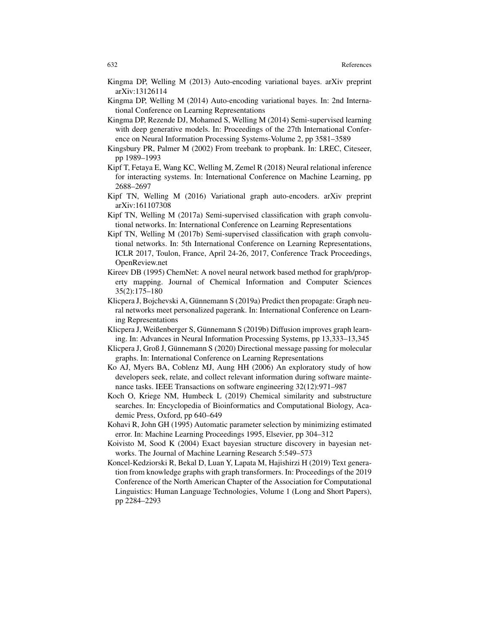- Kingma DP, Welling M (2013) Auto-encoding variational bayes. arXiv preprint arXiv:13126114
- Kingma DP, Welling M (2014) Auto-encoding variational bayes. In: 2nd International Conference on Learning Representations
- Kingma DP, Rezende DJ, Mohamed S, Welling M (2014) Semi-supervised learning with deep generative models. In: Proceedings of the 27th International Conference on Neural Information Processing Systems-Volume 2, pp 3581–3589
- Kingsbury PR, Palmer M (2002) From treebank to propbank. In: LREC, Citeseer, pp 1989–1993
- Kipf T, Fetaya E, Wang KC, Welling M, Zemel R (2018) Neural relational inference for interacting systems. In: International Conference on Machine Learning, pp 2688–2697
- Kipf TN, Welling M (2016) Variational graph auto-encoders. arXiv preprint arXiv:161107308
- Kipf TN, Welling M (2017a) Semi-supervised classification with graph convolutional networks. In: International Conference on Learning Representations
- Kipf TN, Welling M (2017b) Semi-supervised classification with graph convolutional networks. In: 5th International Conference on Learning Representations, ICLR 2017, Toulon, France, April 24-26, 2017, Conference Track Proceedings, OpenReview.net
- Kireev DB (1995) ChemNet: A novel neural network based method for graph/property mapping. Journal of Chemical Information and Computer Sciences 35(2):175–180
- Klicpera J, Bojchevski A, Günnemann S (2019a) Predict then propagate: Graph neural networks meet personalized pagerank. In: International Conference on Learning Representations
- Klicpera J, Weißenberger S, Günnemann S (2019b) Diffusion improves graph learning. In: Advances in Neural Information Processing Systems, pp 13,333–13,345
- Klicpera J, Groß J, Günnemann S (2020) Directional message passing for molecular graphs. In: International Conference on Learning Representations
- Ko AJ, Myers BA, Coblenz MJ, Aung HH (2006) An exploratory study of how developers seek, relate, and collect relevant information during software maintenance tasks. IEEE Transactions on software engineering 32(12):971–987
- Koch O, Kriege NM, Humbeck L (2019) Chemical similarity and substructure searches. In: Encyclopedia of Bioinformatics and Computational Biology, Academic Press, Oxford, pp 640–649
- Kohavi R, John GH (1995) Automatic parameter selection by minimizing estimated error. In: Machine Learning Proceedings 1995, Elsevier, pp 304–312
- Koivisto M, Sood K (2004) Exact bayesian structure discovery in bayesian networks. The Journal of Machine Learning Research 5:549–573
- Koncel-Kedziorski R, Bekal D, Luan Y, Lapata M, Hajishirzi H (2019) Text generation from knowledge graphs with graph transformers. In: Proceedings of the 2019 Conference of the North American Chapter of the Association for Computational Linguistics: Human Language Technologies, Volume 1 (Long and Short Papers), pp 2284–2293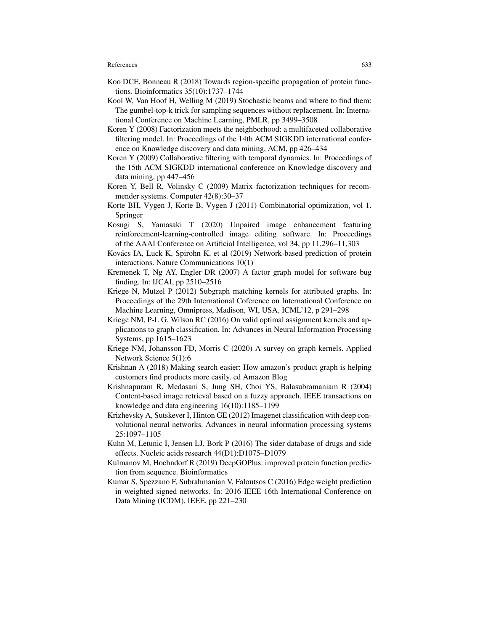- Koo DCE, Bonneau R (2018) Towards region-specific propagation of protein functions. Bioinformatics 35(10):1737–1744
- Kool W, Van Hoof H, Welling M (2019) Stochastic beams and where to find them: The gumbel-top-k trick for sampling sequences without replacement. In: International Conference on Machine Learning, PMLR, pp 3499–3508
- Koren Y (2008) Factorization meets the neighborhood: a multifaceted collaborative filtering model. In: Proceedings of the 14th ACM SIGKDD international conference on Knowledge discovery and data mining, ACM, pp 426–434
- Koren Y (2009) Collaborative filtering with temporal dynamics. In: Proceedings of the 15th ACM SIGKDD international conference on Knowledge discovery and data mining, pp 447–456
- Koren Y, Bell R, Volinsky C (2009) Matrix factorization techniques for recommender systems. Computer 42(8):30–37
- Korte BH, Vygen J, Korte B, Vygen J (2011) Combinatorial optimization, vol 1. Springer
- Kosugi S, Yamasaki T (2020) Unpaired image enhancement featuring reinforcement-learning-controlled image editing software. In: Proceedings of the AAAI Conference on Artificial Intelligence, vol 34, pp 11,296–11,303
- Kovács IA, Luck K, Spirohn K, et al (2019) Network-based prediction of protein interactions. Nature Communications 10(1)
- Kremenek T, Ng AY, Engler DR (2007) A factor graph model for software bug finding. In: IJCAI, pp 2510–2516
- Kriege N, Mutzel P (2012) Subgraph matching kernels for attributed graphs. In: Proceedings of the 29th International Coference on International Conference on Machine Learning, Omnipress, Madison, WI, USA, ICML'12, p 291–298
- Kriege NM, P-L G, Wilson RC (2016) On valid optimal assignment kernels and applications to graph classification. In: Advances in Neural Information Processing Systems, pp 1615–1623
- Kriege NM, Johansson FD, Morris C (2020) A survey on graph kernels. Applied Network Science 5(1):6
- Krishnan A (2018) Making search easier: How amazon's product graph is helping customers find products more easily. ed Amazon Blog
- Krishnapuram R, Medasani S, Jung SH, Choi YS, Balasubramaniam R (2004) Content-based image retrieval based on a fuzzy approach. IEEE transactions on knowledge and data engineering 16(10):1185–1199
- Krizhevsky A, Sutskever I, Hinton GE (2012) Imagenet classification with deep convolutional neural networks. Advances in neural information processing systems 25:1097–1105
- Kuhn M, Letunic I, Jensen LJ, Bork P (2016) The sider database of drugs and side effects. Nucleic acids research 44(D1):D1075–D1079
- Kulmanov M, Hoehndorf R (2019) DeepGOPlus: improved protein function prediction from sequence. Bioinformatics
- Kumar S, Spezzano F, Subrahmanian V, Faloutsos C (2016) Edge weight prediction in weighted signed networks. In: 2016 IEEE 16th International Conference on Data Mining (ICDM), IEEE, pp 221–230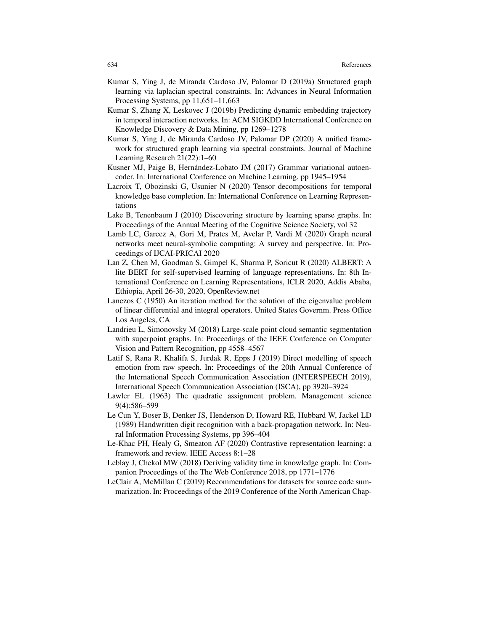- Kumar S, Ying J, de Miranda Cardoso JV, Palomar D (2019a) Structured graph learning via laplacian spectral constraints. In: Advances in Neural Information Processing Systems, pp 11,651–11,663
- Kumar S, Zhang X, Leskovec J (2019b) Predicting dynamic embedding trajectory in temporal interaction networks. In: ACM SIGKDD International Conference on Knowledge Discovery & Data Mining, pp 1269–1278
- Kumar S, Ying J, de Miranda Cardoso JV, Palomar DP (2020) A unified framework for structured graph learning via spectral constraints. Journal of Machine Learning Research 21(22):1–60
- Kusner MJ, Paige B, Hernández-Lobato JM (2017) Grammar variational autoencoder. In: International Conference on Machine Learning, pp 1945–1954
- Lacroix T, Obozinski G, Usunier N (2020) Tensor decompositions for temporal knowledge base completion. In: International Conference on Learning Representations
- Lake B, Tenenbaum J (2010) Discovering structure by learning sparse graphs. In: Proceedings of the Annual Meeting of the Cognitive Science Society, vol 32
- Lamb LC, Garcez A, Gori M, Prates M, Avelar P, Vardi M (2020) Graph neural networks meet neural-symbolic computing: A survey and perspective. In: Proceedings of IJCAI-PRICAI 2020
- Lan Z, Chen M, Goodman S, Gimpel K, Sharma P, Soricut R (2020) ALBERT: A lite BERT for self-supervised learning of language representations. In: 8th International Conference on Learning Representations, ICLR 2020, Addis Ababa, Ethiopia, April 26-30, 2020, OpenReview.net
- Lanczos C (1950) An iteration method for the solution of the eigenvalue problem of linear differential and integral operators. United States Governm. Press Office Los Angeles, CA
- Landrieu L, Simonovsky M (2018) Large-scale point cloud semantic segmentation with superpoint graphs. In: Proceedings of the IEEE Conference on Computer Vision and Pattern Recognition, pp 4558–4567
- Latif S, Rana R, Khalifa S, Jurdak R, Epps J (2019) Direct modelling of speech emotion from raw speech. In: Proceedings of the 20th Annual Conference of the International Speech Communication Association (INTERSPEECH 2019), International Speech Communication Association (ISCA), pp 3920–3924
- Lawler EL (1963) The quadratic assignment problem. Management science 9(4):586–599
- Le Cun Y, Boser B, Denker JS, Henderson D, Howard RE, Hubbard W, Jackel LD (1989) Handwritten digit recognition with a back-propagation network. In: Neural Information Processing Systems, pp 396–404
- Le-Khac PH, Healy G, Smeaton AF (2020) Contrastive representation learning: a framework and review. IEEE Access 8:1–28
- Leblay J, Chekol MW (2018) Deriving validity time in knowledge graph. In: Companion Proceedings of the The Web Conference 2018, pp 1771–1776
- LeClair A, McMillan C (2019) Recommendations for datasets for source code summarization. In: Proceedings of the 2019 Conference of the North American Chap-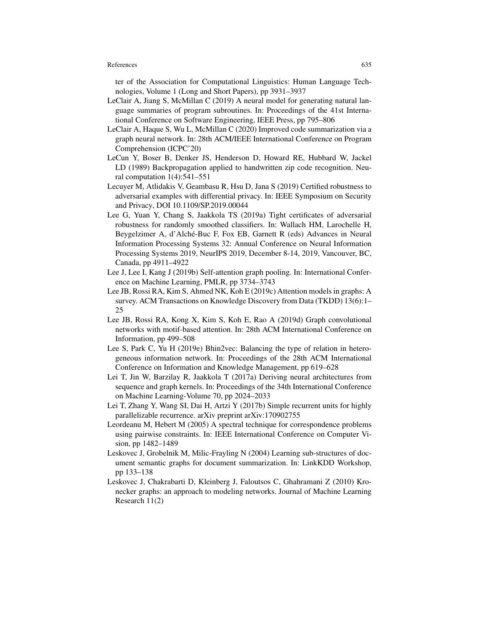ter of the Association for Computational Linguistics: Human Language Technologies, Volume 1 (Long and Short Papers), pp 3931–3937

- LeClair A, Jiang S, McMillan C (2019) A neural model for generating natural language summaries of program subroutines. In: Proceedings of the 41st International Conference on Software Engineering, IEEE Press, pp 795–806
- LeClair A, Haque S, Wu L, McMillan C (2020) Improved code summarization via a graph neural network. In: 28th ACM/IEEE International Conference on Program Comprehension (ICPC'20)
- LeCun Y, Boser B, Denker JS, Henderson D, Howard RE, Hubbard W, Jackel LD (1989) Backpropagation applied to handwritten zip code recognition. Neural computation  $1(4)$ :541-551
- Lecuyer M, Atlidakis V, Geambasu R, Hsu D, Jana S (2019) Certified robustness to adversarial examples with differential privacy. In: IEEE Symposium on Security and Privacy, DOI 10.1109/SP.2019.00044
- Lee G, Yuan Y, Chang S, Jaakkola TS (2019a) Tight certificates of adversarial robustness for randomly smoothed classifiers. In: Wallach HM, Larochelle H, Beygelzimer A, d'Alché-Buc F, Fox EB, Garnett R (eds) Advances in Neural Information Processing Systems 32: Annual Conference on Neural Information Processing Systems 2019, NeurIPS 2019, December 8-14, 2019, Vancouver, BC, Canada, pp 4911–4922
- Lee J, Lee I, Kang J (2019b) Self-attention graph pooling. In: International Conference on Machine Learning, PMLR, pp 3734–3743
- Lee JB, Rossi RA, Kim S, Ahmed NK, Koh E (2019c) Attention models in graphs: A survey. ACM Transactions on Knowledge Discovery from Data (TKDD) 13(6):1-25
- Lee JB, Rossi RA, Kong X, Kim S, Koh E, Rao A (2019d) Graph convolutional networks with motif-based attention. In: 28th ACM International Conference on Information, pp 499–508
- Lee S, Park C, Yu H (2019e) Bhin2vec: Balancing the type of relation in heterogeneous information network. In: Proceedings of the 28th ACM International Conference on Information and Knowledge Management, pp 619–628
- Lei T, Jin W, Barzilay R, Jaakkola T (2017a) Deriving neural architectures from sequence and graph kernels. In: Proceedings of the 34th International Conference on Machine Learning-Volume 70, pp 2024–2033
- Lei T, Zhang Y, Wang SI, Dai H, Artzi Y (2017b) Simple recurrent units for highly parallelizable recurrence. arXiv preprint arXiv:170902755
- Leordeanu M, Hebert M (2005) A spectral technique for correspondence problems using pairwise constraints. In: IEEE International Conference on Computer Vision, pp 1482–1489
- Leskovec J, Grobelnik M, Milic-Frayling N (2004) Learning sub-structures of document semantic graphs for document summarization. In: LinkKDD Workshop, pp 133–138
- Leskovec J, Chakrabarti D, Kleinberg J, Faloutsos C, Ghahramani Z (2010) Kronecker graphs: an approach to modeling networks. Journal of Machine Learning Research 11(2)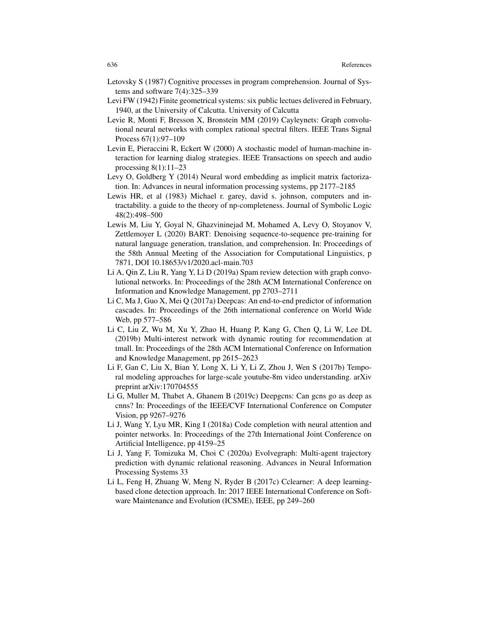- Letovsky S (1987) Cognitive processes in program comprehension. Journal of Systems and software 7(4):325–339
- Levi FW (1942) Finite geometrical systems: six public lectues delivered in February, 1940, at the University of Calcutta. University of Calcutta
- Levie R, Monti F, Bresson X, Bronstein MM (2019) Cayleynets: Graph convolutional neural networks with complex rational spectral filters. IEEE Trans Signal Process 67(1):97–109
- Levin E, Pieraccini R, Eckert W (2000) A stochastic model of human-machine interaction for learning dialog strategies. IEEE Transactions on speech and audio processing 8(1):11–23
- Levy O, Goldberg Y (2014) Neural word embedding as implicit matrix factorization. In: Advances in neural information processing systems, pp 2177–2185
- Lewis HR, et al (1983) Michael r. garey, david s. johnson, computers and intractability. a guide to the theory of np-completeness. Journal of Symbolic Logic 48(2):498–500
- Lewis M, Liu Y, Goyal N, Ghazvininejad M, Mohamed A, Levy O, Stoyanov V, Zettlemoyer L (2020) BART: Denoising sequence-to-sequence pre-training for natural language generation, translation, and comprehension. In: Proceedings of the 58th Annual Meeting of the Association for Computational Linguistics, p 7871, DOI 10.18653/v1/2020.acl-main.703
- Li A, Qin Z, Liu R, Yang Y, Li D (2019a) Spam review detection with graph convolutional networks. In: Proceedings of the 28th ACM International Conference on Information and Knowledge Management, pp 2703–2711
- Li C, Ma J, Guo X, Mei Q (2017a) Deepcas: An end-to-end predictor of information cascades. In: Proceedings of the 26th international conference on World Wide Web, pp 577–586
- Li C, Liu Z, Wu M, Xu Y, Zhao H, Huang P, Kang G, Chen Q, Li W, Lee DL (2019b) Multi-interest network with dynamic routing for recommendation at tmall. In: Proceedings of the 28th ACM International Conference on Information and Knowledge Management, pp 2615–2623
- Li F, Gan C, Liu X, Bian Y, Long X, Li Y, Li Z, Zhou J, Wen S (2017b) Temporal modeling approaches for large-scale youtube-8m video understanding. arXiv preprint arXiv:170704555
- Li G, Muller M, Thabet A, Ghanem B (2019c) Deepgcns: Can gcns go as deep as cnns? In: Proceedings of the IEEE/CVF International Conference on Computer Vision, pp 9267–9276
- Li J, Wang Y, Lyu MR, King I (2018a) Code completion with neural attention and pointer networks. In: Proceedings of the 27th International Joint Conference on Artificial Intelligence, pp 4159–25
- Li J, Yang F, Tomizuka M, Choi C (2020a) Evolvegraph: Multi-agent trajectory prediction with dynamic relational reasoning. Advances in Neural Information Processing Systems 33
- Li L, Feng H, Zhuang W, Meng N, Ryder B (2017c) Cclearner: A deep learningbased clone detection approach. In: 2017 IEEE International Conference on Software Maintenance and Evolution (ICSME), IEEE, pp 249–260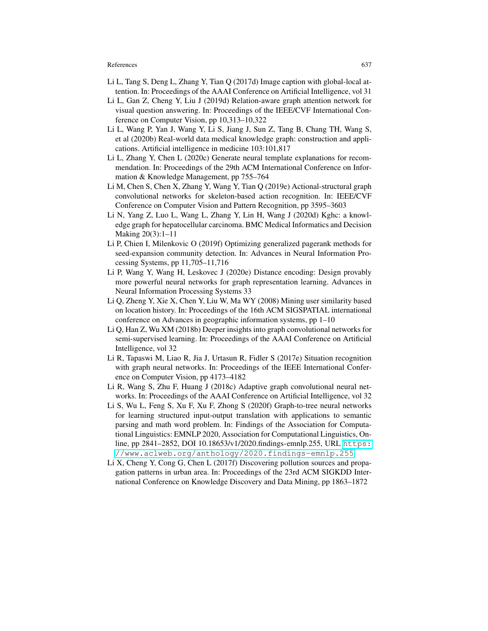- Li L, Tang S, Deng L, Zhang Y, Tian Q (2017d) Image caption with global-local attention. In: Proceedings of the AAAI Conference on Artificial Intelligence, vol 31
- Li L, Gan Z, Cheng Y, Liu J (2019d) Relation-aware graph attention network for visual question answering. In: Proceedings of the IEEE/CVF International Conference on Computer Vision, pp 10,313–10,322
- Li L, Wang P, Yan J, Wang Y, Li S, Jiang J, Sun Z, Tang B, Chang TH, Wang S, et al (2020b) Real-world data medical knowledge graph: construction and applications. Artificial intelligence in medicine 103:101,817
- Li L, Zhang Y, Chen L (2020c) Generate neural template explanations for recommendation. In: Proceedings of the 29th ACM International Conference on Information & Knowledge Management, pp 755–764
- Li M, Chen S, Chen X, Zhang Y, Wang Y, Tian Q (2019e) Actional-structural graph convolutional networks for skeleton-based action recognition. In: IEEE/CVF Conference on Computer Vision and Pattern Recognition, pp 3595–3603
- Li N, Yang Z, Luo L, Wang L, Zhang Y, Lin H, Wang J (2020d) Kghc: a knowledge graph for hepatocellular carcinoma. BMC Medical Informatics and Decision Making 20(3):1–11
- Li P, Chien I, Milenkovic O (2019f) Optimizing generalized pagerank methods for seed-expansion community detection. In: Advances in Neural Information Processing Systems, pp 11,705–11,716
- Li P, Wang Y, Wang H, Leskovec J (2020e) Distance encoding: Design provably more powerful neural networks for graph representation learning. Advances in Neural Information Processing Systems 33
- Li Q, Zheng Y, Xie X, Chen Y, Liu W, Ma WY (2008) Mining user similarity based on location history. In: Proceedings of the 16th ACM SIGSPATIAL international conference on Advances in geographic information systems, pp 1–10
- Li Q, Han Z, Wu XM (2018b) Deeper insights into graph convolutional networks for semi-supervised learning. In: Proceedings of the AAAI Conference on Artificial Intelligence, vol 32
- Li R, Tapaswi M, Liao R, Jia J, Urtasun R, Fidler S (2017e) Situation recognition with graph neural networks. In: Proceedings of the IEEE International Conference on Computer Vision, pp 4173–4182
- Li R, Wang S, Zhu F, Huang J (2018c) Adaptive graph convolutional neural networks. In: Proceedings of the AAAI Conference on Artificial Intelligence, vol 32
- Li S, Wu L, Feng S, Xu F, Xu F, Zhong S (2020f) Graph-to-tree neural networks for learning structured input-output translation with applications to semantic parsing and math word problem. In: Findings of the Association for Computational Linguistics: EMNLP 2020, Association for Computational Linguistics, Online, pp 2841–2852, DOI 10.18653/v1/2020.findings-emnlp.255, URL  $\frac{\text{https://www.spt.org/}{\text{https://www.spt.org/}{\text{https://www.spt.org/}{\text{https://www.spt.org/}{\text{https://www.spt.org/}{\text{https://www.spt.org/}{\text{https://www.spt.org/}{\text{https://www.spt.org/}{\text{https://www.spt.org/}{\text{https://www.spt.org/}{\text{https://www.spt.org/}{\text{https://www.spt.org/}{\text{https://www.spt.org/}{\text{https://www.spt.org/$  $\frac{\text{https://www.spt.org/}{\text{https://www.spt.org/}{\text{https://www.spt.org/}{\text{https://www.spt.org/}{\text{https://www.spt.org/}{\text{https://www.spt.org/}{\text{https://www.spt.org/}{\text{https://www.spt.org/}{\text{https://www.spt.org/}{\text{https://www.spt.org/}{\text{https://www.spt.org/}{\text{https://www.spt.org/}{\text{https://www.spt.org/}{\text{https://www.spt.org/$  $\frac{\text{https://www.spt.org/}{\text{https://www.spt.org/}{\text{https://www.spt.org/}{\text{https://www.spt.org/}{\text{https://www.spt.org/}{\text{https://www.spt.org/}{\text{https://www.spt.org/}{\text{https://www.spt.org/}{\text{https://www.spt.org/}{\text{https://www.spt.org/}{\text{https://www.spt.org/}{\text{https://www.spt.org/}{\text{https://www.spt.org/}{\text{https://www.spt.org/$ [//www.aclweb.org/anthology/2020.findings-emnlp.255](https://www.aclweb.org/anthology/2020.findings-emnlp.255)
- Li X, Cheng Y, Cong G, Chen L (2017f) Discovering pollution sources and propagation patterns in urban area. In: Proceedings of the 23rd ACM SIGKDD International Conference on Knowledge Discovery and Data Mining, pp 1863–1872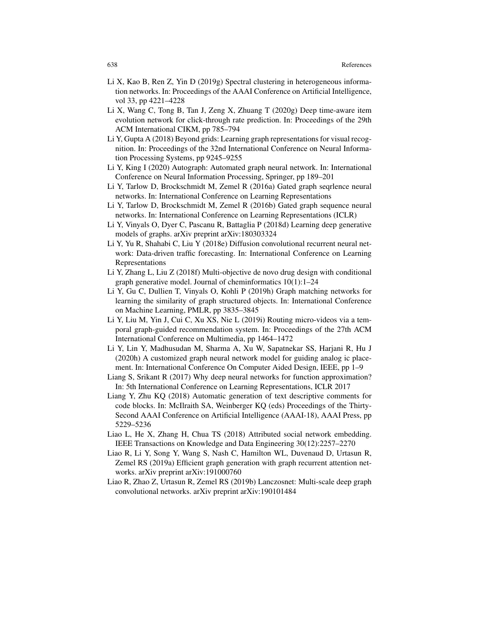- Li X, Kao B, Ren Z, Yin D (2019g) Spectral clustering in heterogeneous information networks. In: Proceedings of the AAAI Conference on Artificial Intelligence, vol 33, pp 4221–4228
- Li X, Wang C, Tong B, Tan J, Zeng X, Zhuang T (2020g) Deep time-aware item evolution network for click-through rate prediction. In: Proceedings of the 29th ACM International CIKM, pp 785–794
- Li Y, Gupta A (2018) Beyond grids: Learning graph representations for visual recognition. In: Proceedings of the 32nd International Conference on Neural Information Processing Systems, pp 9245–9255
- Li Y, King I (2020) Autograph: Automated graph neural network. In: International Conference on Neural Information Processing, Springer, pp 189–201
- Li Y, Tarlow D, Brockschmidt M, Zemel R (2016a) Gated graph seqrlence neural networks. In: International Conference on Learning Representations
- Li Y, Tarlow D, Brockschmidt M, Zemel R (2016b) Gated graph sequence neural networks. In: International Conference on Learning Representations (ICLR)
- Li Y, Vinyals O, Dyer C, Pascanu R, Battaglia P (2018d) Learning deep generative models of graphs. arXiv preprint arXiv:180303324
- Li Y, Yu R, Shahabi C, Liu Y (2018e) Diffusion convolutional recurrent neural network: Data-driven traffic forecasting. In: International Conference on Learning Representations
- Li Y, Zhang L, Liu Z (2018f) Multi-objective de novo drug design with conditional graph generative model. Journal of cheminformatics 10(1):1–24
- Li Y, Gu C, Dullien T, Vinyals O, Kohli P (2019h) Graph matching networks for learning the similarity of graph structured objects. In: International Conference on Machine Learning, PMLR, pp 3835–3845
- Li Y, Liu M, Yin J, Cui C, Xu XS, Nie L (2019i) Routing micro-videos via a temporal graph-guided recommendation system. In: Proceedings of the 27th ACM International Conference on Multimedia, pp 1464–1472
- Li Y, Lin Y, Madhusudan M, Sharma A, Xu W, Sapatnekar SS, Harjani R, Hu J (2020h) A customized graph neural network model for guiding analog ic placement. In: International Conference On Computer Aided Design, IEEE, pp 1–9
- Liang S, Srikant R (2017) Why deep neural networks for function approximation? In: 5th International Conference on Learning Representations, ICLR 2017
- Liang Y, Zhu KQ (2018) Automatic generation of text descriptive comments for code blocks. In: McIlraith SA, Weinberger KQ (eds) Proceedings of the Thirty-Second AAAI Conference on Artificial Intelligence (AAAI-18), AAAI Press, pp 5229–5236
- Liao L, He X, Zhang H, Chua TS (2018) Attributed social network embedding. IEEE Transactions on Knowledge and Data Engineering 30(12):2257–2270
- Liao R, Li Y, Song Y, Wang S, Nash C, Hamilton WL, Duvenaud D, Urtasun R, Zemel RS (2019a) Efficient graph generation with graph recurrent attention networks. arXiv preprint arXiv:191000760
- Liao R, Zhao Z, Urtasun R, Zemel RS (2019b) Lanczosnet: Multi-scale deep graph convolutional networks. arXiv preprint arXiv:190101484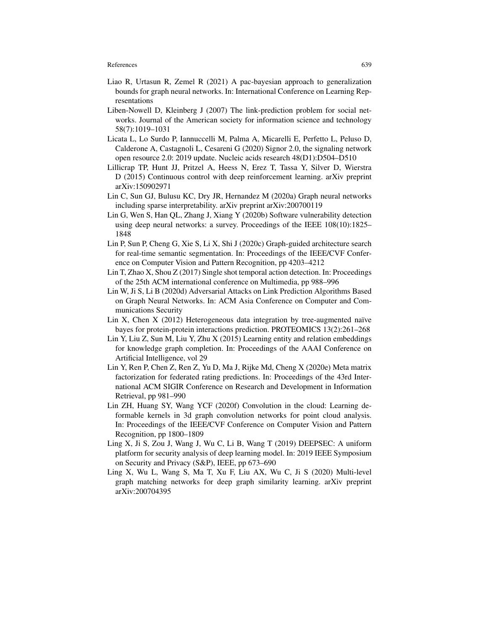- Liao R, Urtasun R, Zemel R (2021) A pac-bayesian approach to generalization bounds for graph neural networks. In: International Conference on Learning Representations
- Liben-Nowell D, Kleinberg J (2007) The link-prediction problem for social networks. Journal of the American society for information science and technology 58(7):1019–1031
- Licata L, Lo Surdo P, Iannuccelli M, Palma A, Micarelli E, Perfetto L, Peluso D, Calderone A, Castagnoli L, Cesareni G (2020) Signor 2.0, the signaling network open resource 2.0: 2019 update. Nucleic acids research 48(D1):D504–D510
- Lillicrap TP, Hunt JJ, Pritzel A, Heess N, Erez T, Tassa Y, Silver D, Wierstra D (2015) Continuous control with deep reinforcement learning. arXiv preprint arXiv:150902971
- Lin C, Sun GJ, Bulusu KC, Dry JR, Hernandez M (2020a) Graph neural networks including sparse interpretability. arXiv preprint arXiv:200700119
- Lin G, Wen S, Han QL, Zhang J, Xiang Y (2020b) Software vulnerability detection using deep neural networks: a survey. Proceedings of the IEEE 108(10):1825– 1848
- Lin P, Sun P, Cheng G, Xie S, Li X, Shi J (2020c) Graph-guided architecture search for real-time semantic segmentation. In: Proceedings of the IEEE/CVF Conference on Computer Vision and Pattern Recognition, pp 4203–4212
- Lin T, Zhao X, Shou Z (2017) Single shot temporal action detection. In: Proceedings of the 25th ACM international conference on Multimedia, pp 988–996
- Lin W, Ji S, Li B (2020d) Adversarial Attacks on Link Prediction Algorithms Based on Graph Neural Networks. In: ACM Asia Conference on Computer and Communications Security
- Lin X, Chen X  $(2012)$  Heterogeneous data integration by tree-augmented naïve bayes for protein-protein interactions prediction. PROTEOMICS 13(2):261–268
- Lin Y, Liu Z, Sun M, Liu Y, Zhu X (2015) Learning entity and relation embeddings for knowledge graph completion. In: Proceedings of the AAAI Conference on Artificial Intelligence, vol 29
- Lin Y, Ren P, Chen Z, Ren Z, Yu D, Ma J, Rijke Md, Cheng X (2020e) Meta matrix factorization for federated rating predictions. In: Proceedings of the 43rd International ACM SIGIR Conference on Research and Development in Information Retrieval, pp 981–990
- Lin ZH, Huang SY, Wang YCF (2020f) Convolution in the cloud: Learning deformable kernels in 3d graph convolution networks for point cloud analysis. In: Proceedings of the IEEE/CVF Conference on Computer Vision and Pattern Recognition, pp 1800–1809
- Ling X, Ji S, Zou J, Wang J, Wu C, Li B, Wang T (2019) DEEPSEC: A uniform platform for security analysis of deep learning model. In: 2019 IEEE Symposium on Security and Privacy (S&P), IEEE, pp 673–690
- Ling X, Wu L, Wang S, Ma T, Xu F, Liu AX, Wu C, Ji S (2020) Multi-level graph matching networks for deep graph similarity learning. arXiv preprint arXiv:200704395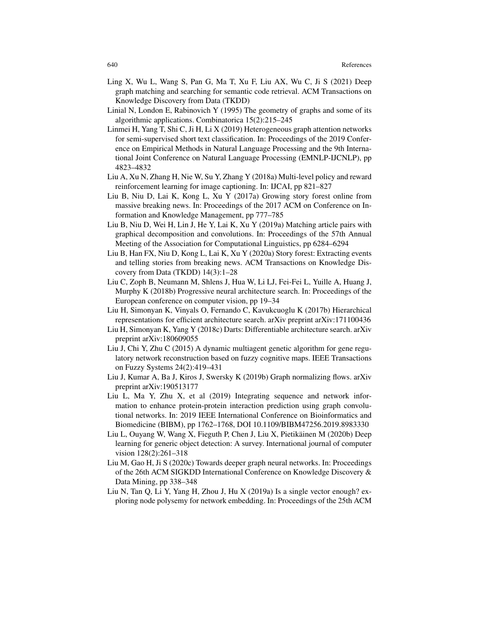- Ling X, Wu L, Wang S, Pan G, Ma T, Xu F, Liu AX, Wu C, Ji S (2021) Deep graph matching and searching for semantic code retrieval. ACM Transactions on Knowledge Discovery from Data (TKDD)
- Linial N, London E, Rabinovich Y (1995) The geometry of graphs and some of its algorithmic applications. Combinatorica 15(2):215–245
- Linmei H, Yang T, Shi C, Ji H, Li X (2019) Heterogeneous graph attention networks for semi-supervised short text classification. In: Proceedings of the 2019 Conference on Empirical Methods in Natural Language Processing and the 9th International Joint Conference on Natural Language Processing (EMNLP-IJCNLP), pp 4823–4832
- Liu A, Xu N, Zhang H, Nie W, Su Y, Zhang Y (2018a) Multi-level policy and reward reinforcement learning for image captioning. In: IJCAI, pp 821–827
- Liu B, Niu D, Lai K, Kong L, Xu Y (2017a) Growing story forest online from massive breaking news. In: Proceedings of the 2017 ACM on Conference on Information and Knowledge Management, pp 777–785
- Liu B, Niu D, Wei H, Lin J, He Y, Lai K, Xu Y (2019a) Matching article pairs with graphical decomposition and convolutions. In: Proceedings of the 57th Annual Meeting of the Association for Computational Linguistics, pp 6284–6294
- Liu B, Han FX, Niu D, Kong L, Lai K, Xu Y (2020a) Story forest: Extracting events and telling stories from breaking news. ACM Transactions on Knowledge Discovery from Data (TKDD) 14(3):1–28
- Liu C, Zoph B, Neumann M, Shlens J, Hua W, Li LJ, Fei-Fei L, Yuille A, Huang J, Murphy K (2018b) Progressive neural architecture search. In: Proceedings of the European conference on computer vision, pp 19–34
- Liu H, Simonyan K, Vinyals O, Fernando C, Kavukcuoglu K (2017b) Hierarchical representations for efficient architecture search. arXiv preprint arXiv:171100436
- Liu H, Simonyan K, Yang Y (2018c) Darts: Differentiable architecture search. arXiv preprint arXiv:180609055
- Liu J, Chi Y, Zhu C (2015) A dynamic multiagent genetic algorithm for gene regulatory network reconstruction based on fuzzy cognitive maps. IEEE Transactions on Fuzzy Systems 24(2):419–431
- Liu J, Kumar A, Ba J, Kiros J, Swersky K (2019b) Graph normalizing flows. arXiv preprint arXiv:190513177
- Liu L, Ma Y, Zhu X, et al (2019) Integrating sequence and network information to enhance protein-protein interaction prediction using graph convolutional networks. In: 2019 IEEE International Conference on Bioinformatics and Biomedicine (BIBM), pp 1762–1768, DOI 10.1109/BIBM47256.2019.8983330
- Liu L, Ouyang W, Wang X, Fieguth P, Chen J, Liu X, Pietikainen M (2020b) Deep ¨ learning for generic object detection: A survey. International journal of computer vision 128(2):261–318
- Liu M, Gao H, Ji S (2020c) Towards deeper graph neural networks. In: Proceedings of the 26th ACM SIGKDD International Conference on Knowledge Discovery & Data Mining, pp 338–348
- Liu N, Tan Q, Li Y, Yang H, Zhou J, Hu X (2019a) Is a single vector enough? exploring node polysemy for network embedding. In: Proceedings of the 25th ACM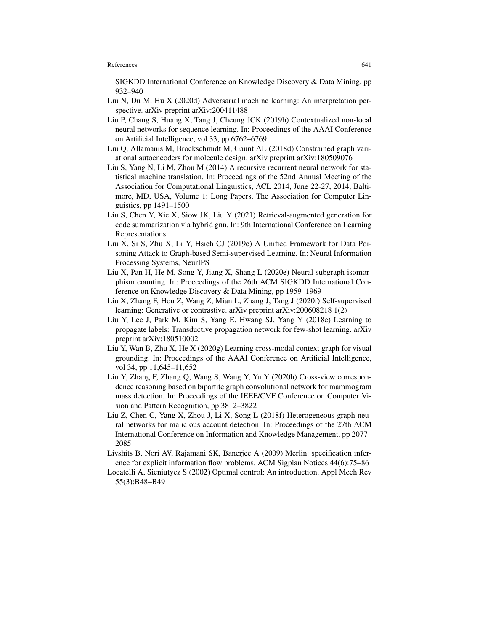SIGKDD International Conference on Knowledge Discovery & Data Mining, pp 932–940

- Liu N, Du M, Hu X (2020d) Adversarial machine learning: An interpretation perspective. arXiv preprint arXiv:200411488
- Liu P, Chang S, Huang X, Tang J, Cheung JCK (2019b) Contextualized non-local neural networks for sequence learning. In: Proceedings of the AAAI Conference on Artificial Intelligence, vol 33, pp 6762–6769
- Liu Q, Allamanis M, Brockschmidt M, Gaunt AL (2018d) Constrained graph variational autoencoders for molecule design. arXiv preprint arXiv:180509076
- Liu S, Yang N, Li M, Zhou M (2014) A recursive recurrent neural network for statistical machine translation. In: Proceedings of the 52nd Annual Meeting of the Association for Computational Linguistics, ACL 2014, June 22-27, 2014, Baltimore, MD, USA, Volume 1: Long Papers, The Association for Computer Linguistics, pp 1491–1500
- Liu S, Chen Y, Xie X, Siow JK, Liu Y (2021) Retrieval-augmented generation for code summarization via hybrid gnn. In: 9th International Conference on Learning Representations
- Liu X, Si S, Zhu X, Li Y, Hsieh CJ (2019c) A Unified Framework for Data Poisoning Attack to Graph-based Semi-supervised Learning. In: Neural Information Processing Systems, NeurIPS
- Liu X, Pan H, He M, Song Y, Jiang X, Shang L (2020e) Neural subgraph isomorphism counting. In: Proceedings of the 26th ACM SIGKDD International Conference on Knowledge Discovery & Data Mining, pp 1959–1969
- Liu X, Zhang F, Hou Z, Wang Z, Mian L, Zhang J, Tang J (2020f) Self-supervised learning: Generative or contrastive. arXiv preprint arXiv:200608218 1(2)
- Liu Y, Lee J, Park M, Kim S, Yang E, Hwang SJ, Yang Y (2018e) Learning to propagate labels: Transductive propagation network for few-shot learning. arXiv preprint arXiv:180510002
- Liu Y, Wan B, Zhu X, He X (2020g) Learning cross-modal context graph for visual grounding. In: Proceedings of the AAAI Conference on Artificial Intelligence, vol 34, pp 11,645–11,652
- Liu Y, Zhang F, Zhang Q, Wang S, Wang Y, Yu Y (2020h) Cross-view correspondence reasoning based on bipartite graph convolutional network for mammogram mass detection. In: Proceedings of the IEEE/CVF Conference on Computer Vision and Pattern Recognition, pp 3812–3822
- Liu Z, Chen C, Yang X, Zhou J, Li X, Song L (2018f) Heterogeneous graph neural networks for malicious account detection. In: Proceedings of the 27th ACM International Conference on Information and Knowledge Management, pp 2077– 2085
- Livshits B, Nori AV, Rajamani SK, Banerjee A (2009) Merlin: specification inference for explicit information flow problems. ACM Sigplan Notices 44(6):75–86
- Locatelli A, Sieniutycz S (2002) Optimal control: An introduction. Appl Mech Rev 55(3):B48–B49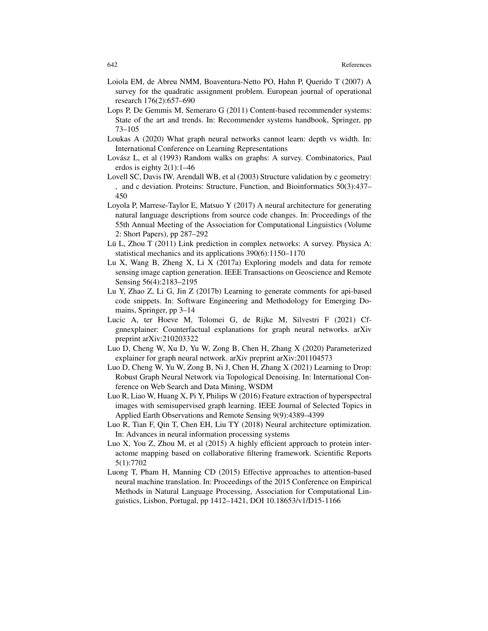- Loiola EM, de Abreu NMM, Boaventura-Netto PO, Hahn P, Querido T (2007) A survey for the quadratic assignment problem. European journal of operational research 176(2):657–690
- Lops P, De Gemmis M, Semeraro G (2011) Content-based recommender systems: State of the art and trends. In: Recommender systems handbook, Springer, pp 73–105
- Loukas A (2020) What graph neural networks cannot learn: depth vs width. In: International Conference on Learning Representations
- Lovász L, et al (1993) Random walks on graphs: A survey. Combinatorics, Paul erdos is eighty 2(1):1–46
- Lovell SC, Davis IW, Arendall WB, et al (2003) Structure validation by c geometry: , and c deviation. Proteins: Structure, Function, and Bioinformatics 50(3):437– 450
- Loyola P, Marrese-Taylor E, Matsuo Y (2017) A neural architecture for generating natural language descriptions from source code changes. In: Proceedings of the 55th Annual Meeting of the Association for Computational Linguistics (Volume 2: Short Papers), pp 287–292
- Lü L, Zhou T  $(2011)$  Link prediction in complex networks: A survey. Physica A: statistical mechanics and its applications 390(6):1150–1170
- Lu X, Wang B, Zheng X, Li X (2017a) Exploring models and data for remote sensing image caption generation. IEEE Transactions on Geoscience and Remote Sensing 56(4):2183–2195
- Lu Y, Zhao Z, Li G, Jin Z (2017b) Learning to generate comments for api-based code snippets. In: Software Engineering and Methodology for Emerging Domains, Springer, pp 3–14
- Lucic A, ter Hoeve M, Tolomei G, de Rijke M, Silvestri F (2021) Cfgnnexplainer: Counterfactual explanations for graph neural networks. arXiv preprint arXiv:210203322
- Luo D, Cheng W, Xu D, Yu W, Zong B, Chen H, Zhang X (2020) Parameterized explainer for graph neural network. arXiv preprint arXiv:201104573
- Luo D, Cheng W, Yu W, Zong B, Ni J, Chen H, Zhang X (2021) Learning to Drop: Robust Graph Neural Network via Topological Denoising. In: International Conference on Web Search and Data Mining, WSDM
- Luo R, Liao W, Huang X, Pi Y, Philips W (2016) Feature extraction of hyperspectral images with semisupervised graph learning. IEEE Journal of Selected Topics in Applied Earth Observations and Remote Sensing 9(9):4389–4399
- Luo R, Tian F, Qin T, Chen EH, Liu TY (2018) Neural architecture optimization. In: Advances in neural information processing systems
- Luo X, You Z, Zhou M, et al (2015) A highly efficient approach to protein interactome mapping based on collaborative filtering framework. Scientific Reports 5(1):7702
- Luong T, Pham H, Manning CD (2015) Effective approaches to attention-based neural machine translation. In: Proceedings of the 2015 Conference on Empirical Methods in Natural Language Processing, Association for Computational Linguistics, Lisbon, Portugal, pp 1412–1421, DOI 10.18653/v1/D15-1166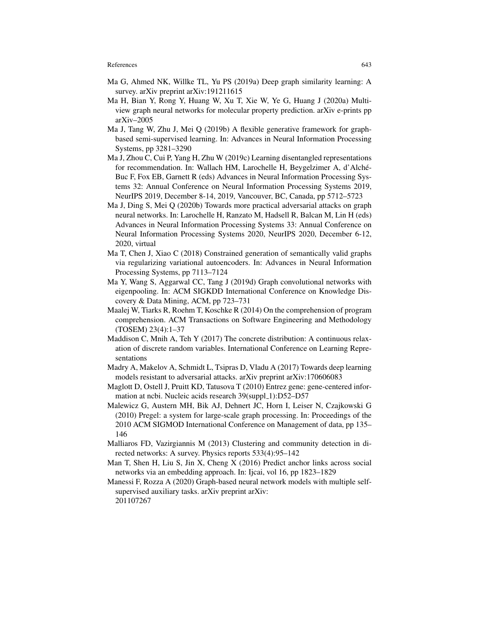- Ma G, Ahmed NK, Willke TL, Yu PS (2019a) Deep graph similarity learning: A survey. arXiv preprint arXiv:191211615
- Ma H, Bian Y, Rong Y, Huang W, Xu T, Xie W, Ye G, Huang J (2020a) Multiview graph neural networks for molecular property prediction. arXiv e-prints pp arXiv–2005
- Ma J, Tang W, Zhu J, Mei Q (2019b) A flexible generative framework for graphbased semi-supervised learning. In: Advances in Neural Information Processing Systems, pp 3281–3290
- Ma J, Zhou C, Cui P, Yang H, Zhu W (2019c) Learning disentangled representations for recommendation. In: Wallach HM, Larochelle H, Beygelzimer A, d'Alche-´ Buc F, Fox EB, Garnett R (eds) Advances in Neural Information Processing Systems 32: Annual Conference on Neural Information Processing Systems 2019, NeurIPS 2019, December 8-14, 2019, Vancouver, BC, Canada, pp 5712–5723
- Ma J, Ding S, Mei Q (2020b) Towards more practical adversarial attacks on graph neural networks. In: Larochelle H, Ranzato M, Hadsell R, Balcan M, Lin H (eds) Advances in Neural Information Processing Systems 33: Annual Conference on Neural Information Processing Systems 2020, NeurIPS 2020, December 6-12, 2020, virtual
- Ma T, Chen J, Xiao C (2018) Constrained generation of semantically valid graphs via regularizing variational autoencoders. In: Advances in Neural Information Processing Systems, pp 7113–7124
- Ma Y, Wang S, Aggarwal CC, Tang J (2019d) Graph convolutional networks with eigenpooling. In: ACM SIGKDD International Conference on Knowledge Discovery & Data Mining, ACM, pp 723–731
- Maalej W, Tiarks R, Roehm T, Koschke R (2014) On the comprehension of program comprehension. ACM Transactions on Software Engineering and Methodology (TOSEM) 23(4):1–37
- Maddison C, Mnih A, Teh Y (2017) The concrete distribution: A continuous relaxation of discrete random variables. International Conference on Learning Representations
- Madry A, Makelov A, Schmidt L, Tsipras D, Vladu A (2017) Towards deep learning models resistant to adversarial attacks. arXiv preprint arXiv:170606083
- Maglott D, Ostell J, Pruitt KD, Tatusova T (2010) Entrez gene: gene-centered information at ncbi. Nucleic acids research 39(suppl\_1):D52-D57
- Malewicz G, Austern MH, Bik AJ, Dehnert JC, Horn I, Leiser N, Czajkowski G (2010) Pregel: a system for large-scale graph processing. In: Proceedings of the 2010 ACM SIGMOD International Conference on Management of data, pp 135– 146
- Malliaros FD, Vazirgiannis M (2013) Clustering and community detection in directed networks: A survey. Physics reports 533(4):95–142
- Man T, Shen H, Liu S, Jin X, Cheng X (2016) Predict anchor links across social networks via an embedding approach. In: Ijcai, vol 16, pp 1823–1829
- Manessi F, Rozza A (2020) Graph-based neural network models with multiple selfsupervised auxiliary tasks. arXiv preprint arXiv: 201107267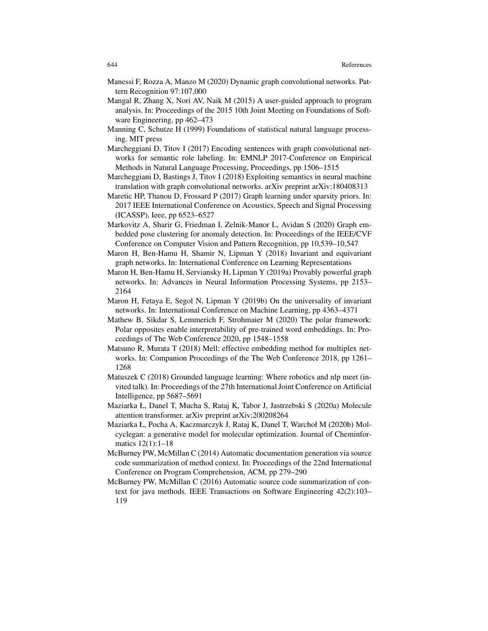- Manessi F, Rozza A, Manzo M (2020) Dynamic graph convolutional networks. Pattern Recognition 97:107,000
- Mangal R, Zhang X, Nori AV, Naik M (2015) A user-guided approach to program analysis. In: Proceedings of the 2015 10th Joint Meeting on Foundations of Software Engineering, pp 462–473
- Manning C, Schutze H (1999) Foundations of statistical natural language processing. MIT press
- Marcheggiani D, Titov I (2017) Encoding sentences with graph convolutional networks for semantic role labeling. In: EMNLP 2017-Conference on Empirical Methods in Natural Language Processing, Proceedings, pp 1506–1515
- Marcheggiani D, Bastings J, Titov I (2018) Exploiting semantics in neural machine translation with graph convolutional networks. arXiv preprint arXiv:180408313
- Maretic HP, Thanou D, Frossard P (2017) Graph learning under sparsity priors. In: 2017 IEEE International Conference on Acoustics, Speech and Signal Processing (ICASSP), Ieee, pp 6523–6527
- Markovitz A, Sharir G, Friedman I, Zelnik-Manor L, Avidan S (2020) Graph embedded pose clustering for anomaly detection. In: Proceedings of the IEEE/CVF Conference on Computer Vision and Pattern Recognition, pp 10,539–10,547
- Maron H, Ben-Hamu H, Shamir N, Lipman Y (2018) Invariant and equivariant graph networks. In: International Conference on Learning Representations
- Maron H, Ben-Hamu H, Serviansky H, Lipman Y (2019a) Provably powerful graph networks. In: Advances in Neural Information Processing Systems, pp 2153– 2164
- Maron H, Fetaya E, Segol N, Lipman Y (2019b) On the universality of invariant networks. In: International Conference on Machine Learning, pp 4363–4371
- Mathew B, Sikdar S, Lemmerich F, Strohmaier M (2020) The polar framework: Polar opposites enable interpretability of pre-trained word embeddings. In: Proceedings of The Web Conference 2020, pp 1548–1558
- Matsuno R, Murata T (2018) Mell: effective embedding method for multiplex networks. In: Companion Proceedings of the The Web Conference 2018, pp 1261– 1268
- Matuszek C (2018) Grounded language learning: Where robotics and nlp meet (invited talk). In: Proceedings of the 27th International Joint Conference on Artificial Intelligence, pp 5687–5691
- Maziarka Ł, Danel T, Mucha S, Rataj K, Tabor J, Jastrzebski S (2020a) Molecule attention transformer. arXiv preprint arXiv:200208264
- Maziarka Ł, Pocha A, Kaczmarczyk J, Rataj K, Danel T, Warchoł M (2020b) Molcyclegan: a generative model for molecular optimization. Journal of Cheminformatics 12(1):1–18
- McBurney PW, McMillan C (2014) Automatic documentation generation via source code summarization of method context. In: Proceedings of the 22nd International Conference on Program Comprehension, ACM, pp 279–290
- McBurney PW, McMillan C (2016) Automatic source code summarization of context for java methods. IEEE Transactions on Software Engineering 42(2):103– 119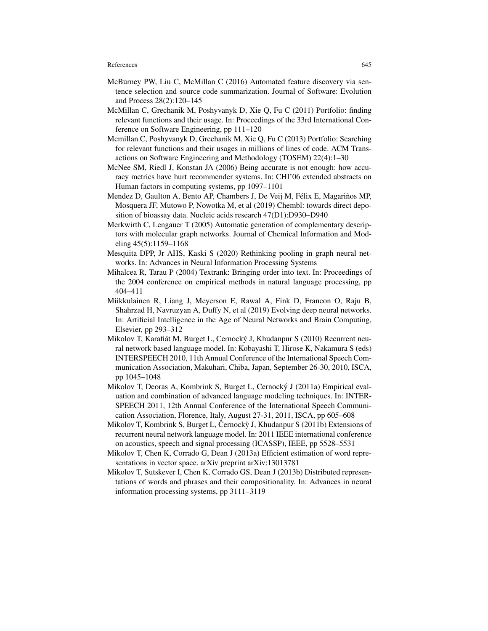- McBurney PW, Liu C, McMillan C (2016) Automated feature discovery via sentence selection and source code summarization. Journal of Software: Evolution and Process 28(2):120–145
- McMillan C, Grechanik M, Poshyvanyk D, Xie Q, Fu C (2011) Portfolio: finding relevant functions and their usage. In: Proceedings of the 33rd International Conference on Software Engineering, pp 111–120
- Mcmillan C, Poshyvanyk D, Grechanik M, Xie Q, Fu C (2013) Portfolio: Searching for relevant functions and their usages in millions of lines of code. ACM Transactions on Software Engineering and Methodology (TOSEM) 22(4):1–30
- McNee SM, Riedl J, Konstan JA (2006) Being accurate is not enough: how accuracy metrics have hurt recommender systems. In: CHI'06 extended abstracts on Human factors in computing systems, pp 1097–1101
- Mendez D, Gaulton A, Bento AP, Chambers J, De Veij M, Félix E, Magariños MP, Mosquera JF, Mutowo P, Nowotka M, et al (2019) Chembl: towards direct deposition of bioassay data. Nucleic acids research 47(D1):D930–D940
- Merkwirth C, Lengauer T (2005) Automatic generation of complementary descriptors with molecular graph networks. Journal of Chemical Information and Modeling 45(5):1159–1168
- Mesquita DPP, Jr AHS, Kaski S (2020) Rethinking pooling in graph neural networks. In: Advances in Neural Information Processing Systems
- Mihalcea R, Tarau P (2004) Textrank: Bringing order into text. In: Proceedings of the 2004 conference on empirical methods in natural language processing, pp 404–411
- Miikkulainen R, Liang J, Meyerson E, Rawal A, Fink D, Francon O, Raju B, Shahrzad H, Navruzyan A, Duffy N, et al (2019) Evolving deep neural networks. In: Artificial Intelligence in the Age of Neural Networks and Brain Computing, Elsevier, pp 293–312
- Mikolov T, Karafiát M, Burget L, Cernocký J, Khudanpur S (2010) Recurrent neural network based language model. In: Kobayashi T, Hirose K, Nakamura S (eds) INTERSPEECH 2010, 11th Annual Conference of the International Speech Communication Association, Makuhari, Chiba, Japan, September 26-30, 2010, ISCA, pp 1045–1048
- Mikolov T, Deoras A, Kombrink S, Burget L, Cernocky J (2011a) Empirical eval- ´ uation and combination of advanced language modeling techniques. In: INTER-SPEECH 2011, 12th Annual Conference of the International Speech Communication Association, Florence, Italy, August 27-31, 2011, ISCA, pp 605–608
- Mikolov T, Kombrink S, Burget L, Černock $\dot{y}$  J, Khudanpur S (2011b) Extensions of recurrent neural network language model. In: 2011 IEEE international conference on acoustics, speech and signal processing (ICASSP), IEEE, pp 5528–5531
- Mikolov T, Chen K, Corrado G, Dean J (2013a) Efficient estimation of word representations in vector space. arXiv preprint arXiv:13013781
- Mikolov T, Sutskever I, Chen K, Corrado GS, Dean J (2013b) Distributed representations of words and phrases and their compositionality. In: Advances in neural information processing systems, pp 3111–3119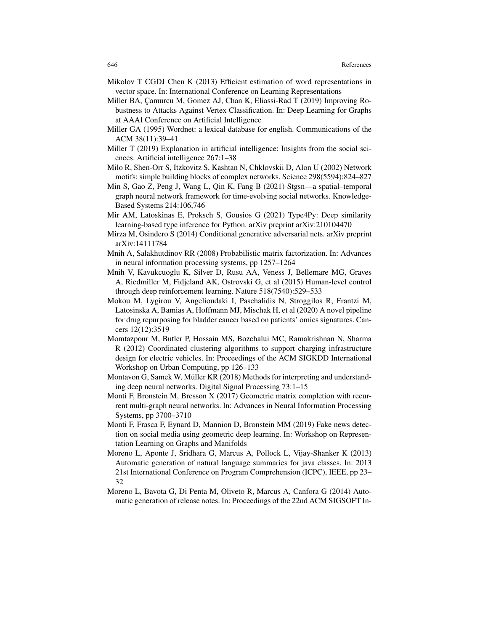- Mikolov T CGDJ Chen K (2013) Efficient estimation of word representations in vector space. In: International Conference on Learning Representations
- Miller BA, Çamurcu M, Gomez AJ, Chan K, Eliassi-Rad T (2019) Improving Robustness to Attacks Against Vertex Classification. In: Deep Learning for Graphs at AAAI Conference on Artificial Intelligence
- Miller GA (1995) Wordnet: a lexical database for english. Communications of the ACM 38(11):39–41
- Miller T (2019) Explanation in artificial intelligence: Insights from the social sciences. Artificial intelligence 267:1–38
- Milo R, Shen-Orr S, Itzkovitz S, Kashtan N, Chklovskii D, Alon U (2002) Network motifs: simple building blocks of complex networks. Science 298(5594):824–827
- Min S, Gao Z, Peng J, Wang L, Qin K, Fang B (2021) Stgsn—a spatial–temporal graph neural network framework for time-evolving social networks. Knowledge-Based Systems 214:106,746
- Mir AM, Latoskinas E, Proksch S, Gousios G (2021) Type4Py: Deep similarity learning-based type inference for Python. arXiv preprint arXiv:210104470
- Mirza M, Osindero S (2014) Conditional generative adversarial nets. arXiv preprint arXiv:14111784
- Mnih A, Salakhutdinov RR (2008) Probabilistic matrix factorization. In: Advances in neural information processing systems, pp 1257–1264
- Mnih V, Kavukcuoglu K, Silver D, Rusu AA, Veness J, Bellemare MG, Graves A, Riedmiller M, Fidjeland AK, Ostrovski G, et al (2015) Human-level control through deep reinforcement learning. Nature 518(7540):529–533
- Mokou M, Lygirou V, Angelioudaki I, Paschalidis N, Stroggilos R, Frantzi M, Latosinska A, Bamias A, Hoffmann MJ, Mischak H, et al (2020) A novel pipeline for drug repurposing for bladder cancer based on patients' omics signatures. Cancers 12(12):3519
- Momtazpour M, Butler P, Hossain MS, Bozchalui MC, Ramakrishnan N, Sharma R (2012) Coordinated clustering algorithms to support charging infrastructure design for electric vehicles. In: Proceedings of the ACM SIGKDD International Workshop on Urban Computing, pp 126–133
- Montavon G, Samek W, Müller KR (2018) Methods for interpreting and understanding deep neural networks. Digital Signal Processing 73:1–15
- Monti F, Bronstein M, Bresson X (2017) Geometric matrix completion with recurrent multi-graph neural networks. In: Advances in Neural Information Processing Systems, pp 3700–3710
- Monti F, Frasca F, Eynard D, Mannion D, Bronstein MM (2019) Fake news detection on social media using geometric deep learning. In: Workshop on Representation Learning on Graphs and Manifolds
- Moreno L, Aponte J, Sridhara G, Marcus A, Pollock L, Vijay-Shanker K (2013) Automatic generation of natural language summaries for java classes. In: 2013 21st International Conference on Program Comprehension (ICPC), IEEE, pp 23– 32
- Moreno L, Bavota G, Di Penta M, Oliveto R, Marcus A, Canfora G (2014) Automatic generation of release notes. In: Proceedings of the 22nd ACM SIGSOFT In-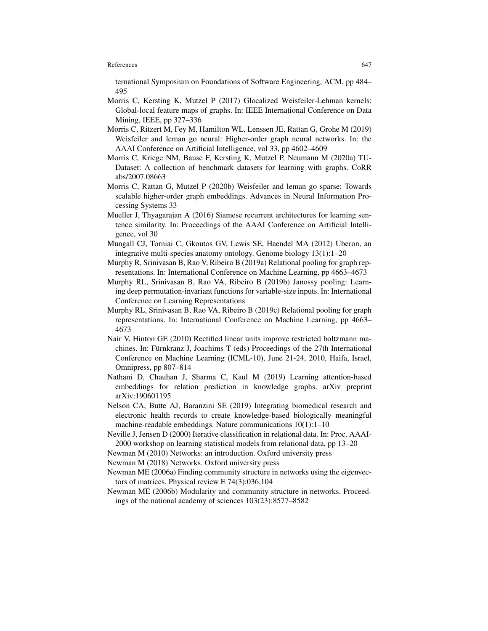ternational Symposium on Foundations of Software Engineering, ACM, pp 484– 495

- Morris C, Kersting K, Mutzel P (2017) Glocalized Weisfeiler-Lehman kernels: Global-local feature maps of graphs. In: IEEE International Conference on Data Mining, IEEE, pp 327–336
- Morris C, Ritzert M, Fey M, Hamilton WL, Lenssen JE, Rattan G, Grohe M (2019) Weisfeiler and leman go neural: Higher-order graph neural networks. In: the AAAI Conference on Artificial Intelligence, vol 33, pp 4602–4609
- Morris C, Kriege NM, Bause F, Kersting K, Mutzel P, Neumann M (2020a) TU-Dataset: A collection of benchmark datasets for learning with graphs. CoRR abs/2007.08663
- Morris C, Rattan G, Mutzel P (2020b) Weisfeiler and leman go sparse: Towards scalable higher-order graph embeddings. Advances in Neural Information Processing Systems 33
- Mueller J, Thyagarajan A (2016) Siamese recurrent architectures for learning sentence similarity. In: Proceedings of the AAAI Conference on Artificial Intelligence, vol 30
- Mungall CJ, Torniai C, Gkoutos GV, Lewis SE, Haendel MA (2012) Uberon, an integrative multi-species anatomy ontology. Genome biology 13(1):1–20
- Murphy R, Srinivasan B, Rao V, Ribeiro B (2019a) Relational pooling for graph representations. In: International Conference on Machine Learning, pp 4663–4673
- Murphy RL, Srinivasan B, Rao VA, Ribeiro B (2019b) Janossy pooling: Learning deep permutation-invariant functions for variable-size inputs. In: International Conference on Learning Representations
- Murphy RL, Srinivasan B, Rao VA, Ribeiro B (2019c) Relational pooling for graph representations. In: International Conference on Machine Learning, pp 4663– 4673
- Nair V, Hinton GE (2010) Rectified linear units improve restricted boltzmann machines. In: Fürnkranz J, Joachims T (eds) Proceedings of the  $27th$  International Conference on Machine Learning (ICML-10), June 21-24, 2010, Haifa, Israel, Omnipress, pp 807–814
- Nathani D, Chauhan J, Sharma C, Kaul M (2019) Learning attention-based embeddings for relation prediction in knowledge graphs. arXiv preprint arXiv:190601195
- Nelson CA, Butte AJ, Baranzini SE (2019) Integrating biomedical research and electronic health records to create knowledge-based biologically meaningful machine-readable embeddings. Nature communications 10(1):1–10
- Neville J, Jensen D (2000) Iterative classification in relational data. In: Proc. AAAI-2000 workshop on learning statistical models from relational data, pp 13–20
- Newman M (2010) Networks: an introduction. Oxford university press
- Newman M (2018) Networks. Oxford university press
- Newman ME (2006a) Finding community structure in networks using the eigenvectors of matrices. Physical review E 74(3):036,104
- Newman ME (2006b) Modularity and community structure in networks. Proceedings of the national academy of sciences 103(23):8577–8582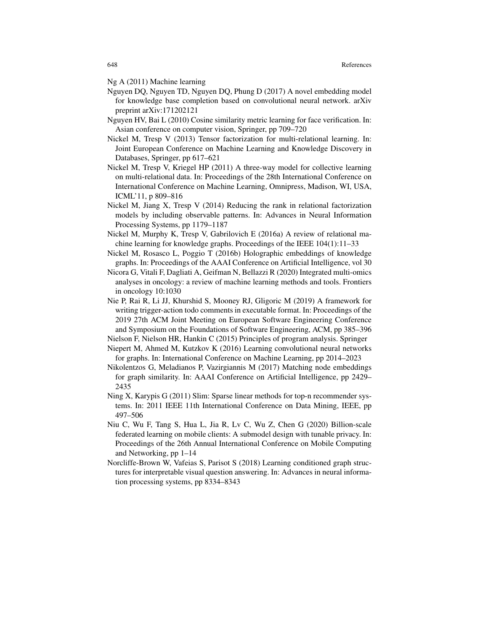Ng A (2011) Machine learning

- Nguyen DQ, Nguyen TD, Nguyen DQ, Phung D (2017) A novel embedding model for knowledge base completion based on convolutional neural network. arXiv preprint arXiv:171202121
- Nguyen HV, Bai L (2010) Cosine similarity metric learning for face verification. In: Asian conference on computer vision, Springer, pp 709–720
- Nickel M, Tresp V (2013) Tensor factorization for multi-relational learning. In: Joint European Conference on Machine Learning and Knowledge Discovery in Databases, Springer, pp 617–621
- Nickel M, Tresp V, Kriegel HP (2011) A three-way model for collective learning on multi-relational data. In: Proceedings of the 28th International Conference on International Conference on Machine Learning, Omnipress, Madison, WI, USA, ICML'11, p 809–816
- Nickel M, Jiang X, Tresp V (2014) Reducing the rank in relational factorization models by including observable patterns. In: Advances in Neural Information Processing Systems, pp 1179–1187
- Nickel M, Murphy K, Tresp V, Gabrilovich E (2016a) A review of relational machine learning for knowledge graphs. Proceedings of the IEEE 104(1):11–33
- Nickel M, Rosasco L, Poggio T (2016b) Holographic embeddings of knowledge graphs. In: Proceedings of the AAAI Conference on Artificial Intelligence, vol 30
- Nicora G, Vitali F, Dagliati A, Geifman N, Bellazzi R (2020) Integrated multi-omics analyses in oncology: a review of machine learning methods and tools. Frontiers in oncology 10:1030
- Nie P, Rai R, Li JJ, Khurshid S, Mooney RJ, Gligoric M (2019) A framework for writing trigger-action todo comments in executable format. In: Proceedings of the 2019 27th ACM Joint Meeting on European Software Engineering Conference and Symposium on the Foundations of Software Engineering, ACM, pp 385–396
- Nielson F, Nielson HR, Hankin C (2015) Principles of program analysis. Springer
- Niepert M, Ahmed M, Kutzkov K (2016) Learning convolutional neural networks for graphs. In: International Conference on Machine Learning, pp 2014–2023
- Nikolentzos G, Meladianos P, Vazirgiannis M (2017) Matching node embeddings for graph similarity. In: AAAI Conference on Artificial Intelligence, pp 2429– 2435
- Ning X, Karypis G (2011) Slim: Sparse linear methods for top-n recommender systems. In: 2011 IEEE 11th International Conference on Data Mining, IEEE, pp 497–506
- Niu C, Wu F, Tang S, Hua L, Jia R, Lv C, Wu Z, Chen G (2020) Billion-scale federated learning on mobile clients: A submodel design with tunable privacy. In: Proceedings of the 26th Annual International Conference on Mobile Computing and Networking, pp 1–14
- Norcliffe-Brown W, Vafeias S, Parisot S (2018) Learning conditioned graph structures for interpretable visual question answering. In: Advances in neural information processing systems, pp 8334–8343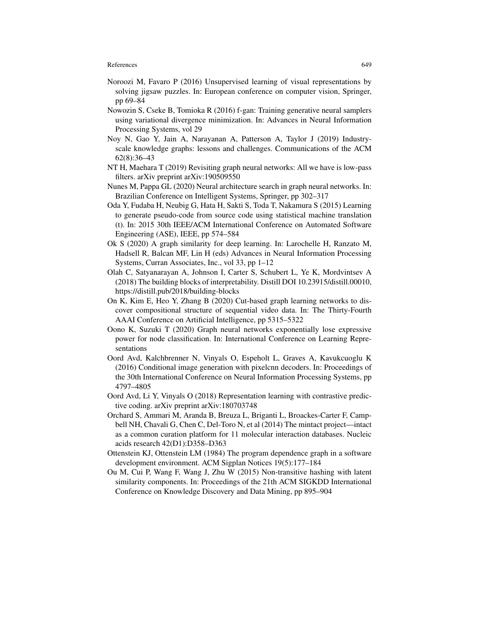- Noroozi M, Favaro P (2016) Unsupervised learning of visual representations by solving jigsaw puzzles. In: European conference on computer vision, Springer, pp 69–84
- Nowozin S, Cseke B, Tomioka R (2016) f-gan: Training generative neural samplers using variational divergence minimization. In: Advances in Neural Information Processing Systems, vol 29
- Noy N, Gao Y, Jain A, Narayanan A, Patterson A, Taylor J (2019) Industryscale knowledge graphs: lessons and challenges. Communications of the ACM 62(8):36–43
- NT H, Maehara T (2019) Revisiting graph neural networks: All we have is low-pass filters. arXiv preprint arXiv:190509550
- Nunes M, Pappa GL (2020) Neural architecture search in graph neural networks. In: Brazilian Conference on Intelligent Systems, Springer, pp 302–317
- Oda Y, Fudaba H, Neubig G, Hata H, Sakti S, Toda T, Nakamura S (2015) Learning to generate pseudo-code from source code using statistical machine translation (t). In: 2015 30th IEEE/ACM International Conference on Automated Software Engineering (ASE), IEEE, pp 574–584
- Ok S (2020) A graph similarity for deep learning. In: Larochelle H, Ranzato M, Hadsell R, Balcan MF, Lin H (eds) Advances in Neural Information Processing Systems, Curran Associates, Inc., vol 33, pp 1–12
- Olah C, Satyanarayan A, Johnson I, Carter S, Schubert L, Ye K, Mordvintsev A (2018) The building blocks of interpretability. Distill DOI 10.23915/distill.00010, https://distill.pub/2018/building-blocks
- On K, Kim E, Heo Y, Zhang B (2020) Cut-based graph learning networks to discover compositional structure of sequential video data. In: The Thirty-Fourth AAAI Conference on Artificial Intelligence, pp 5315–5322
- Oono K, Suzuki T (2020) Graph neural networks exponentially lose expressive power for node classification. In: International Conference on Learning Representations
- Oord Avd, Kalchbrenner N, Vinyals O, Espeholt L, Graves A, Kavukcuoglu K (2016) Conditional image generation with pixelcnn decoders. In: Proceedings of the 30th International Conference on Neural Information Processing Systems, pp 4797–4805
- Oord Avd, Li Y, Vinyals O (2018) Representation learning with contrastive predictive coding. arXiv preprint arXiv:180703748
- Orchard S, Ammari M, Aranda B, Breuza L, Briganti L, Broackes-Carter F, Campbell NH, Chavali G, Chen C, Del-Toro N, et al (2014) The mintact project—intact as a common curation platform for 11 molecular interaction databases. Nucleic acids research 42(D1):D358–D363
- Ottenstein KJ, Ottenstein LM (1984) The program dependence graph in a software development environment. ACM Sigplan Notices 19(5):177–184
- Ou M, Cui P, Wang F, Wang J, Zhu W (2015) Non-transitive hashing with latent similarity components. In: Proceedings of the 21th ACM SIGKDD International Conference on Knowledge Discovery and Data Mining, pp 895–904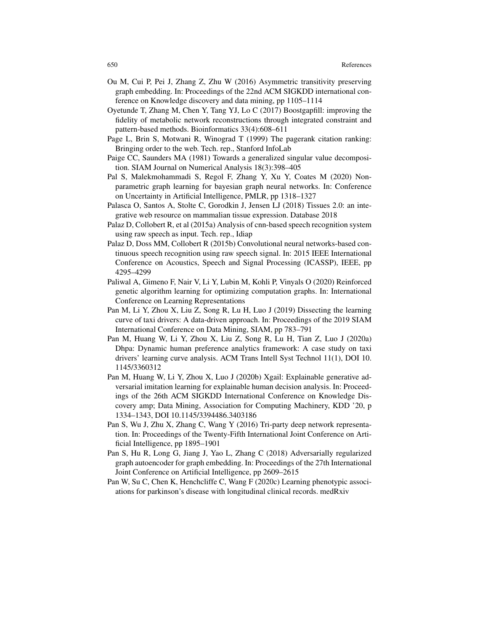- Ou M, Cui P, Pei J, Zhang Z, Zhu W (2016) Asymmetric transitivity preserving graph embedding. In: Proceedings of the 22nd ACM SIGKDD international conference on Knowledge discovery and data mining, pp 1105–1114
- Oyetunde T, Zhang M, Chen Y, Tang YJ, Lo C (2017) Boostgapfill: improving the fidelity of metabolic network reconstructions through integrated constraint and pattern-based methods. Bioinformatics 33(4):608–611
- Page L, Brin S, Motwani R, Winograd T (1999) The pagerank citation ranking: Bringing order to the web. Tech. rep., Stanford InfoLab
- Paige CC, Saunders MA (1981) Towards a generalized singular value decomposition. SIAM Journal on Numerical Analysis 18(3):398–405
- Pal S, Malekmohammadi S, Regol F, Zhang Y, Xu Y, Coates M (2020) Nonparametric graph learning for bayesian graph neural networks. In: Conference on Uncertainty in Artificial Intelligence, PMLR, pp 1318–1327
- Palasca O, Santos A, Stolte C, Gorodkin J, Jensen LJ (2018) Tissues 2.0: an integrative web resource on mammalian tissue expression. Database 2018
- Palaz D, Collobert R, et al (2015a) Analysis of cnn-based speech recognition system using raw speech as input. Tech. rep., Idiap
- Palaz D, Doss MM, Collobert R (2015b) Convolutional neural networks-based continuous speech recognition using raw speech signal. In: 2015 IEEE International Conference on Acoustics, Speech and Signal Processing (ICASSP), IEEE, pp 4295–4299
- Paliwal A, Gimeno F, Nair V, Li Y, Lubin M, Kohli P, Vinyals O (2020) Reinforced genetic algorithm learning for optimizing computation graphs. In: International Conference on Learning Representations
- Pan M, Li Y, Zhou X, Liu Z, Song R, Lu H, Luo J (2019) Dissecting the learning curve of taxi drivers: A data-driven approach. In: Proceedings of the 2019 SIAM International Conference on Data Mining, SIAM, pp 783–791
- Pan M, Huang W, Li Y, Zhou X, Liu Z, Song R, Lu H, Tian Z, Luo J (2020a) Dhpa: Dynamic human preference analytics framework: A case study on taxi drivers' learning curve analysis. ACM Trans Intell Syst Technol 11(1), DOI 10. 1145/3360312
- Pan M, Huang W, Li Y, Zhou X, Luo J (2020b) Xgail: Explainable generative adversarial imitation learning for explainable human decision analysis. In: Proceedings of the 26th ACM SIGKDD International Conference on Knowledge Discovery amp; Data Mining, Association for Computing Machinery, KDD '20, p 1334–1343, DOI 10.1145/3394486.3403186
- Pan S, Wu J, Zhu X, Zhang C, Wang Y (2016) Tri-party deep network representation. In: Proceedings of the Twenty-Fifth International Joint Conference on Artificial Intelligence, pp 1895–1901
- Pan S, Hu R, Long G, Jiang J, Yao L, Zhang C (2018) Adversarially regularized graph autoencoder for graph embedding. In: Proceedings of the 27th International Joint Conference on Artificial Intelligence, pp 2609–2615
- Pan W, Su C, Chen K, Henchcliffe C, Wang F (2020c) Learning phenotypic associations for parkinson's disease with longitudinal clinical records. medRxiv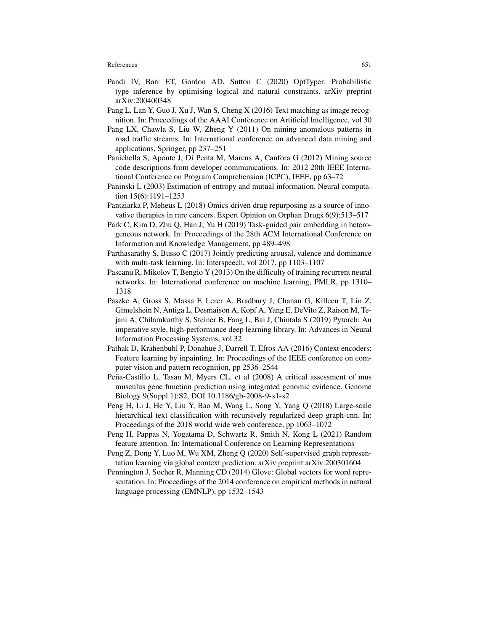- Pandi IV, Barr ET, Gordon AD, Sutton C (2020) OptTyper: Probabilistic type inference by optimising logical and natural constraints. arXiv preprint arXiv:200400348
- Pang L, Lan Y, Guo J, Xu J, Wan S, Cheng X (2016) Text matching as image recognition. In: Proceedings of the AAAI Conference on Artificial Intelligence, vol 30
- Pang LX, Chawla S, Liu W, Zheng Y (2011) On mining anomalous patterns in road traffic streams. In: International conference on advanced data mining and applications, Springer, pp 237–251
- Panichella S, Aponte J, Di Penta M, Marcus A, Canfora G (2012) Mining source code descriptions from developer communications. In: 2012 20th IEEE International Conference on Program Comprehension (ICPC), IEEE, pp 63–72
- Paninski L (2003) Estimation of entropy and mutual information. Neural computation 15(6):1191–1253
- Pantziarka P, Meheus L (2018) Omics-driven drug repurposing as a source of innovative therapies in rare cancers. Expert Opinion on Orphan Drugs 6(9):513–517
- Park C, Kim D, Zhu Q, Han J, Yu H (2019) Task-guided pair embedding in heterogeneous network. In: Proceedings of the 28th ACM International Conference on Information and Knowledge Management, pp 489–498
- Parthasarathy S, Busso C (2017) Jointly predicting arousal, valence and dominance with multi-task learning. In: Interspeech, vol 2017, pp 1103–1107
- Pascanu R, Mikolov T, Bengio Y (2013) On the difficulty of training recurrent neural networks. In: International conference on machine learning, PMLR, pp 1310– 1318
- Paszke A, Gross S, Massa F, Lerer A, Bradbury J, Chanan G, Killeen T, Lin Z, Gimelshein N, Antiga L, Desmaison A, Kopf A, Yang E, DeVito Z, Raison M, Tejani A, Chilamkurthy S, Steiner B, Fang L, Bai J, Chintala S (2019) Pytorch: An imperative style, high-performance deep learning library. In: Advances in Neural Information Processing Systems, vol 32
- Pathak D, Krahenbuhl P, Donahue J, Darrell T, Efros AA (2016) Context encoders: Feature learning by inpainting. In: Proceedings of the IEEE conference on computer vision and pattern recognition, pp 2536–2544
- Peña-Castillo L, Tasan M, Myers CL, et al (2008) A critical assessment of mus musculus gene function prediction using integrated genomic evidence. Genome Biology 9(Suppl 1):S2, DOI 10.1186/gb-2008-9-s1-s2
- Peng H, Li J, He Y, Liu Y, Bao M, Wang L, Song Y, Yang Q (2018) Large-scale hierarchical text classification with recursively regularized deep graph-cnn. In: Proceedings of the 2018 world wide web conference, pp 1063–1072
- Peng H, Pappas N, Yogatama D, Schwartz R, Smith N, Kong L (2021) Random feature attention. In: International Conference on Learning Representations
- Peng Z, Dong Y, Luo M, Wu XM, Zheng Q (2020) Self-supervised graph representation learning via global context prediction. arXiv preprint arXiv:200301604
- Pennington J, Socher R, Manning CD (2014) Glove: Global vectors for word representation. In: Proceedings of the 2014 conference on empirical methods in natural language processing (EMNLP), pp 1532–1543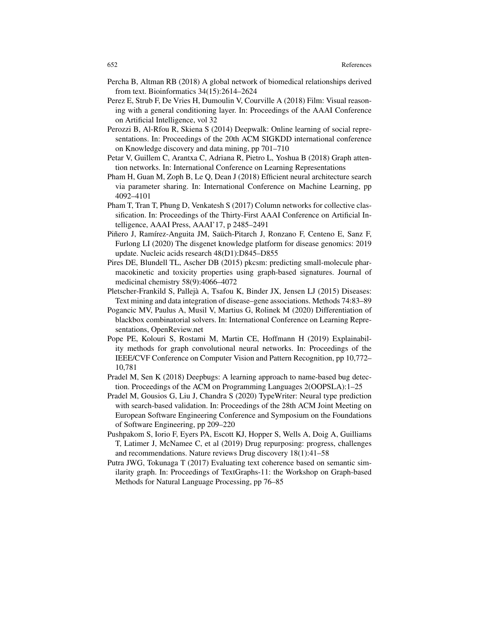- Percha B, Altman RB (2018) A global network of biomedical relationships derived from text. Bioinformatics 34(15):2614–2624
- Perez E, Strub F, De Vries H, Dumoulin V, Courville A (2018) Film: Visual reasoning with a general conditioning layer. In: Proceedings of the AAAI Conference on Artificial Intelligence, vol 32
- Perozzi B, Al-Rfou R, Skiena S (2014) Deepwalk: Online learning of social representations. In: Proceedings of the 20th ACM SIGKDD international conference on Knowledge discovery and data mining, pp 701–710
- Petar V, Guillem C, Arantxa C, Adriana R, Pietro L, Yoshua B (2018) Graph attention networks. In: International Conference on Learning Representations
- Pham H, Guan M, Zoph B, Le Q, Dean J (2018) Efficient neural architecture search via parameter sharing. In: International Conference on Machine Learning, pp 4092–4101
- Pham T, Tran T, Phung D, Venkatesh S (2017) Column networks for collective classification. In: Proceedings of the Thirty-First AAAI Conference on Artificial Intelligence, AAAI Press, AAAI'17, p 2485–2491
- Piñero J, Ramírez-Anguita JM, Saüch-Pitarch J, Ronzano F, Centeno E, Sanz F, Furlong LI (2020) The disgenet knowledge platform for disease genomics: 2019 update. Nucleic acids research 48(D1):D845–D855
- Pires DE, Blundell TL, Ascher DB (2015) pkcsm: predicting small-molecule pharmacokinetic and toxicity properties using graph-based signatures. Journal of medicinal chemistry 58(9):4066–4072
- Pletscher-Frankild S, Palleja A, Tsafou K, Binder JX, Jensen LJ (2015) Diseases: ` Text mining and data integration of disease–gene associations. Methods 74:83–89
- Pogancic MV, Paulus A, Musil V, Martius G, Rolinek M (2020) Differentiation of blackbox combinatorial solvers. In: International Conference on Learning Representations, OpenReview.net
- Pope PE, Kolouri S, Rostami M, Martin CE, Hoffmann H (2019) Explainability methods for graph convolutional neural networks. In: Proceedings of the IEEE/CVF Conference on Computer Vision and Pattern Recognition, pp 10,772– 10,781
- Pradel M, Sen K (2018) Deepbugs: A learning approach to name-based bug detection. Proceedings of the ACM on Programming Languages 2(OOPSLA):1–25
- Pradel M, Gousios G, Liu J, Chandra S (2020) TypeWriter: Neural type prediction with search-based validation. In: Proceedings of the 28th ACM Joint Meeting on European Software Engineering Conference and Symposium on the Foundations of Software Engineering, pp 209–220
- Pushpakom S, Iorio F, Eyers PA, Escott KJ, Hopper S, Wells A, Doig A, Guilliams T, Latimer J, McNamee C, et al (2019) Drug repurposing: progress, challenges and recommendations. Nature reviews Drug discovery 18(1):41–58
- Putra JWG, Tokunaga T (2017) Evaluating text coherence based on semantic similarity graph. In: Proceedings of TextGraphs-11: the Workshop on Graph-based Methods for Natural Language Processing, pp 76–85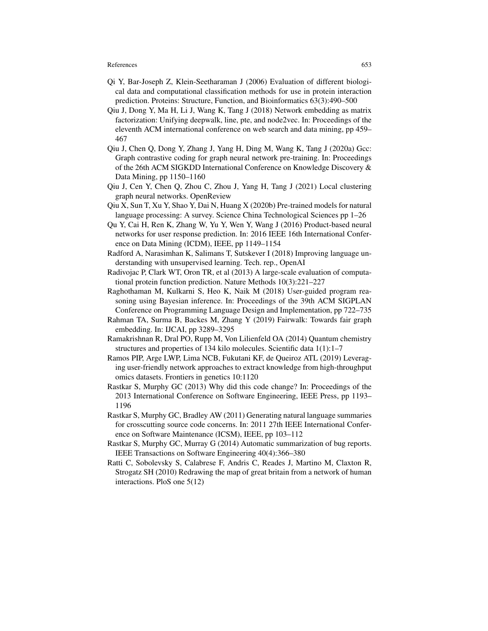- Qi Y, Bar-Joseph Z, Klein-Seetharaman J (2006) Evaluation of different biological data and computational classification methods for use in protein interaction prediction. Proteins: Structure, Function, and Bioinformatics 63(3):490–500
- Qiu J, Dong Y, Ma H, Li J, Wang K, Tang J (2018) Network embedding as matrix factorization: Unifying deepwalk, line, pte, and node2vec. In: Proceedings of the eleventh ACM international conference on web search and data mining, pp 459– 467
- Qiu J, Chen Q, Dong Y, Zhang J, Yang H, Ding M, Wang K, Tang J (2020a) Gcc: Graph contrastive coding for graph neural network pre-training. In: Proceedings of the 26th ACM SIGKDD International Conference on Knowledge Discovery & Data Mining, pp 1150–1160
- Qiu J, Cen Y, Chen Q, Zhou C, Zhou J, Yang H, Tang J (2021) Local clustering graph neural networks. OpenReview
- Qiu X, Sun T, Xu Y, Shao Y, Dai N, Huang X (2020b) Pre-trained models for natural language processing: A survey. Science China Technological Sciences pp 1–26
- Qu Y, Cai H, Ren K, Zhang W, Yu Y, Wen Y, Wang J (2016) Product-based neural networks for user response prediction. In: 2016 IEEE 16th International Conference on Data Mining (ICDM), IEEE, pp 1149–1154
- Radford A, Narasimhan K, Salimans T, Sutskever I (2018) Improving language understanding with unsupervised learning. Tech. rep., OpenAI
- Radivojac P, Clark WT, Oron TR, et al (2013) A large-scale evaluation of computational protein function prediction. Nature Methods 10(3):221–227
- Raghothaman M, Kulkarni S, Heo K, Naik M (2018) User-guided program reasoning using Bayesian inference. In: Proceedings of the 39th ACM SIGPLAN Conference on Programming Language Design and Implementation, pp 722–735
- Rahman TA, Surma B, Backes M, Zhang Y (2019) Fairwalk: Towards fair graph embedding. In: IJCAI, pp 3289–3295
- Ramakrishnan R, Dral PO, Rupp M, Von Lilienfeld OA (2014) Quantum chemistry structures and properties of 134 kilo molecules. Scientific data 1(1):1–7
- Ramos PIP, Arge LWP, Lima NCB, Fukutani KF, de Queiroz ATL (2019) Leveraging user-friendly network approaches to extract knowledge from high-throughput omics datasets. Frontiers in genetics 10:1120
- Rastkar S, Murphy GC (2013) Why did this code change? In: Proceedings of the 2013 International Conference on Software Engineering, IEEE Press, pp 1193– 1196
- Rastkar S, Murphy GC, Bradley AW (2011) Generating natural language summaries for crosscutting source code concerns. In: 2011 27th IEEE International Conference on Software Maintenance (ICSM), IEEE, pp 103–112
- Rastkar S, Murphy GC, Murray G (2014) Automatic summarization of bug reports. IEEE Transactions on Software Engineering 40(4):366–380
- Ratti C, Sobolevsky S, Calabrese F, Andris C, Reades J, Martino M, Claxton R, Strogatz SH (2010) Redrawing the map of great britain from a network of human interactions. PloS one 5(12)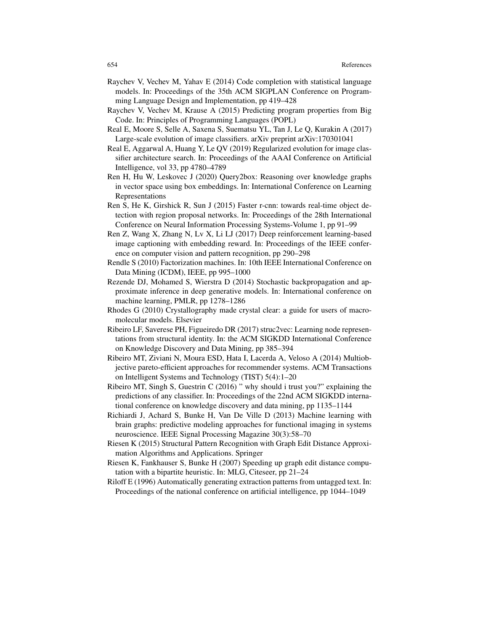- Raychev V, Vechev M, Yahav E (2014) Code completion with statistical language models. In: Proceedings of the 35th ACM SIGPLAN Conference on Programming Language Design and Implementation, pp 419–428
- Raychev V, Vechev M, Krause A (2015) Predicting program properties from Big Code. In: Principles of Programming Languages (POPL)
- Real E, Moore S, Selle A, Saxena S, Suematsu YL, Tan J, Le Q, Kurakin A (2017) Large-scale evolution of image classifiers. arXiv preprint arXiv:170301041
- Real E, Aggarwal A, Huang Y, Le QV (2019) Regularized evolution for image classifier architecture search. In: Proceedings of the AAAI Conference on Artificial Intelligence, vol 33, pp 4780–4789
- Ren H, Hu W, Leskovec J (2020) Query2box: Reasoning over knowledge graphs in vector space using box embeddings. In: International Conference on Learning Representations
- Ren S, He K, Girshick R, Sun J (2015) Faster r-cnn: towards real-time object detection with region proposal networks. In: Proceedings of the 28th International Conference on Neural Information Processing Systems-Volume 1, pp 91–99
- Ren Z, Wang X, Zhang N, Lv X, Li LJ (2017) Deep reinforcement learning-based image captioning with embedding reward. In: Proceedings of the IEEE conference on computer vision and pattern recognition, pp 290–298
- Rendle S (2010) Factorization machines. In: 10th IEEE International Conference on Data Mining (ICDM), IEEE, pp 995–1000
- Rezende DJ, Mohamed S, Wierstra D (2014) Stochastic backpropagation and approximate inference in deep generative models. In: International conference on machine learning, PMLR, pp 1278–1286
- Rhodes G (2010) Crystallography made crystal clear: a guide for users of macromolecular models. Elsevier
- Ribeiro LF, Saverese PH, Figueiredo DR (2017) struc2vec: Learning node representations from structural identity. In: the ACM SIGKDD International Conference on Knowledge Discovery and Data Mining, pp 385–394
- Ribeiro MT, Ziviani N, Moura ESD, Hata I, Lacerda A, Veloso A (2014) Multiobjective pareto-efficient approaches for recommender systems. ACM Transactions on Intelligent Systems and Technology (TIST) 5(4):1–20
- Ribeiro MT, Singh S, Guestrin C (2016) " why should i trust you?" explaining the predictions of any classifier. In: Proceedings of the 22nd ACM SIGKDD international conference on knowledge discovery and data mining, pp 1135–1144
- Richiardi J, Achard S, Bunke H, Van De Ville D (2013) Machine learning with brain graphs: predictive modeling approaches for functional imaging in systems neuroscience. IEEE Signal Processing Magazine 30(3):58–70
- Riesen K (2015) Structural Pattern Recognition with Graph Edit Distance Approximation Algorithms and Applications. Springer
- Riesen K, Fankhauser S, Bunke H (2007) Speeding up graph edit distance computation with a bipartite heuristic. In: MLG, Citeseer, pp 21–24
- Riloff E (1996) Automatically generating extraction patterns from untagged text. In: Proceedings of the national conference on artificial intelligence, pp 1044–1049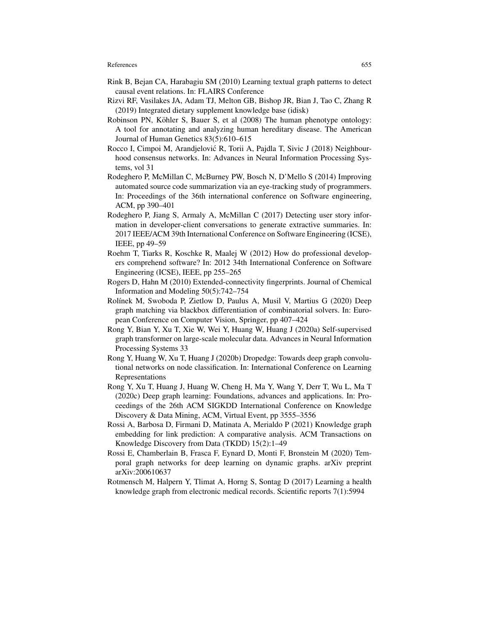- Rink B, Bejan CA, Harabagiu SM (2010) Learning textual graph patterns to detect causal event relations. In: FLAIRS Conference
- Rizvi RF, Vasilakes JA, Adam TJ, Melton GB, Bishop JR, Bian J, Tao C, Zhang R (2019) Integrated dietary supplement knowledge base (idisk)
- Robinson PN, Köhler S, Bauer S, et al (2008) The human phenotype ontology: A tool for annotating and analyzing human hereditary disease. The American Journal of Human Genetics 83(5):610–615
- Rocco I, Cimpoi M, Arandjelović R, Torii A, Pajdla T, Sivic J (2018) Neighbourhood consensus networks. In: Advances in Neural Information Processing Systems, vol 31
- Rodeghero P, McMillan C, McBurney PW, Bosch N, D'Mello S (2014) Improving automated source code summarization via an eye-tracking study of programmers. In: Proceedings of the 36th international conference on Software engineering, ACM, pp 390–401
- Rodeghero P, Jiang S, Armaly A, McMillan C (2017) Detecting user story information in developer-client conversations to generate extractive summaries. In: 2017 IEEE/ACM 39th International Conference on Software Engineering (ICSE), IEEE, pp 49–59
- Roehm T, Tiarks R, Koschke R, Maalej W (2012) How do professional developers comprehend software? In: 2012 34th International Conference on Software Engineering (ICSE), IEEE, pp 255–265
- Rogers D, Hahn M (2010) Extended-connectivity fingerprints. Journal of Chemical Information and Modeling 50(5):742–754
- Rolínek M, Swoboda P, Zietlow D, Paulus A, Musil V, Martius G (2020) Deep graph matching via blackbox differentiation of combinatorial solvers. In: European Conference on Computer Vision, Springer, pp 407–424
- Rong Y, Bian Y, Xu T, Xie W, Wei Y, Huang W, Huang J (2020a) Self-supervised graph transformer on large-scale molecular data. Advances in Neural Information Processing Systems 33
- Rong Y, Huang W, Xu T, Huang J (2020b) Dropedge: Towards deep graph convolutional networks on node classification. In: International Conference on Learning Representations
- Rong Y, Xu T, Huang J, Huang W, Cheng H, Ma Y, Wang Y, Derr T, Wu L, Ma T (2020c) Deep graph learning: Foundations, advances and applications. In: Proceedings of the 26th ACM SIGKDD International Conference on Knowledge Discovery & Data Mining, ACM, Virtual Event, pp 3555–3556
- Rossi A, Barbosa D, Firmani D, Matinata A, Merialdo P (2021) Knowledge graph embedding for link prediction: A comparative analysis. ACM Transactions on Knowledge Discovery from Data (TKDD) 15(2):1–49
- Rossi E, Chamberlain B, Frasca F, Eynard D, Monti F, Bronstein M (2020) Temporal graph networks for deep learning on dynamic graphs. arXiv preprint arXiv:200610637
- Rotmensch M, Halpern Y, Tlimat A, Horng S, Sontag D (2017) Learning a health knowledge graph from electronic medical records. Scientific reports 7(1):5994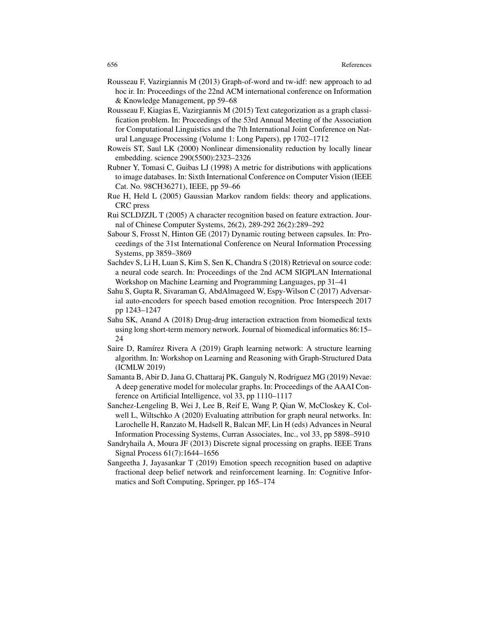- Rousseau F, Vazirgiannis M (2013) Graph-of-word and tw-idf: new approach to ad hoc ir. In: Proceedings of the 22nd ACM international conference on Information & Knowledge Management, pp 59–68
- Rousseau F, Kiagias E, Vazirgiannis M (2015) Text categorization as a graph classification problem. In: Proceedings of the 53rd Annual Meeting of the Association for Computational Linguistics and the 7th International Joint Conference on Natural Language Processing (Volume 1: Long Papers), pp 1702–1712
- Roweis ST, Saul LK (2000) Nonlinear dimensionality reduction by locally linear embedding. science 290(5500):2323–2326
- Rubner Y, Tomasi C, Guibas LJ (1998) A metric for distributions with applications to image databases. In: Sixth International Conference on Computer Vision (IEEE Cat. No. 98CH36271), IEEE, pp 59–66
- Rue H, Held L (2005) Gaussian Markov random fields: theory and applications. CRC press
- Rui SCLDJZJL T (2005) A character recognition based on feature extraction. Journal of Chinese Computer Systems, 26(2), 289-292 26(2):289–292
- Sabour S, Frosst N, Hinton GE (2017) Dynamic routing between capsules. In: Proceedings of the 31st International Conference on Neural Information Processing Systems, pp 3859–3869
- Sachdev S, Li H, Luan S, Kim S, Sen K, Chandra S (2018) Retrieval on source code: a neural code search. In: Proceedings of the 2nd ACM SIGPLAN International Workshop on Machine Learning and Programming Languages, pp 31–41
- Sahu S, Gupta R, Sivaraman G, AbdAlmageed W, Espy-Wilson C (2017) Adversarial auto-encoders for speech based emotion recognition. Proc Interspeech 2017 pp 1243–1247
- Sahu SK, Anand A (2018) Drug-drug interaction extraction from biomedical texts using long short-term memory network. Journal of biomedical informatics 86:15– 24
- Saire D, Ramírez Rivera A (2019) Graph learning network: A structure learning algorithm. In: Workshop on Learning and Reasoning with Graph-Structured Data (ICMLW 2019)
- Samanta B, Abir D, Jana G, Chattaraj PK, Ganguly N, Rodriguez MG (2019) Nevae: A deep generative model for molecular graphs. In: Proceedings of the AAAI Conference on Artificial Intelligence, vol 33, pp 1110–1117
- Sanchez-Lengeling B, Wei J, Lee B, Reif E, Wang P, Qian W, McCloskey K, Colwell L, Wiltschko A (2020) Evaluating attribution for graph neural networks. In: Larochelle H, Ranzato M, Hadsell R, Balcan MF, Lin H (eds) Advances in Neural Information Processing Systems, Curran Associates, Inc., vol 33, pp 5898–5910
- Sandryhaila A, Moura JF (2013) Discrete signal processing on graphs. IEEE Trans Signal Process 61(7):1644–1656
- Sangeetha J, Jayasankar T (2019) Emotion speech recognition based on adaptive fractional deep belief network and reinforcement learning. In: Cognitive Informatics and Soft Computing, Springer, pp 165–174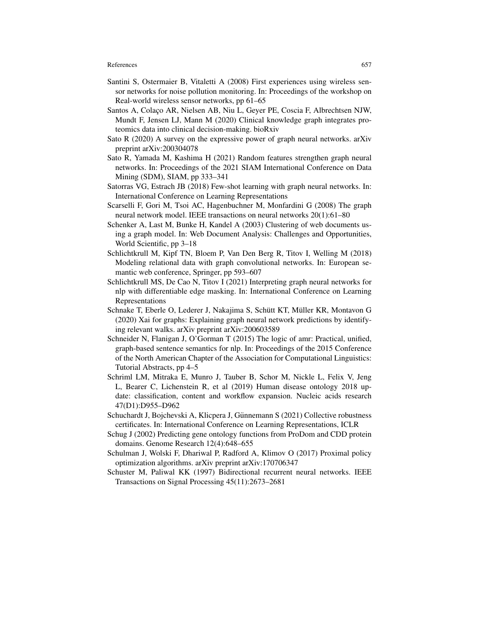- Santini S, Ostermaier B, Vitaletti A (2008) First experiences using wireless sensor networks for noise pollution monitoring. In: Proceedings of the workshop on Real-world wireless sensor networks, pp 61–65
- Santos A, Colaço AR, Nielsen AB, Niu L, Geyer PE, Coscia F, Albrechtsen NJW, Mundt F, Jensen LJ, Mann M (2020) Clinical knowledge graph integrates proteomics data into clinical decision-making. bioRxiv
- Sato R (2020) A survey on the expressive power of graph neural networks. arXiv preprint arXiv:200304078
- Sato R, Yamada M, Kashima H (2021) Random features strengthen graph neural networks. In: Proceedings of the 2021 SIAM International Conference on Data Mining (SDM), SIAM, pp 333–341
- Satorras VG, Estrach JB (2018) Few-shot learning with graph neural networks. In: International Conference on Learning Representations
- Scarselli F, Gori M, Tsoi AC, Hagenbuchner M, Monfardini G (2008) The graph neural network model. IEEE transactions on neural networks 20(1):61–80
- Schenker A, Last M, Bunke H, Kandel A (2003) Clustering of web documents using a graph model. In: Web Document Analysis: Challenges and Opportunities, World Scientific, pp 3–18
- Schlichtkrull M, Kipf TN, Bloem P, Van Den Berg R, Titov I, Welling M (2018) Modeling relational data with graph convolutional networks. In: European semantic web conference, Springer, pp 593–607
- Schlichtkrull MS, De Cao N, Titov I (2021) Interpreting graph neural networks for nlp with differentiable edge masking. In: International Conference on Learning Representations
- Schnake T, Eberle O, Lederer J, Nakajima S, Schütt KT, Müller KR, Montavon G (2020) Xai for graphs: Explaining graph neural network predictions by identifying relevant walks. arXiv preprint arXiv:200603589
- Schneider N, Flanigan J, O'Gorman T (2015) The logic of amr: Practical, unified, graph-based sentence semantics for nlp. In: Proceedings of the 2015 Conference of the North American Chapter of the Association for Computational Linguistics: Tutorial Abstracts, pp 4–5
- Schriml LM, Mitraka E, Munro J, Tauber B, Schor M, Nickle L, Felix V, Jeng L, Bearer C, Lichenstein R, et al (2019) Human disease ontology 2018 update: classification, content and workflow expansion. Nucleic acids research 47(D1):D955–D962
- Schuchardt J, Bojchevski A, Klicpera J, Günnemann S (2021) Collective robustness certificates. In: International Conference on Learning Representations, ICLR
- Schug J (2002) Predicting gene ontology functions from ProDom and CDD protein domains. Genome Research 12(4):648–655
- Schulman J, Wolski F, Dhariwal P, Radford A, Klimov O (2017) Proximal policy optimization algorithms. arXiv preprint arXiv:170706347
- Schuster M, Paliwal KK (1997) Bidirectional recurrent neural networks. IEEE Transactions on Signal Processing 45(11):2673–2681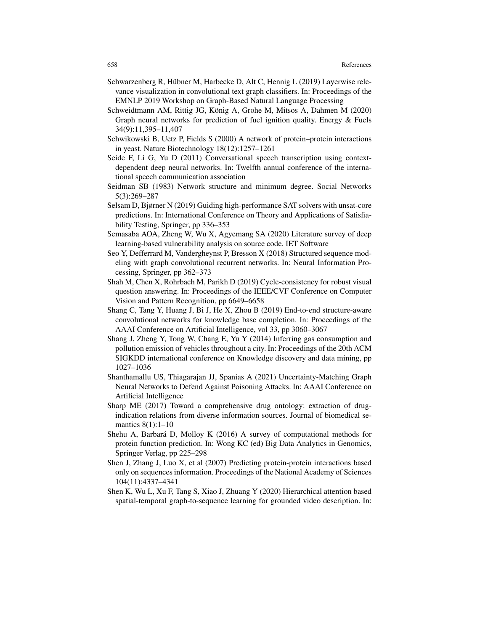- Schwarzenberg R, Hübner M, Harbecke D, Alt C, Hennig L  $(2019)$  Layerwise relevance visualization in convolutional text graph classifiers. In: Proceedings of the EMNLP 2019 Workshop on Graph-Based Natural Language Processing
- Schweidtmann AM, Rittig JG, König A, Grohe M, Mitsos A, Dahmen M (2020) Graph neural networks for prediction of fuel ignition quality. Energy & Fuels 34(9):11,395–11,407
- Schwikowski B, Uetz P, Fields S (2000) A network of protein–protein interactions in yeast. Nature Biotechnology 18(12):1257–1261
- Seide F, Li G, Yu D (2011) Conversational speech transcription using contextdependent deep neural networks. In: Twelfth annual conference of the international speech communication association
- Seidman SB (1983) Network structure and minimum degree. Social Networks 5(3):269–287
- Selsam D, Bjørner N (2019) Guiding high-performance SAT solvers with unsat-core predictions. In: International Conference on Theory and Applications of Satisfiability Testing, Springer, pp 336–353
- Semasaba AOA, Zheng W, Wu X, Agyemang SA (2020) Literature survey of deep learning-based vulnerability analysis on source code. IET Software
- Seo Y, Defferrard M, Vandergheynst P, Bresson X (2018) Structured sequence modeling with graph convolutional recurrent networks. In: Neural Information Processing, Springer, pp 362–373
- Shah M, Chen X, Rohrbach M, Parikh D (2019) Cycle-consistency for robust visual question answering. In: Proceedings of the IEEE/CVF Conference on Computer Vision and Pattern Recognition, pp 6649–6658
- Shang C, Tang Y, Huang J, Bi J, He X, Zhou B (2019) End-to-end structure-aware convolutional networks for knowledge base completion. In: Proceedings of the AAAI Conference on Artificial Intelligence, vol 33, pp 3060–3067
- Shang J, Zheng Y, Tong W, Chang E, Yu Y (2014) Inferring gas consumption and pollution emission of vehicles throughout a city. In: Proceedings of the 20th ACM SIGKDD international conference on Knowledge discovery and data mining, pp 1027–1036
- Shanthamallu US, Thiagarajan JJ, Spanias A (2021) Uncertainty-Matching Graph Neural Networks to Defend Against Poisoning Attacks. In: AAAI Conference on Artificial Intelligence
- Sharp ME (2017) Toward a comprehensive drug ontology: extraction of drugindication relations from diverse information sources. Journal of biomedical semantics 8(1):1-10
- Shehu A, Barbará D, Molloy K (2016) A survey of computational methods for protein function prediction. In: Wong KC (ed) Big Data Analytics in Genomics, Springer Verlag, pp 225–298
- Shen J, Zhang J, Luo X, et al (2007) Predicting protein-protein interactions based only on sequences information. Proceedings of the National Academy of Sciences 104(11):4337–4341
- Shen K, Wu L, Xu F, Tang S, Xiao J, Zhuang Y (2020) Hierarchical attention based spatial-temporal graph-to-sequence learning for grounded video description. In: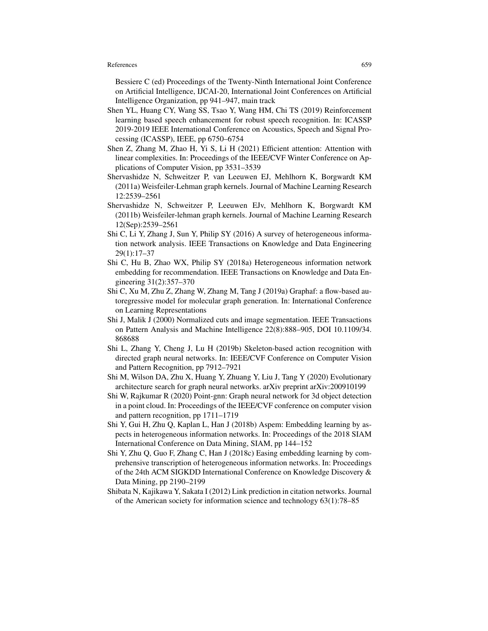Bessiere C (ed) Proceedings of the Twenty-Ninth International Joint Conference on Artificial Intelligence, IJCAI-20, International Joint Conferences on Artificial Intelligence Organization, pp 941–947, main track

- Shen YL, Huang CY, Wang SS, Tsao Y, Wang HM, Chi TS (2019) Reinforcement learning based speech enhancement for robust speech recognition. In: ICASSP 2019-2019 IEEE International Conference on Acoustics, Speech and Signal Processing (ICASSP), IEEE, pp 6750–6754
- Shen Z, Zhang M, Zhao H, Yi S, Li H (2021) Efficient attention: Attention with linear complexities. In: Proceedings of the IEEE/CVF Winter Conference on Applications of Computer Vision, pp 3531–3539
- Shervashidze N, Schweitzer P, van Leeuwen EJ, Mehlhorn K, Borgwardt KM (2011a) Weisfeiler-Lehman graph kernels. Journal of Machine Learning Research 12:2539–2561
- Shervashidze N, Schweitzer P, Leeuwen EJv, Mehlhorn K, Borgwardt KM (2011b) Weisfeiler-lehman graph kernels. Journal of Machine Learning Research 12(Sep):2539–2561
- Shi C, Li Y, Zhang J, Sun Y, Philip SY (2016) A survey of heterogeneous information network analysis. IEEE Transactions on Knowledge and Data Engineering 29(1):17–37
- Shi C, Hu B, Zhao WX, Philip SY (2018a) Heterogeneous information network embedding for recommendation. IEEE Transactions on Knowledge and Data Engineering 31(2):357–370
- Shi C, Xu M, Zhu Z, Zhang W, Zhang M, Tang J (2019a) Graphaf: a flow-based autoregressive model for molecular graph generation. In: International Conference on Learning Representations
- Shi J, Malik J (2000) Normalized cuts and image segmentation. IEEE Transactions on Pattern Analysis and Machine Intelligence 22(8):888–905, DOI 10.1109/34. 868688
- Shi L, Zhang Y, Cheng J, Lu H (2019b) Skeleton-based action recognition with directed graph neural networks. In: IEEE/CVF Conference on Computer Vision and Pattern Recognition, pp 7912–7921
- Shi M, Wilson DA, Zhu X, Huang Y, Zhuang Y, Liu J, Tang Y (2020) Evolutionary architecture search for graph neural networks. arXiv preprint arXiv:200910199
- Shi W, Rajkumar R (2020) Point-gnn: Graph neural network for 3d object detection in a point cloud. In: Proceedings of the IEEE/CVF conference on computer vision and pattern recognition, pp 1711–1719
- Shi Y, Gui H, Zhu Q, Kaplan L, Han J (2018b) Aspem: Embedding learning by aspects in heterogeneous information networks. In: Proceedings of the 2018 SIAM International Conference on Data Mining, SIAM, pp 144–152
- Shi Y, Zhu Q, Guo F, Zhang C, Han J (2018c) Easing embedding learning by comprehensive transcription of heterogeneous information networks. In: Proceedings of the 24th ACM SIGKDD International Conference on Knowledge Discovery & Data Mining, pp 2190–2199
- Shibata N, Kajikawa Y, Sakata I (2012) Link prediction in citation networks. Journal of the American society for information science and technology 63(1):78–85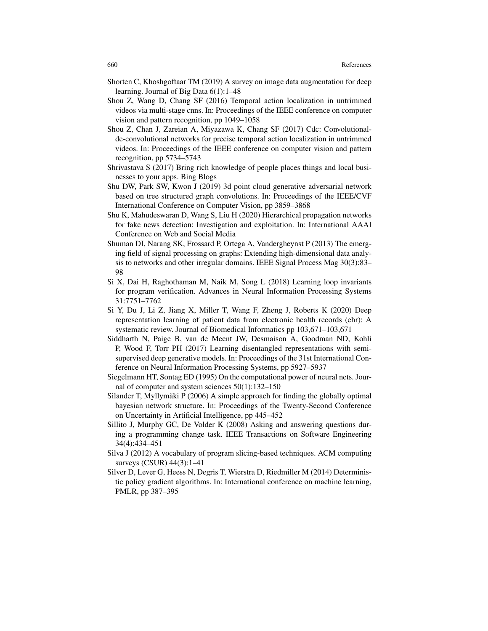- Shorten C, Khoshgoftaar TM (2019) A survey on image data augmentation for deep learning. Journal of Big Data 6(1):1–48
- Shou Z, Wang D, Chang SF (2016) Temporal action localization in untrimmed videos via multi-stage cnns. In: Proceedings of the IEEE conference on computer vision and pattern recognition, pp 1049–1058
- Shou Z, Chan J, Zareian A, Miyazawa K, Chang SF (2017) Cdc: Convolutionalde-convolutional networks for precise temporal action localization in untrimmed videos. In: Proceedings of the IEEE conference on computer vision and pattern recognition, pp 5734–5743
- Shrivastava S (2017) Bring rich knowledge of people places things and local businesses to your apps. Bing Blogs
- Shu DW, Park SW, Kwon J (2019) 3d point cloud generative adversarial network based on tree structured graph convolutions. In: Proceedings of the IEEE/CVF International Conference on Computer Vision, pp 3859–3868
- Shu K, Mahudeswaran D, Wang S, Liu H (2020) Hierarchical propagation networks for fake news detection: Investigation and exploitation. In: International AAAI Conference on Web and Social Media
- Shuman DI, Narang SK, Frossard P, Ortega A, Vandergheynst P (2013) The emerging field of signal processing on graphs: Extending high-dimensional data analysis to networks and other irregular domains. IEEE Signal Process Mag 30(3):83– 98
- Si X, Dai H, Raghothaman M, Naik M, Song L (2018) Learning loop invariants for program verification. Advances in Neural Information Processing Systems 31:7751–7762
- Si Y, Du J, Li Z, Jiang X, Miller T, Wang F, Zheng J, Roberts K (2020) Deep representation learning of patient data from electronic health records (ehr): A systematic review. Journal of Biomedical Informatics pp 103,671–103,671
- Siddharth N, Paige B, van de Meent JW, Desmaison A, Goodman ND, Kohli P, Wood F, Torr PH (2017) Learning disentangled representations with semisupervised deep generative models. In: Proceedings of the 31st International Conference on Neural Information Processing Systems, pp 5927–5937
- Siegelmann HT, Sontag ED (1995) On the computational power of neural nets. Journal of computer and system sciences 50(1):132–150
- Silander T, Myllymäki P  $(2006)$  A simple approach for finding the globally optimal bayesian network structure. In: Proceedings of the Twenty-Second Conference on Uncertainty in Artificial Intelligence, pp 445–452
- Sillito J, Murphy GC, De Volder K (2008) Asking and answering questions during a programming change task. IEEE Transactions on Software Engineering 34(4):434–451
- Silva J (2012) A vocabulary of program slicing-based techniques. ACM computing surveys (CSUR) 44(3):1–41
- Silver D, Lever G, Heess N, Degris T, Wierstra D, Riedmiller M (2014) Deterministic policy gradient algorithms. In: International conference on machine learning, PMLR, pp 387–395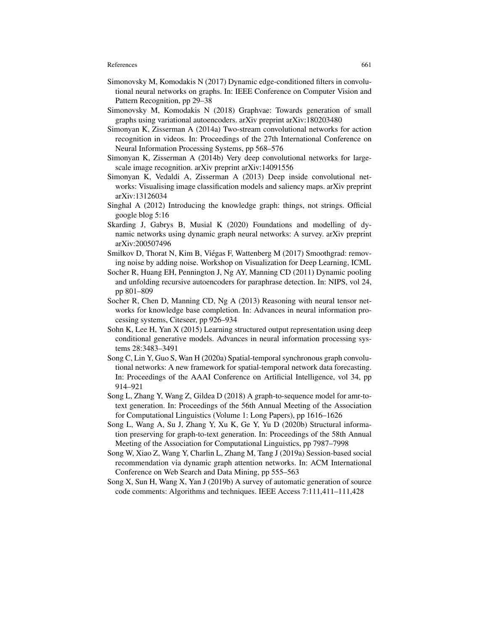- Simonovsky M, Komodakis N (2017) Dynamic edge-conditioned filters in convolutional neural networks on graphs. In: IEEE Conference on Computer Vision and Pattern Recognition, pp 29–38
- Simonovsky M, Komodakis N (2018) Graphvae: Towards generation of small graphs using variational autoencoders. arXiv preprint arXiv:180203480
- Simonyan K, Zisserman A (2014a) Two-stream convolutional networks for action recognition in videos. In: Proceedings of the 27th International Conference on Neural Information Processing Systems, pp 568–576
- Simonyan K, Zisserman A (2014b) Very deep convolutional networks for largescale image recognition. arXiv preprint arXiv:14091556
- Simonyan K, Vedaldi A, Zisserman A (2013) Deep inside convolutional networks: Visualising image classification models and saliency maps. arXiv preprint arXiv:13126034
- Singhal A (2012) Introducing the knowledge graph: things, not strings. Official google blog 5:16
- Skarding J, Gabrys B, Musial K (2020) Foundations and modelling of dynamic networks using dynamic graph neural networks: A survey. arXiv preprint arXiv:200507496
- Smilkov D, Thorat N, Kim B, Viégas F, Wattenberg M (2017) Smoothgrad: removing noise by adding noise. Workshop on Visualization for Deep Learning, ICML
- Socher R, Huang EH, Pennington J, Ng AY, Manning CD (2011) Dynamic pooling and unfolding recursive autoencoders for paraphrase detection. In: NIPS, vol 24, pp 801–809
- Socher R, Chen D, Manning CD, Ng A (2013) Reasoning with neural tensor networks for knowledge base completion. In: Advances in neural information processing systems, Citeseer, pp 926–934
- Sohn K, Lee H, Yan X (2015) Learning structured output representation using deep conditional generative models. Advances in neural information processing systems 28:3483–3491
- Song C, Lin Y, Guo S, Wan H (2020a) Spatial-temporal synchronous graph convolutional networks: A new framework for spatial-temporal network data forecasting. In: Proceedings of the AAAI Conference on Artificial Intelligence, vol 34, pp 914–921
- Song L, Zhang Y, Wang Z, Gildea D (2018) A graph-to-sequence model for amr-totext generation. In: Proceedings of the 56th Annual Meeting of the Association for Computational Linguistics (Volume 1: Long Papers), pp 1616–1626
- Song L, Wang A, Su J, Zhang Y, Xu K, Ge Y, Yu D (2020b) Structural information preserving for graph-to-text generation. In: Proceedings of the 58th Annual Meeting of the Association for Computational Linguistics, pp 7987–7998
- Song W, Xiao Z, Wang Y, Charlin L, Zhang M, Tang J (2019a) Session-based social recommendation via dynamic graph attention networks. In: ACM International Conference on Web Search and Data Mining, pp 555–563
- Song X, Sun H, Wang X, Yan J (2019b) A survey of automatic generation of source code comments: Algorithms and techniques. IEEE Access 7:111,411–111,428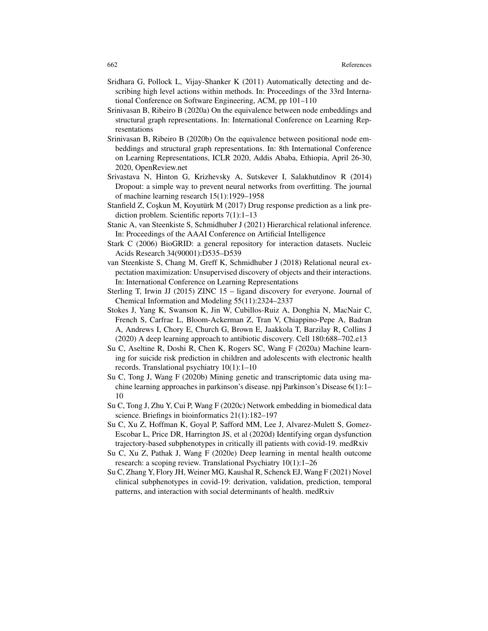- Sridhara G, Pollock L, Vijay-Shanker K (2011) Automatically detecting and describing high level actions within methods. In: Proceedings of the 33rd International Conference on Software Engineering, ACM, pp 101–110
- Srinivasan B, Ribeiro B (2020a) On the equivalence between node embeddings and structural graph representations. In: International Conference on Learning Representations
- Srinivasan B, Ribeiro B (2020b) On the equivalence between positional node embeddings and structural graph representations. In: 8th International Conference on Learning Representations, ICLR 2020, Addis Ababa, Ethiopia, April 26-30, 2020, OpenReview.net
- Srivastava N, Hinton G, Krizhevsky A, Sutskever I, Salakhutdinov R (2014) Dropout: a simple way to prevent neural networks from overfitting. The journal of machine learning research 15(1):1929–1958
- Stanfield Z, Coskun M, Koyutürk M  $(2017)$  Drug response prediction as a link prediction problem. Scientific reports 7(1):1–13
- Stanic A, van Steenkiste S, Schmidhuber J (2021) Hierarchical relational inference. In: Proceedings of the AAAI Conference on Artificial Intelligence
- Stark C (2006) BioGRID: a general repository for interaction datasets. Nucleic Acids Research 34(90001):D535–D539
- van Steenkiste S, Chang M, Greff K, Schmidhuber J (2018) Relational neural expectation maximization: Unsupervised discovery of objects and their interactions. In: International Conference on Learning Representations
- Sterling T, Irwin JJ (2015) ZINC 15 ligand discovery for everyone. Journal of Chemical Information and Modeling 55(11):2324–2337
- Stokes J, Yang K, Swanson K, Jin W, Cubillos-Ruiz A, Donghia N, MacNair C, French S, Carfrae L, Bloom-Ackerman Z, Tran V, Chiappino-Pepe A, Badran A, Andrews I, Chory E, Church G, Brown E, Jaakkola T, Barzilay R, Collins J (2020) A deep learning approach to antibiotic discovery. Cell 180:688–702.e13
- Su C, Aseltine R, Doshi R, Chen K, Rogers SC, Wang F (2020a) Machine learning for suicide risk prediction in children and adolescents with electronic health records. Translational psychiatry 10(1):1–10
- Su C, Tong J, Wang F (2020b) Mining genetic and transcriptomic data using machine learning approaches in parkinson's disease. npj Parkinson's Disease 6(1):1– 10
- Su C, Tong J, Zhu Y, Cui P, Wang F (2020c) Network embedding in biomedical data science. Briefings in bioinformatics 21(1):182–197
- Su C, Xu Z, Hoffman K, Goyal P, Safford MM, Lee J, Alvarez-Mulett S, Gomez-Escobar L, Price DR, Harrington JS, et al (2020d) Identifying organ dysfunction trajectory-based subphenotypes in critically ill patients with covid-19. medRxiv
- Su C, Xu Z, Pathak J, Wang F (2020e) Deep learning in mental health outcome research: a scoping review. Translational Psychiatry 10(1):1–26
- Su C, Zhang Y, Flory JH, Weiner MG, Kaushal R, Schenck EJ, Wang F (2021) Novel clinical subphenotypes in covid-19: derivation, validation, prediction, temporal patterns, and interaction with social determinants of health. medRxiv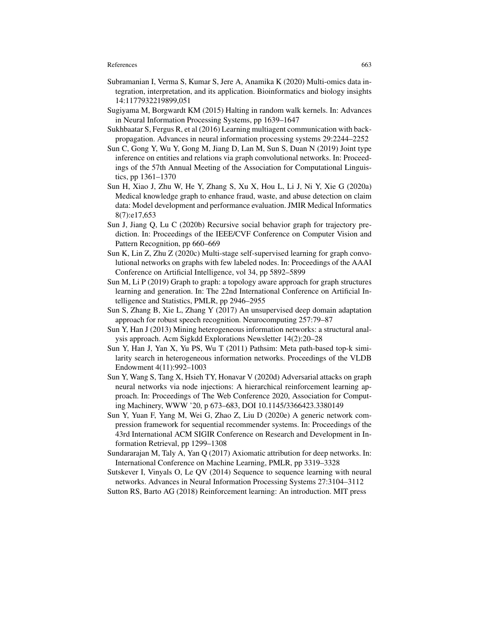- Subramanian I, Verma S, Kumar S, Jere A, Anamika K (2020) Multi-omics data integration, interpretation, and its application. Bioinformatics and biology insights 14:1177932219899,051
- Sugiyama M, Borgwardt KM (2015) Halting in random walk kernels. In: Advances in Neural Information Processing Systems, pp 1639–1647
- Sukhbaatar S, Fergus R, et al (2016) Learning multiagent communication with backpropagation. Advances in neural information processing systems 29:2244–2252
- Sun C, Gong Y, Wu Y, Gong M, Jiang D, Lan M, Sun S, Duan N (2019) Joint type inference on entities and relations via graph convolutional networks. In: Proceedings of the 57th Annual Meeting of the Association for Computational Linguistics, pp 1361–1370
- Sun H, Xiao J, Zhu W, He Y, Zhang S, Xu X, Hou L, Li J, Ni Y, Xie G (2020a) Medical knowledge graph to enhance fraud, waste, and abuse detection on claim data: Model development and performance evaluation. JMIR Medical Informatics 8(7):e17,653
- Sun J, Jiang Q, Lu C (2020b) Recursive social behavior graph for trajectory prediction. In: Proceedings of the IEEE/CVF Conference on Computer Vision and Pattern Recognition, pp 660–669
- Sun K, Lin Z, Zhu Z (2020c) Multi-stage self-supervised learning for graph convolutional networks on graphs with few labeled nodes. In: Proceedings of the AAAI Conference on Artificial Intelligence, vol 34, pp 5892–5899
- Sun M, Li P (2019) Graph to graph: a topology aware approach for graph structures learning and generation. In: The 22nd International Conference on Artificial Intelligence and Statistics, PMLR, pp 2946–2955
- Sun S, Zhang B, Xie L, Zhang Y (2017) An unsupervised deep domain adaptation approach for robust speech recognition. Neurocomputing 257:79–87
- Sun Y, Han J (2013) Mining heterogeneous information networks: a structural analysis approach. Acm Sigkdd Explorations Newsletter 14(2):20–28
- Sun Y, Han J, Yan X, Yu PS, Wu T (2011) Pathsim: Meta path-based top-k similarity search in heterogeneous information networks. Proceedings of the VLDB Endowment 4(11):992–1003
- Sun Y, Wang S, Tang X, Hsieh TY, Honavar V (2020d) Adversarial attacks on graph neural networks via node injections: A hierarchical reinforcement learning approach. In: Proceedings of The Web Conference 2020, Association for Computing Machinery, WWW '20, p 673–683, DOI 10.1145/3366423.3380149
- Sun Y, Yuan F, Yang M, Wei G, Zhao Z, Liu D (2020e) A generic network compression framework for sequential recommender systems. In: Proceedings of the 43rd International ACM SIGIR Conference on Research and Development in Information Retrieval, pp 1299–1308
- Sundararajan M, Taly A, Yan Q (2017) Axiomatic attribution for deep networks. In: International Conference on Machine Learning, PMLR, pp 3319–3328
- Sutskever I, Vinyals O, Le QV (2014) Sequence to sequence learning with neural networks. Advances in Neural Information Processing Systems 27:3104–3112
- Sutton RS, Barto AG (2018) Reinforcement learning: An introduction. MIT press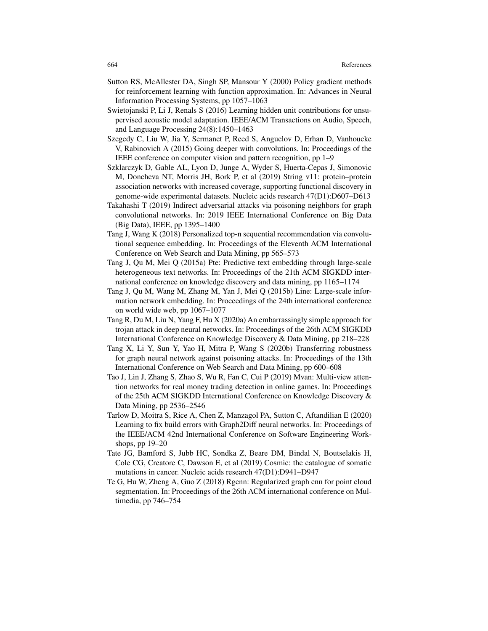- Sutton RS, McAllester DA, Singh SP, Mansour Y (2000) Policy gradient methods for reinforcement learning with function approximation. In: Advances in Neural Information Processing Systems, pp 1057–1063
- Swietojanski P, Li J, Renals S (2016) Learning hidden unit contributions for unsupervised acoustic model adaptation. IEEE/ACM Transactions on Audio, Speech, and Language Processing 24(8):1450–1463
- Szegedy C, Liu W, Jia Y, Sermanet P, Reed S, Anguelov D, Erhan D, Vanhoucke V, Rabinovich A (2015) Going deeper with convolutions. In: Proceedings of the IEEE conference on computer vision and pattern recognition, pp 1–9
- Szklarczyk D, Gable AL, Lyon D, Junge A, Wyder S, Huerta-Cepas J, Simonovic M, Doncheva NT, Morris JH, Bork P, et al (2019) String v11: protein–protein association networks with increased coverage, supporting functional discovery in genome-wide experimental datasets. Nucleic acids research 47(D1):D607–D613
- Takahashi T (2019) Indirect adversarial attacks via poisoning neighbors for graph convolutional networks. In: 2019 IEEE International Conference on Big Data (Big Data), IEEE, pp 1395–1400
- Tang J, Wang K (2018) Personalized top-n sequential recommendation via convolutional sequence embedding. In: Proceedings of the Eleventh ACM International Conference on Web Search and Data Mining, pp 565–573
- Tang J, Qu M, Mei Q (2015a) Pte: Predictive text embedding through large-scale heterogeneous text networks. In: Proceedings of the 21th ACM SIGKDD international conference on knowledge discovery and data mining, pp 1165–1174
- Tang J, Qu M, Wang M, Zhang M, Yan J, Mei Q (2015b) Line: Large-scale information network embedding. In: Proceedings of the 24th international conference on world wide web, pp 1067–1077
- Tang R, Du M, Liu N, Yang F, Hu X (2020a) An embarrassingly simple approach for trojan attack in deep neural networks. In: Proceedings of the 26th ACM SIGKDD International Conference on Knowledge Discovery & Data Mining, pp 218–228
- Tang X, Li Y, Sun Y, Yao H, Mitra P, Wang S (2020b) Transferring robustness for graph neural network against poisoning attacks. In: Proceedings of the 13th International Conference on Web Search and Data Mining, pp 600–608
- Tao J, Lin J, Zhang S, Zhao S, Wu R, Fan C, Cui P (2019) Mvan: Multi-view attention networks for real money trading detection in online games. In: Proceedings of the 25th ACM SIGKDD International Conference on Knowledge Discovery & Data Mining, pp 2536–2546
- Tarlow D, Moitra S, Rice A, Chen Z, Manzagol PA, Sutton C, Aftandilian E (2020) Learning to fix build errors with Graph2Diff neural networks. In: Proceedings of the IEEE/ACM 42nd International Conference on Software Engineering Workshops, pp 19–20
- Tate JG, Bamford S, Jubb HC, Sondka Z, Beare DM, Bindal N, Boutselakis H, Cole CG, Creatore C, Dawson E, et al (2019) Cosmic: the catalogue of somatic mutations in cancer. Nucleic acids research 47(D1):D941–D947
- Te G, Hu W, Zheng A, Guo Z (2018) Rgcnn: Regularized graph cnn for point cloud segmentation. In: Proceedings of the 26th ACM international conference on Multimedia, pp 746–754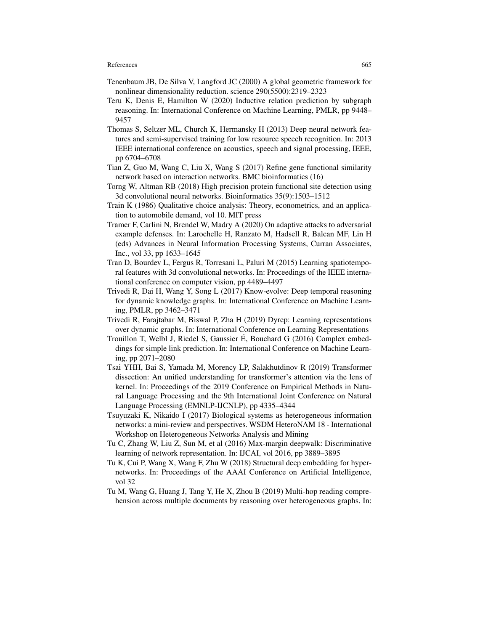- Tenenbaum JB, De Silva V, Langford JC (2000) A global geometric framework for nonlinear dimensionality reduction. science 290(5500):2319–2323
- Teru K, Denis E, Hamilton W (2020) Inductive relation prediction by subgraph reasoning. In: International Conference on Machine Learning, PMLR, pp 9448– 9457
- Thomas S, Seltzer ML, Church K, Hermansky H (2013) Deep neural network features and semi-supervised training for low resource speech recognition. In: 2013 IEEE international conference on acoustics, speech and signal processing, IEEE, pp 6704–6708
- Tian Z, Guo M, Wang C, Liu X, Wang S (2017) Refine gene functional similarity network based on interaction networks. BMC bioinformatics (16)
- Torng W, Altman RB (2018) High precision protein functional site detection using 3d convolutional neural networks. Bioinformatics 35(9):1503–1512
- Train K (1986) Qualitative choice analysis: Theory, econometrics, and an application to automobile demand, vol 10. MIT press
- Tramer F, Carlini N, Brendel W, Madry A (2020) On adaptive attacks to adversarial example defenses. In: Larochelle H, Ranzato M, Hadsell R, Balcan MF, Lin H (eds) Advances in Neural Information Processing Systems, Curran Associates, Inc., vol 33, pp 1633–1645
- Tran D, Bourdev L, Fergus R, Torresani L, Paluri M (2015) Learning spatiotemporal features with 3d convolutional networks. In: Proceedings of the IEEE international conference on computer vision, pp 4489–4497
- Trivedi R, Dai H, Wang Y, Song L (2017) Know-evolve: Deep temporal reasoning for dynamic knowledge graphs. In: International Conference on Machine Learning, PMLR, pp 3462–3471
- Trivedi R, Farajtabar M, Biswal P, Zha H (2019) Dyrep: Learning representations over dynamic graphs. In: International Conference on Learning Representations
- Trouillon T, Welbl J, Riedel S, Gaussier E, Bouchard G (2016) Complex embed- ´ dings for simple link prediction. In: International Conference on Machine Learning, pp 2071–2080
- Tsai YHH, Bai S, Yamada M, Morency LP, Salakhutdinov R (2019) Transformer dissection: An unified understanding for transformer's attention via the lens of kernel. In: Proceedings of the 2019 Conference on Empirical Methods in Natural Language Processing and the 9th International Joint Conference on Natural Language Processing (EMNLP-IJCNLP), pp 4335–4344
- Tsuyuzaki K, Nikaido I (2017) Biological systems as heterogeneous information networks: a mini-review and perspectives. WSDM HeteroNAM 18 - International Workshop on Heterogeneous Networks Analysis and Mining
- Tu C, Zhang W, Liu Z, Sun M, et al (2016) Max-margin deepwalk: Discriminative learning of network representation. In: IJCAI, vol 2016, pp 3889–3895
- Tu K, Cui P, Wang X, Wang F, Zhu W (2018) Structural deep embedding for hypernetworks. In: Proceedings of the AAAI Conference on Artificial Intelligence, vol 32
- Tu M, Wang G, Huang J, Tang Y, He X, Zhou B (2019) Multi-hop reading comprehension across multiple documents by reasoning over heterogeneous graphs. In: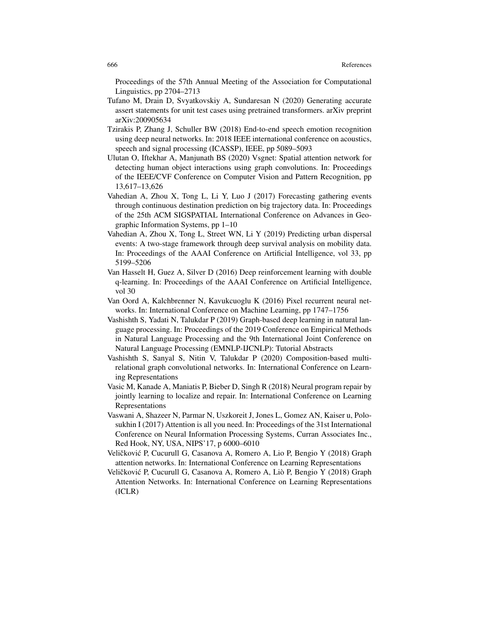Proceedings of the 57th Annual Meeting of the Association for Computational Linguistics, pp 2704–2713

- Tufano M, Drain D, Svyatkovskiy A, Sundaresan N (2020) Generating accurate assert statements for unit test cases using pretrained transformers. arXiv preprint arXiv:200905634
- Tzirakis P, Zhang J, Schuller BW (2018) End-to-end speech emotion recognition using deep neural networks. In: 2018 IEEE international conference on acoustics, speech and signal processing (ICASSP), IEEE, pp 5089–5093
- Ulutan O, Iftekhar A, Manjunath BS (2020) Vsgnet: Spatial attention network for detecting human object interactions using graph convolutions. In: Proceedings of the IEEE/CVF Conference on Computer Vision and Pattern Recognition, pp 13,617–13,626
- Vahedian A, Zhou X, Tong L, Li Y, Luo J (2017) Forecasting gathering events through continuous destination prediction on big trajectory data. In: Proceedings of the 25th ACM SIGSPATIAL International Conference on Advances in Geographic Information Systems, pp 1–10
- Vahedian A, Zhou X, Tong L, Street WN, Li Y (2019) Predicting urban dispersal events: A two-stage framework through deep survival analysis on mobility data. In: Proceedings of the AAAI Conference on Artificial Intelligence, vol 33, pp 5199–5206
- Van Hasselt H, Guez A, Silver D (2016) Deep reinforcement learning with double q-learning. In: Proceedings of the AAAI Conference on Artificial Intelligence, vol 30
- Van Oord A, Kalchbrenner N, Kavukcuoglu K (2016) Pixel recurrent neural networks. In: International Conference on Machine Learning, pp 1747–1756
- Vashishth S, Yadati N, Talukdar P (2019) Graph-based deep learning in natural language processing. In: Proceedings of the 2019 Conference on Empirical Methods in Natural Language Processing and the 9th International Joint Conference on Natural Language Processing (EMNLP-IJCNLP): Tutorial Abstracts
- Vashishth S, Sanyal S, Nitin V, Talukdar P (2020) Composition-based multirelational graph convolutional networks. In: International Conference on Learning Representations
- Vasic M, Kanade A, Maniatis P, Bieber D, Singh R (2018) Neural program repair by jointly learning to localize and repair. In: International Conference on Learning Representations
- Vaswani A, Shazeer N, Parmar N, Uszkoreit J, Jones L, Gomez AN, Kaiser u, Polosukhin I (2017) Attention is all you need. In: Proceedings of the 31st International Conference on Neural Information Processing Systems, Curran Associates Inc., Red Hook, NY, USA, NIPS'17, p 6000–6010
- Veličković P, Cucurull G, Casanova A, Romero A, Lio P, Bengio Y (2018) Graph attention networks. In: International Conference on Learning Representations
- Veličković P, Cucurull G, Casanova A, Romero A, Liò P, Bengio Y (2018) Graph Attention Networks. In: International Conference on Learning Representations (ICLR)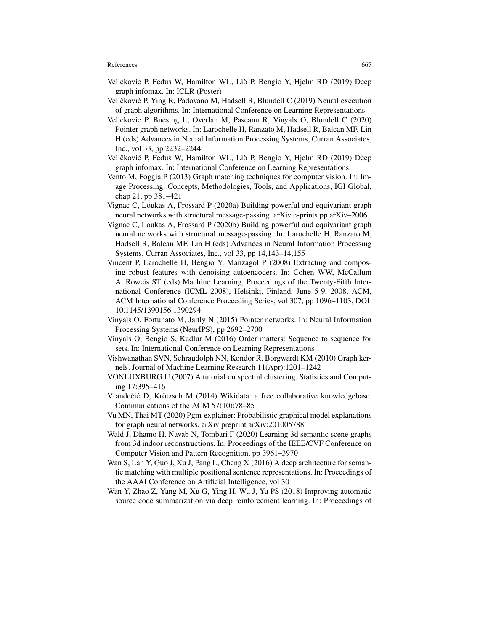- Velickovic P, Fedus W, Hamilton WL, Lio P, Bengio Y, Hjelm RD (2019) Deep ` graph infomax. In: ICLR (Poster)
- Veličković P, Ying R, Padovano M, Hadsell R, Blundell C (2019) Neural execution of graph algorithms. In: International Conference on Learning Representations
- Velickovic P, Buesing L, Overlan M, Pascanu R, Vinyals O, Blundell C (2020) Pointer graph networks. In: Larochelle H, Ranzato M, Hadsell R, Balcan MF, Lin H (eds) Advances in Neural Information Processing Systems, Curran Associates, Inc., vol 33, pp 2232–2244
- Veličković P, Fedus W, Hamilton WL, Liò P, Bengio Y, Hjelm RD (2019) Deep graph infomax. In: International Conference on Learning Representations
- Vento M, Foggia P (2013) Graph matching techniques for computer vision. In: Image Processing: Concepts, Methodologies, Tools, and Applications, IGI Global, chap 21, pp 381–421
- Vignac C, Loukas A, Frossard P (2020a) Building powerful and equivariant graph neural networks with structural message-passing. arXiv e-prints pp arXiv–2006
- Vignac C, Loukas A, Frossard P (2020b) Building powerful and equivariant graph neural networks with structural message-passing. In: Larochelle H, Ranzato M, Hadsell R, Balcan MF, Lin H (eds) Advances in Neural Information Processing Systems, Curran Associates, Inc., vol 33, pp 14,143–14,155
- Vincent P, Larochelle H, Bengio Y, Manzagol P (2008) Extracting and composing robust features with denoising autoencoders. In: Cohen WW, McCallum A, Roweis ST (eds) Machine Learning, Proceedings of the Twenty-Fifth International Conference (ICML 2008), Helsinki, Finland, June 5-9, 2008, ACM, ACM International Conference Proceeding Series, vol 307, pp 1096–1103, DOI 10.1145/1390156.1390294
- Vinyals O, Fortunato M, Jaitly N (2015) Pointer networks. In: Neural Information Processing Systems (NeurIPS), pp 2692–2700
- Vinyals O, Bengio S, Kudlur M (2016) Order matters: Sequence to sequence for sets. In: International Conference on Learning Representations
- Vishwanathan SVN, Schraudolph NN, Kondor R, Borgwardt KM (2010) Graph kernels. Journal of Machine Learning Research 11(Apr):1201–1242
- VONLUXBURG U (2007) A tutorial on spectral clustering. Statistics and Computing 17:395–416
- Vrandečić D, Krötzsch M (2014) Wikidata: a free collaborative knowledgebase. Communications of the ACM 57(10):78–85
- Vu MN, Thai MT (2020) Pgm-explainer: Probabilistic graphical model explanations for graph neural networks. arXiv preprint arXiv:201005788
- Wald J, Dhamo H, Navab N, Tombari F (2020) Learning 3d semantic scene graphs from 3d indoor reconstructions. In: Proceedings of the IEEE/CVF Conference on Computer Vision and Pattern Recognition, pp 3961–3970
- Wan S, Lan Y, Guo J, Xu J, Pang L, Cheng X (2016) A deep architecture for semantic matching with multiple positional sentence representations. In: Proceedings of the AAAI Conference on Artificial Intelligence, vol 30
- Wan Y, Zhao Z, Yang M, Xu G, Ying H, Wu J, Yu PS (2018) Improving automatic source code summarization via deep reinforcement learning. In: Proceedings of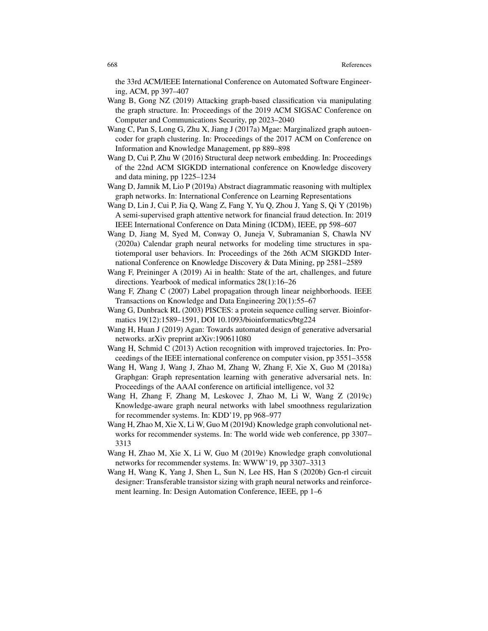the 33rd ACM/IEEE International Conference on Automated Software Engineering, ACM, pp 397–407

- Wang B, Gong NZ (2019) Attacking graph-based classification via manipulating the graph structure. In: Proceedings of the 2019 ACM SIGSAC Conference on Computer and Communications Security, pp 2023–2040
- Wang C, Pan S, Long G, Zhu X, Jiang J (2017a) Mgae: Marginalized graph autoencoder for graph clustering. In: Proceedings of the 2017 ACM on Conference on Information and Knowledge Management, pp 889–898
- Wang D, Cui P, Zhu W (2016) Structural deep network embedding. In: Proceedings of the 22nd ACM SIGKDD international conference on Knowledge discovery and data mining, pp 1225–1234
- Wang D, Jamnik M, Lio P (2019a) Abstract diagrammatic reasoning with multiplex graph networks. In: International Conference on Learning Representations
- Wang D, Lin J, Cui P, Jia Q, Wang Z, Fang Y, Yu Q, Zhou J, Yang S, Qi Y (2019b) A semi-supervised graph attentive network for financial fraud detection. In: 2019 IEEE International Conference on Data Mining (ICDM), IEEE, pp 598–607
- Wang D, Jiang M, Syed M, Conway O, Juneja V, Subramanian S, Chawla NV (2020a) Calendar graph neural networks for modeling time structures in spatiotemporal user behaviors. In: Proceedings of the 26th ACM SIGKDD International Conference on Knowledge Discovery & Data Mining, pp 2581–2589
- Wang F, Preininger A (2019) Ai in health: State of the art, challenges, and future directions. Yearbook of medical informatics 28(1):16–26
- Wang F, Zhang C (2007) Label propagation through linear neighborhoods. IEEE Transactions on Knowledge and Data Engineering 20(1):55–67
- Wang G, Dunbrack RL (2003) PISCES: a protein sequence culling server. Bioinformatics 19(12):1589–1591, DOI 10.1093/bioinformatics/btg224
- Wang H, Huan J (2019) Agan: Towards automated design of generative adversarial networks. arXiv preprint arXiv:190611080
- Wang H, Schmid C (2013) Action recognition with improved trajectories. In: Proceedings of the IEEE international conference on computer vision, pp 3551–3558
- Wang H, Wang J, Wang J, Zhao M, Zhang W, Zhang F, Xie X, Guo M (2018a) Graphgan: Graph representation learning with generative adversarial nets. In: Proceedings of the AAAI conference on artificial intelligence, vol 32
- Wang H, Zhang F, Zhang M, Leskovec J, Zhao M, Li W, Wang Z (2019c) Knowledge-aware graph neural networks with label smoothness regularization for recommender systems. In: KDD'19, pp 968–977
- Wang H, Zhao M, Xie X, Li W, Guo M (2019d) Knowledge graph convolutional networks for recommender systems. In: The world wide web conference, pp 3307– 3313
- Wang H, Zhao M, Xie X, Li W, Guo M (2019e) Knowledge graph convolutional networks for recommender systems. In: WWW'19, pp 3307–3313
- Wang H, Wang K, Yang J, Shen L, Sun N, Lee HS, Han S (2020b) Gcn-rl circuit designer: Transferable transistor sizing with graph neural networks and reinforcement learning. In: Design Automation Conference, IEEE, pp 1–6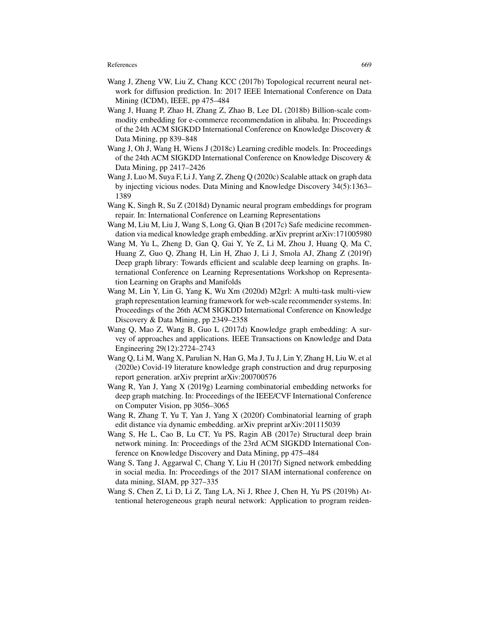- Wang J, Zheng VW, Liu Z, Chang KCC (2017b) Topological recurrent neural network for diffusion prediction. In: 2017 IEEE International Conference on Data Mining (ICDM), IEEE, pp 475–484
- Wang J, Huang P, Zhao H, Zhang Z, Zhao B, Lee DL (2018b) Billion-scale commodity embedding for e-commerce recommendation in alibaba. In: Proceedings of the 24th ACM SIGKDD International Conference on Knowledge Discovery & Data Mining, pp 839–848
- Wang J, Oh J, Wang H, Wiens J (2018c) Learning credible models. In: Proceedings of the 24th ACM SIGKDD International Conference on Knowledge Discovery & Data Mining, pp 2417–2426
- Wang J, Luo M, Suya F, Li J, Yang Z, Zheng Q (2020c) Scalable attack on graph data by injecting vicious nodes. Data Mining and Knowledge Discovery 34(5):1363– 1389
- Wang K, Singh R, Su Z (2018d) Dynamic neural program embeddings for program repair. In: International Conference on Learning Representations
- Wang M, Liu M, Liu J, Wang S, Long G, Qian B (2017c) Safe medicine recommendation via medical knowledge graph embedding. arXiv preprint arXiv:171005980
- Wang M, Yu L, Zheng D, Gan Q, Gai Y, Ye Z, Li M, Zhou J, Huang Q, Ma C, Huang Z, Guo Q, Zhang H, Lin H, Zhao J, Li J, Smola AJ, Zhang Z (2019f) Deep graph library: Towards efficient and scalable deep learning on graphs. International Conference on Learning Representations Workshop on Representation Learning on Graphs and Manifolds
- Wang M, Lin Y, Lin G, Yang K, Wu Xm (2020d) M2grl: A multi-task multi-view graph representation learning framework for web-scale recommender systems. In: Proceedings of the 26th ACM SIGKDD International Conference on Knowledge Discovery & Data Mining, pp 2349–2358
- Wang Q, Mao Z, Wang B, Guo L (2017d) Knowledge graph embedding: A survey of approaches and applications. IEEE Transactions on Knowledge and Data Engineering 29(12):2724–2743
- Wang Q, Li M, Wang X, Parulian N, Han G, Ma J, Tu J, Lin Y, Zhang H, Liu W, et al (2020e) Covid-19 literature knowledge graph construction and drug repurposing report generation. arXiv preprint arXiv:200700576
- Wang R, Yan J, Yang X (2019g) Learning combinatorial embedding networks for deep graph matching. In: Proceedings of the IEEE/CVF International Conference on Computer Vision, pp 3056–3065
- Wang R, Zhang T, Yu T, Yan J, Yang X (2020f) Combinatorial learning of graph edit distance via dynamic embedding. arXiv preprint arXiv:201115039
- Wang S, He L, Cao B, Lu CT, Yu PS, Ragin AB (2017e) Structural deep brain network mining. In: Proceedings of the 23rd ACM SIGKDD International Conference on Knowledge Discovery and Data Mining, pp 475–484
- Wang S, Tang J, Aggarwal C, Chang Y, Liu H (2017f) Signed network embedding in social media. In: Proceedings of the 2017 SIAM international conference on data mining, SIAM, pp 327–335
- Wang S, Chen Z, Li D, Li Z, Tang LA, Ni J, Rhee J, Chen H, Yu PS (2019h) Attentional heterogeneous graph neural network: Application to program reiden-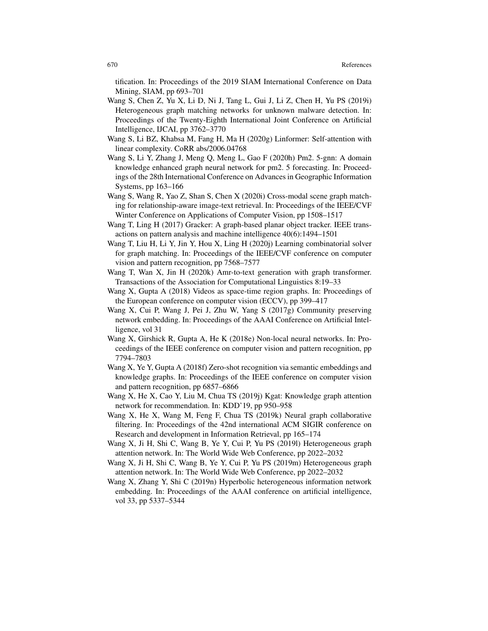tification. In: Proceedings of the 2019 SIAM International Conference on Data Mining, SIAM, pp 693–701

- Wang S, Chen Z, Yu X, Li D, Ni J, Tang L, Gui J, Li Z, Chen H, Yu PS (2019i) Heterogeneous graph matching networks for unknown malware detection. In: Proceedings of the Twenty-Eighth International Joint Conference on Artificial Intelligence, IJCAI, pp 3762–3770
- Wang S, Li BZ, Khabsa M, Fang H, Ma H (2020g) Linformer: Self-attention with linear complexity. CoRR abs/2006.04768
- Wang S, Li Y, Zhang J, Meng Q, Meng L, Gao F (2020h) Pm2. 5-gnn: A domain knowledge enhanced graph neural network for pm2. 5 forecasting. In: Proceedings of the 28th International Conference on Advances in Geographic Information Systems, pp 163–166
- Wang S, Wang R, Yao Z, Shan S, Chen X (2020i) Cross-modal scene graph matching for relationship-aware image-text retrieval. In: Proceedings of the IEEE/CVF Winter Conference on Applications of Computer Vision, pp 1508–1517
- Wang T, Ling H (2017) Gracker: A graph-based planar object tracker. IEEE transactions on pattern analysis and machine intelligence 40(6):1494–1501
- Wang T, Liu H, Li Y, Jin Y, Hou X, Ling H (2020j) Learning combinatorial solver for graph matching. In: Proceedings of the IEEE/CVF conference on computer vision and pattern recognition, pp 7568–7577
- Wang T, Wan X, Jin H (2020k) Amr-to-text generation with graph transformer. Transactions of the Association for Computational Linguistics 8:19–33
- Wang X, Gupta A (2018) Videos as space-time region graphs. In: Proceedings of the European conference on computer vision (ECCV), pp 399–417
- Wang X, Cui P, Wang J, Pei J, Zhu W, Yang S (2017g) Community preserving network embedding. In: Proceedings of the AAAI Conference on Artificial Intelligence, vol 31
- Wang X, Girshick R, Gupta A, He K (2018e) Non-local neural networks. In: Proceedings of the IEEE conference on computer vision and pattern recognition, pp 7794–7803
- Wang X, Ye Y, Gupta A (2018f) Zero-shot recognition via semantic embeddings and knowledge graphs. In: Proceedings of the IEEE conference on computer vision and pattern recognition, pp 6857–6866
- Wang X, He X, Cao Y, Liu M, Chua TS (2019j) Kgat: Knowledge graph attention network for recommendation. In: KDD'19, pp 950–958
- Wang X, He X, Wang M, Feng F, Chua TS (2019k) Neural graph collaborative filtering. In: Proceedings of the 42nd international ACM SIGIR conference on Research and development in Information Retrieval, pp 165–174
- Wang X, Ji H, Shi C, Wang B, Ye Y, Cui P, Yu PS (2019l) Heterogeneous graph attention network. In: The World Wide Web Conference, pp 2022–2032
- Wang X, Ji H, Shi C, Wang B, Ye Y, Cui P, Yu PS (2019m) Heterogeneous graph attention network. In: The World Wide Web Conference, pp 2022–2032
- Wang X, Zhang Y, Shi C (2019n) Hyperbolic heterogeneous information network embedding. In: Proceedings of the AAAI conference on artificial intelligence, vol 33, pp 5337–5344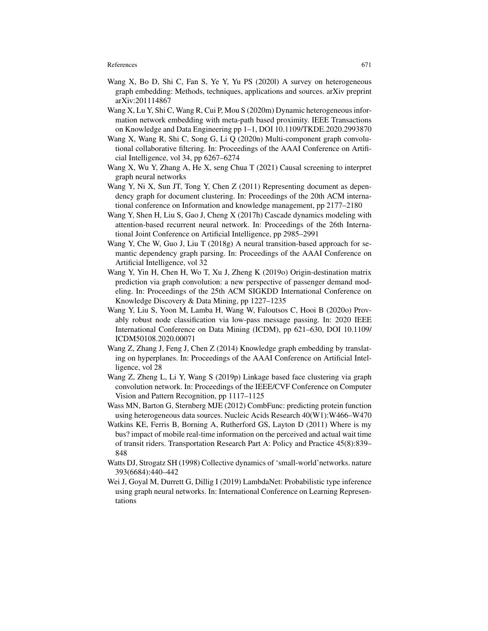- Wang X, Bo D, Shi C, Fan S, Ye Y, Yu PS (2020l) A survey on heterogeneous graph embedding: Methods, techniques, applications and sources. arXiv preprint arXiv:201114867
- Wang X, Lu Y, Shi C, Wang R, Cui P, Mou S (2020m) Dynamic heterogeneous information network embedding with meta-path based proximity. IEEE Transactions on Knowledge and Data Engineering pp 1–1, DOI 10.1109/TKDE.2020.2993870
- Wang X, Wang R, Shi C, Song G, Li Q (2020n) Multi-component graph convolutional collaborative filtering. In: Proceedings of the AAAI Conference on Artificial Intelligence, vol 34, pp 6267–6274
- Wang X, Wu Y, Zhang A, He X, seng Chua T (2021) Causal screening to interpret graph neural networks
- Wang Y, Ni X, Sun JT, Tong Y, Chen Z (2011) Representing document as dependency graph for document clustering. In: Proceedings of the 20th ACM international conference on Information and knowledge management, pp 2177–2180
- Wang Y, Shen H, Liu S, Gao J, Cheng X (2017h) Cascade dynamics modeling with attention-based recurrent neural network. In: Proceedings of the 26th International Joint Conference on Artificial Intelligence, pp 2985–2991
- Wang Y, Che W, Guo J, Liu T (2018g) A neural transition-based approach for semantic dependency graph parsing. In: Proceedings of the AAAI Conference on Artificial Intelligence, vol 32
- Wang Y, Yin H, Chen H, Wo T, Xu J, Zheng K (2019o) Origin-destination matrix prediction via graph convolution: a new perspective of passenger demand modeling. In: Proceedings of the 25th ACM SIGKDD International Conference on Knowledge Discovery & Data Mining, pp 1227–1235
- Wang Y, Liu S, Yoon M, Lamba H, Wang W, Faloutsos C, Hooi B (2020o) Provably robust node classification via low-pass message passing. In: 2020 IEEE International Conference on Data Mining (ICDM), pp 621–630, DOI 10.1109/ ICDM50108.2020.00071
- Wang Z, Zhang J, Feng J, Chen Z (2014) Knowledge graph embedding by translating on hyperplanes. In: Proceedings of the AAAI Conference on Artificial Intelligence, vol 28
- Wang Z, Zheng L, Li Y, Wang S (2019p) Linkage based face clustering via graph convolution network. In: Proceedings of the IEEE/CVF Conference on Computer Vision and Pattern Recognition, pp 1117–1125
- Wass MN, Barton G, Sternberg MJE (2012) CombFunc: predicting protein function using heterogeneous data sources. Nucleic Acids Research 40(W1):W466–W470
- Watkins KE, Ferris B, Borning A, Rutherford GS, Layton D (2011) Where is my bus? impact of mobile real-time information on the perceived and actual wait time of transit riders. Transportation Research Part A: Policy and Practice 45(8):839– 848
- Watts DJ, Strogatz SH (1998) Collective dynamics of 'small-world'networks. nature 393(6684):440–442
- Wei J, Goyal M, Durrett G, Dillig I (2019) LambdaNet: Probabilistic type inference using graph neural networks. In: International Conference on Learning Representations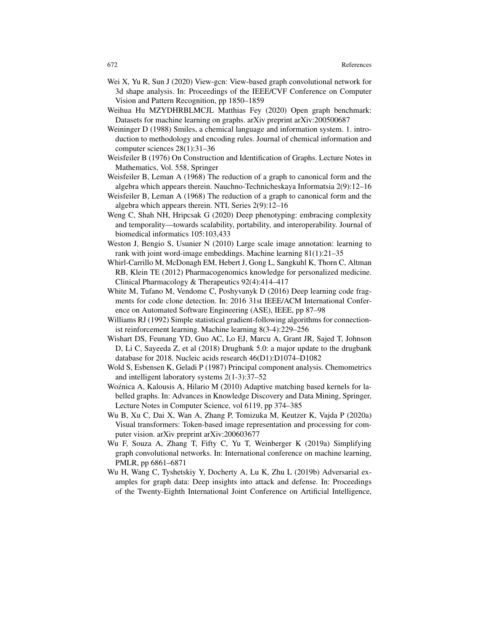- Wei X, Yu R, Sun J (2020) View-gcn: View-based graph convolutional network for 3d shape analysis. In: Proceedings of the IEEE/CVF Conference on Computer Vision and Pattern Recognition, pp 1850–1859
- Weihua Hu MZYDHRBLMCJL Matthias Fey (2020) Open graph benchmark: Datasets for machine learning on graphs. arXiv preprint arXiv:200500687
- Weininger D (1988) Smiles, a chemical language and information system. 1. introduction to methodology and encoding rules. Journal of chemical information and computer sciences 28(1):31–36
- Weisfeiler B (1976) On Construction and Identification of Graphs. Lecture Notes in Mathematics, Vol. 558, Springer
- Weisfeiler B, Leman A (1968) The reduction of a graph to canonical form and the algebra which appears therein. Nauchno-Technicheskaya Informatsia 2(9):12–16
- Weisfeiler B, Leman A (1968) The reduction of a graph to canonical form and the algebra which appears therein. NTI, Series 2(9):12–16
- Weng C, Shah NH, Hripcsak G (2020) Deep phenotyping: embracing complexity and temporality—towards scalability, portability, and interoperability. Journal of biomedical informatics 105:103,433
- Weston J, Bengio S, Usunier N (2010) Large scale image annotation: learning to rank with joint word-image embeddings. Machine learning 81(1):21–35
- Whirl-Carrillo M, McDonagh EM, Hebert J, Gong L, Sangkuhl K, Thorn C, Altman RB, Klein TE (2012) Pharmacogenomics knowledge for personalized medicine. Clinical Pharmacology & Therapeutics 92(4):414–417
- White M, Tufano M, Vendome C, Poshyvanyk D (2016) Deep learning code fragments for code clone detection. In: 2016 31st IEEE/ACM International Conference on Automated Software Engineering (ASE), IEEE, pp 87–98
- Williams RJ (1992) Simple statistical gradient-following algorithms for connectionist reinforcement learning. Machine learning 8(3-4):229–256
- Wishart DS, Feunang YD, Guo AC, Lo EJ, Marcu A, Grant JR, Sajed T, Johnson D, Li C, Sayeeda Z, et al (2018) Drugbank 5.0: a major update to the drugbank database for 2018. Nucleic acids research 46(D1):D1074–D1082
- Wold S, Esbensen K, Geladi P (1987) Principal component analysis. Chemometrics and intelligent laboratory systems 2(1-3):37–52
- Woźnica A, Kalousis A, Hilario M (2010) Adaptive matching based kernels for labelled graphs. In: Advances in Knowledge Discovery and Data Mining, Springer, Lecture Notes in Computer Science, vol 6119, pp 374–385
- Wu B, Xu C, Dai X, Wan A, Zhang P, Tomizuka M, Keutzer K, Vajda P (2020a) Visual transformers: Token-based image representation and processing for computer vision. arXiv preprint arXiv:200603677
- Wu F, Souza A, Zhang T, Fifty C, Yu T, Weinberger K (2019a) Simplifying graph convolutional networks. In: International conference on machine learning, PMLR, pp 6861–6871
- Wu H, Wang C, Tyshetskiy Y, Docherty A, Lu K, Zhu L (2019b) Adversarial examples for graph data: Deep insights into attack and defense. In: Proceedings of the Twenty-Eighth International Joint Conference on Artificial Intelligence,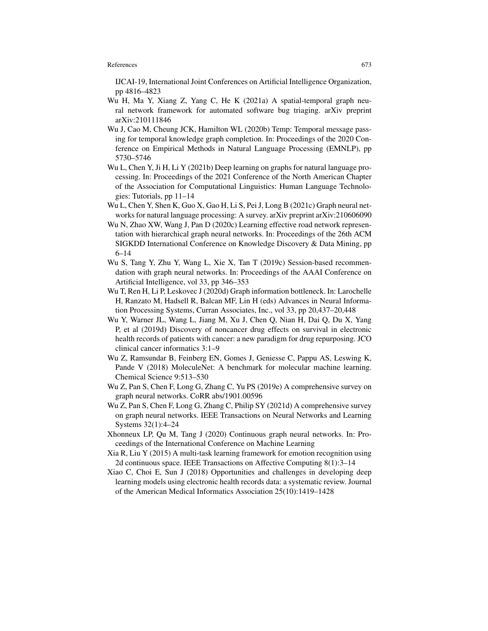IJCAI-19, International Joint Conferences on Artificial Intelligence Organization, pp 4816–4823

- Wu H, Ma Y, Xiang Z, Yang C, He K (2021a) A spatial-temporal graph neural network framework for automated software bug triaging. arXiv preprint arXiv:210111846
- Wu J, Cao M, Cheung JCK, Hamilton WL (2020b) Temp: Temporal message passing for temporal knowledge graph completion. In: Proceedings of the 2020 Conference on Empirical Methods in Natural Language Processing (EMNLP), pp 5730–5746
- Wu L, Chen Y, Ji H, Li Y (2021b) Deep learning on graphs for natural language processing. In: Proceedings of the 2021 Conference of the North American Chapter of the Association for Computational Linguistics: Human Language Technologies: Tutorials, pp 11–14
- Wu L, Chen Y, Shen K, Guo X, Gao H, Li S, Pei J, Long B (2021c) Graph neural networks for natural language processing: A survey. arXiv preprint arXiv:210606090
- Wu N, Zhao XW, Wang J, Pan D (2020c) Learning effective road network representation with hierarchical graph neural networks. In: Proceedings of the 26th ACM SIGKDD International Conference on Knowledge Discovery & Data Mining, pp 6–14
- Wu S, Tang Y, Zhu Y, Wang L, Xie X, Tan T (2019c) Session-based recommendation with graph neural networks. In: Proceedings of the AAAI Conference on Artificial Intelligence, vol 33, pp 346–353
- Wu T, Ren H, Li P, Leskovec J (2020d) Graph information bottleneck. In: Larochelle H, Ranzato M, Hadsell R, Balcan MF, Lin H (eds) Advances in Neural Information Processing Systems, Curran Associates, Inc., vol 33, pp 20,437–20,448
- Wu Y, Warner JL, Wang L, Jiang M, Xu J, Chen Q, Nian H, Dai Q, Du X, Yang P, et al (2019d) Discovery of noncancer drug effects on survival in electronic health records of patients with cancer: a new paradigm for drug repurposing. JCO clinical cancer informatics 3:1–9
- Wu Z, Ramsundar B, Feinberg EN, Gomes J, Geniesse C, Pappu AS, Leswing K, Pande V (2018) MoleculeNet: A benchmark for molecular machine learning. Chemical Science 9:513–530
- Wu Z, Pan S, Chen F, Long G, Zhang C, Yu PS (2019e) A comprehensive survey on graph neural networks. CoRR abs/1901.00596
- Wu Z, Pan S, Chen F, Long G, Zhang C, Philip SY (2021d) A comprehensive survey on graph neural networks. IEEE Transactions on Neural Networks and Learning Systems 32(1):4–24
- Xhonneux LP, Qu M, Tang J (2020) Continuous graph neural networks. In: Proceedings of the International Conference on Machine Learning
- Xia R, Liu Y (2015) A multi-task learning framework for emotion recognition using 2d continuous space. IEEE Transactions on Affective Computing 8(1):3–14
- Xiao C, Choi E, Sun J (2018) Opportunities and challenges in developing deep learning models using electronic health records data: a systematic review. Journal of the American Medical Informatics Association 25(10):1419–1428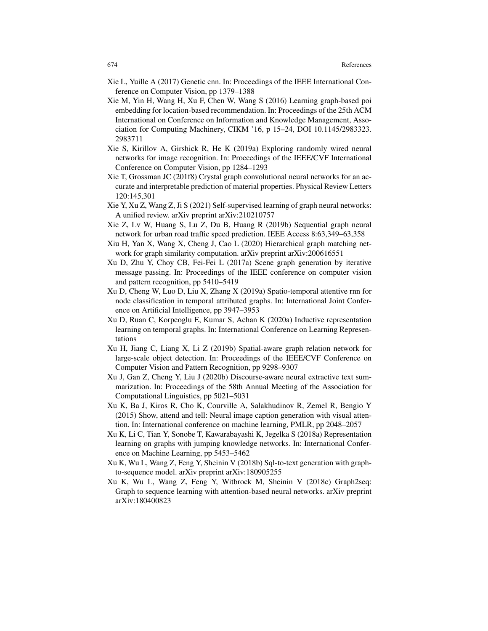- Xie L, Yuille A (2017) Genetic cnn. In: Proceedings of the IEEE International Conference on Computer Vision, pp 1379–1388
- Xie M, Yin H, Wang H, Xu F, Chen W, Wang S (2016) Learning graph-based poi embedding for location-based recommendation. In: Proceedings of the 25th ACM International on Conference on Information and Knowledge Management, Association for Computing Machinery, CIKM '16, p 15–24, DOI 10.1145/2983323. 2983711
- Xie S, Kirillov A, Girshick R, He K (2019a) Exploring randomly wired neural networks for image recognition. In: Proceedings of the IEEE/CVF International Conference on Computer Vision, pp 1284–1293
- Xie T, Grossman JC (201f8) Crystal graph convolutional neural networks for an accurate and interpretable prediction of material properties. Physical Review Letters 120:145,301
- Xie Y, Xu Z, Wang Z, Ji S (2021) Self-supervised learning of graph neural networks: A unified review. arXiv preprint arXiv:210210757
- Xie Z, Lv W, Huang S, Lu Z, Du B, Huang R (2019b) Sequential graph neural network for urban road traffic speed prediction. IEEE Access 8:63,349–63,358
- Xiu H, Yan X, Wang X, Cheng J, Cao L (2020) Hierarchical graph matching network for graph similarity computation. arXiv preprint arXiv:200616551
- Xu D, Zhu Y, Choy CB, Fei-Fei L (2017a) Scene graph generation by iterative message passing. In: Proceedings of the IEEE conference on computer vision and pattern recognition, pp 5410–5419
- Xu D, Cheng W, Luo D, Liu X, Zhang X (2019a) Spatio-temporal attentive rnn for node classification in temporal attributed graphs. In: International Joint Conference on Artificial Intelligence, pp 3947–3953
- Xu D, Ruan C, Korpeoglu E, Kumar S, Achan K (2020a) Inductive representation learning on temporal graphs. In: International Conference on Learning Representations
- Xu H, Jiang C, Liang X, Li Z (2019b) Spatial-aware graph relation network for large-scale object detection. In: Proceedings of the IEEE/CVF Conference on Computer Vision and Pattern Recognition, pp 9298–9307
- Xu J, Gan Z, Cheng Y, Liu J (2020b) Discourse-aware neural extractive text summarization. In: Proceedings of the 58th Annual Meeting of the Association for Computational Linguistics, pp 5021–5031
- Xu K, Ba J, Kiros R, Cho K, Courville A, Salakhudinov R, Zemel R, Bengio Y (2015) Show, attend and tell: Neural image caption generation with visual attention. In: International conference on machine learning, PMLR, pp 2048–2057
- Xu K, Li C, Tian Y, Sonobe T, Kawarabayashi K, Jegelka S (2018a) Representation learning on graphs with jumping knowledge networks. In: International Conference on Machine Learning, pp 5453–5462
- Xu K, Wu L, Wang Z, Feng Y, Sheinin V (2018b) Sql-to-text generation with graphto-sequence model. arXiv preprint arXiv:180905255
- Xu K, Wu L, Wang Z, Feng Y, Witbrock M, Sheinin V (2018c) Graph2seq: Graph to sequence learning with attention-based neural networks. arXiv preprint arXiv:180400823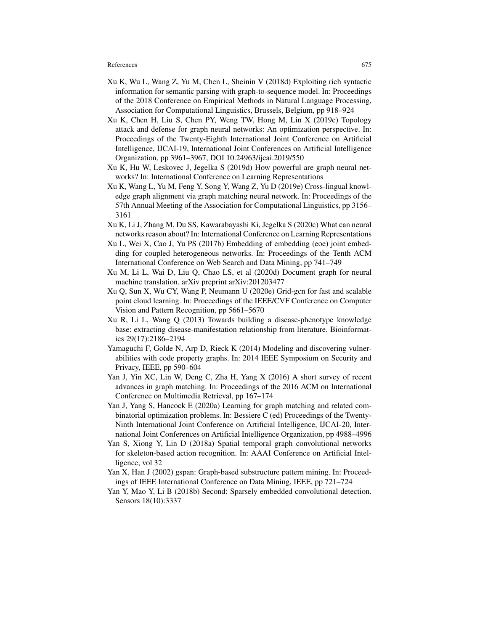- Xu K, Wu L, Wang Z, Yu M, Chen L, Sheinin V (2018d) Exploiting rich syntactic information for semantic parsing with graph-to-sequence model. In: Proceedings of the 2018 Conference on Empirical Methods in Natural Language Processing, Association for Computational Linguistics, Brussels, Belgium, pp 918–924
- Xu K, Chen H, Liu S, Chen PY, Weng TW, Hong M, Lin X (2019c) Topology attack and defense for graph neural networks: An optimization perspective. In: Proceedings of the Twenty-Eighth International Joint Conference on Artificial Intelligence, IJCAI-19, International Joint Conferences on Artificial Intelligence Organization, pp 3961–3967, DOI 10.24963/ijcai.2019/550
- Xu K, Hu W, Leskovec J, Jegelka S (2019d) How powerful are graph neural networks? In: International Conference on Learning Representations
- Xu K, Wang L, Yu M, Feng Y, Song Y, Wang Z, Yu D (2019e) Cross-lingual knowledge graph alignment via graph matching neural network. In: Proceedings of the 57th Annual Meeting of the Association for Computational Linguistics, pp 3156– 3161
- Xu K, Li J, Zhang M, Du SS, Kawarabayashi Ki, Jegelka S (2020c) What can neural networks reason about? In: International Conference on Learning Representations
- Xu L, Wei X, Cao J, Yu PS (2017b) Embedding of embedding (eoe) joint embedding for coupled heterogeneous networks. In: Proceedings of the Tenth ACM International Conference on Web Search and Data Mining, pp 741–749
- Xu M, Li L, Wai D, Liu Q, Chao LS, et al (2020d) Document graph for neural machine translation. arXiv preprint arXiv:201203477
- Xu Q, Sun X, Wu CY, Wang P, Neumann U (2020e) Grid-gcn for fast and scalable point cloud learning. In: Proceedings of the IEEE/CVF Conference on Computer Vision and Pattern Recognition, pp 5661–5670
- Xu R, Li L, Wang Q (2013) Towards building a disease-phenotype knowledge base: extracting disease-manifestation relationship from literature. Bioinformatics 29(17):2186–2194
- Yamaguchi F, Golde N, Arp D, Rieck K (2014) Modeling and discovering vulnerabilities with code property graphs. In: 2014 IEEE Symposium on Security and Privacy, IEEE, pp 590–604
- Yan J, Yin XC, Lin W, Deng C, Zha H, Yang X (2016) A short survey of recent advances in graph matching. In: Proceedings of the 2016 ACM on International Conference on Multimedia Retrieval, pp 167–174
- Yan J, Yang S, Hancock E (2020a) Learning for graph matching and related combinatorial optimization problems. In: Bessiere C (ed) Proceedings of the Twenty-Ninth International Joint Conference on Artificial Intelligence, IJCAI-20, International Joint Conferences on Artificial Intelligence Organization, pp 4988–4996
- Yan S, Xiong Y, Lin D (2018a) Spatial temporal graph convolutional networks for skeleton-based action recognition. In: AAAI Conference on Artificial Intelligence, vol 32
- Yan X, Han J (2002) gspan: Graph-based substructure pattern mining. In: Proceedings of IEEE International Conference on Data Mining, IEEE, pp 721–724
- Yan Y, Mao Y, Li B (2018b) Second: Sparsely embedded convolutional detection. Sensors 18(10):3337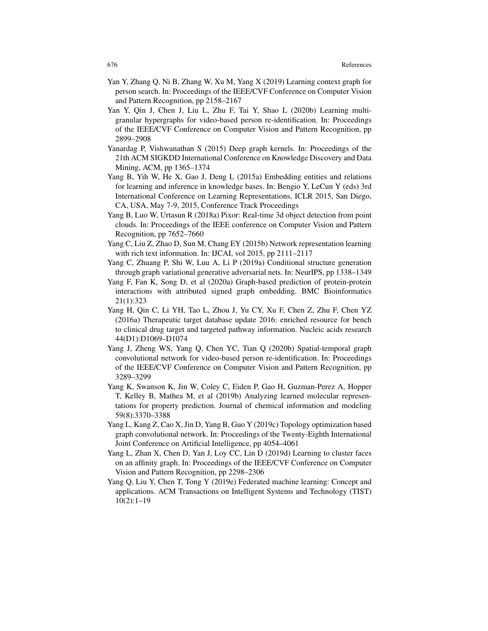- Yan Y, Zhang Q, Ni B, Zhang W, Xu M, Yang X (2019) Learning context graph for person search. In: Proceedings of the IEEE/CVF Conference on Computer Vision and Pattern Recognition, pp 2158–2167
- Yan Y, Qin J, Chen J, Liu L, Zhu F, Tai Y, Shao L (2020b) Learning multigranular hypergraphs for video-based person re-identification. In: Proceedings of the IEEE/CVF Conference on Computer Vision and Pattern Recognition, pp 2899–2908
- Yanardag P, Vishwanathan S (2015) Deep graph kernels. In: Proceedings of the 21th ACM SIGKDD International Conference on Knowledge Discovery and Data Mining, ACM, pp 1365–1374
- Yang B, Yih W, He X, Gao J, Deng L (2015a) Embedding entities and relations for learning and inference in knowledge bases. In: Bengio Y, LeCun Y (eds) 3rd International Conference on Learning Representations, ICLR 2015, San Diego, CA, USA, May 7-9, 2015, Conference Track Proceedings
- Yang B, Luo W, Urtasun R (2018a) Pixor: Real-time 3d object detection from point clouds. In: Proceedings of the IEEE conference on Computer Vision and Pattern Recognition, pp 7652–7660
- Yang C, Liu Z, Zhao D, Sun M, Chang EY (2015b) Network representation learning with rich text information. In: IJCAI, vol 2015, pp 2111–2117
- Yang C, Zhuang P, Shi W, Luu A, Li P (2019a) Conditional structure generation through graph variational generative adversarial nets. In: NeurIPS, pp 1338–1349
- Yang F, Fan K, Song D, et al (2020a) Graph-based prediction of protein-protein interactions with attributed signed graph embedding. BMC Bioinformatics 21(1):323
- Yang H, Qin C, Li YH, Tao L, Zhou J, Yu CY, Xu F, Chen Z, Zhu F, Chen YZ (2016a) Therapeutic target database update 2016: enriched resource for bench to clinical drug target and targeted pathway information. Nucleic acids research 44(D1):D1069–D1074
- Yang J, Zheng WS, Yang Q, Chen YC, Tian Q (2020b) Spatial-temporal graph convolutional network for video-based person re-identification. In: Proceedings of the IEEE/CVF Conference on Computer Vision and Pattern Recognition, pp 3289–3299
- Yang K, Swanson K, Jin W, Coley C, Eiden P, Gao H, Guzman-Perez A, Hopper T, Kelley B, Mathea M, et al (2019b) Analyzing learned molecular representations for property prediction. Journal of chemical information and modeling 59(8):3370–3388
- Yang L, Kang Z, Cao X, Jin D, Yang B, Guo Y (2019c) Topology optimization based graph convolutional network. In: Proceedings of the Twenty-Eighth International Joint Conference on Artificial Intelligence, pp 4054–4061
- Yang L, Zhan X, Chen D, Yan J, Loy CC, Lin D (2019d) Learning to cluster faces on an affinity graph. In: Proceedings of the IEEE/CVF Conference on Computer Vision and Pattern Recognition, pp 2298–2306
- Yang Q, Liu Y, Chen T, Tong Y (2019e) Federated machine learning: Concept and applications. ACM Transactions on Intelligent Systems and Technology (TIST) 10(2):1–19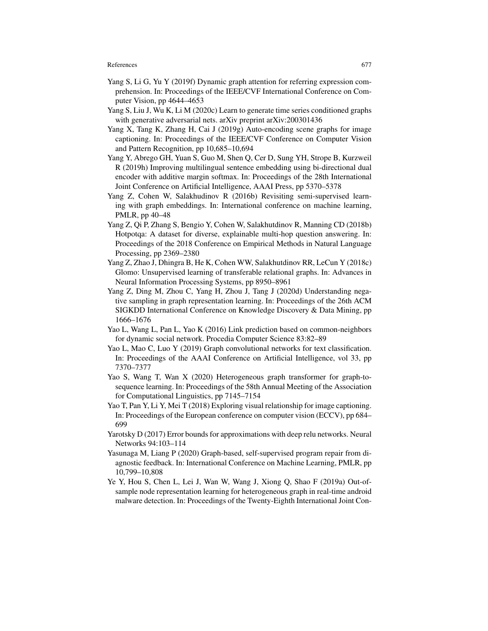- Yang S, Li G, Yu Y (2019f) Dynamic graph attention for referring expression comprehension. In: Proceedings of the IEEE/CVF International Conference on Computer Vision, pp 4644–4653
- Yang S, Liu J, Wu K, Li M (2020c) Learn to generate time series conditioned graphs with generative adversarial nets. arXiv preprint arXiv:200301436
- Yang X, Tang K, Zhang H, Cai J (2019g) Auto-encoding scene graphs for image captioning. In: Proceedings of the IEEE/CVF Conference on Computer Vision and Pattern Recognition, pp 10,685–10,694
- Yang Y, Abrego GH, Yuan S, Guo M, Shen Q, Cer D, Sung YH, Strope B, Kurzweil R (2019h) Improving multilingual sentence embedding using bi-directional dual encoder with additive margin softmax. In: Proceedings of the 28th International Joint Conference on Artificial Intelligence, AAAI Press, pp 5370–5378
- Yang Z, Cohen W, Salakhudinov R (2016b) Revisiting semi-supervised learning with graph embeddings. In: International conference on machine learning, PMLR, pp 40–48
- Yang Z, Qi P, Zhang S, Bengio Y, Cohen W, Salakhutdinov R, Manning CD (2018b) Hotpotqa: A dataset for diverse, explainable multi-hop question answering. In: Proceedings of the 2018 Conference on Empirical Methods in Natural Language Processing, pp 2369–2380
- Yang Z, Zhao J, Dhingra B, He K, Cohen WW, Salakhutdinov RR, LeCun Y (2018c) Glomo: Unsupervised learning of transferable relational graphs. In: Advances in Neural Information Processing Systems, pp 8950–8961
- Yang Z, Ding M, Zhou C, Yang H, Zhou J, Tang J (2020d) Understanding negative sampling in graph representation learning. In: Proceedings of the 26th ACM SIGKDD International Conference on Knowledge Discovery & Data Mining, pp 1666–1676
- Yao L, Wang L, Pan L, Yao K (2016) Link prediction based on common-neighbors for dynamic social network. Procedia Computer Science 83:82–89
- Yao L, Mao C, Luo Y (2019) Graph convolutional networks for text classification. In: Proceedings of the AAAI Conference on Artificial Intelligence, vol 33, pp 7370–7377
- Yao S, Wang T, Wan X (2020) Heterogeneous graph transformer for graph-tosequence learning. In: Proceedings of the 58th Annual Meeting of the Association for Computational Linguistics, pp 7145–7154
- Yao T, Pan Y, Li Y, Mei T (2018) Exploring visual relationship for image captioning. In: Proceedings of the European conference on computer vision (ECCV), pp 684– 699
- Yarotsky D (2017) Error bounds for approximations with deep relu networks. Neural Networks 94:103–114
- Yasunaga M, Liang P (2020) Graph-based, self-supervised program repair from diagnostic feedback. In: International Conference on Machine Learning, PMLR, pp 10,799–10,808
- Ye Y, Hou S, Chen L, Lei J, Wan W, Wang J, Xiong Q, Shao F (2019a) Out-ofsample node representation learning for heterogeneous graph in real-time android malware detection. In: Proceedings of the Twenty-Eighth International Joint Con-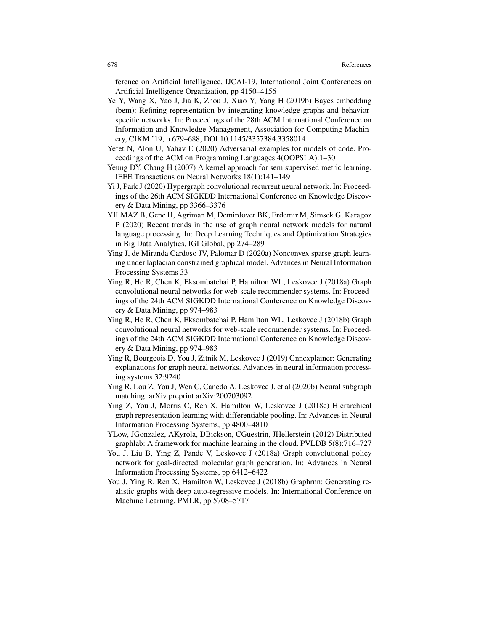ference on Artificial Intelligence, IJCAI-19, International Joint Conferences on Artificial Intelligence Organization, pp 4150–4156

- Ye Y, Wang X, Yao J, Jia K, Zhou J, Xiao Y, Yang H (2019b) Bayes embedding (bem): Refining representation by integrating knowledge graphs and behaviorspecific networks. In: Proceedings of the 28th ACM International Conference on Information and Knowledge Management, Association for Computing Machinery, CIKM '19, p 679–688, DOI 10.1145/3357384.3358014
- Yefet N, Alon U, Yahav E (2020) Adversarial examples for models of code. Proceedings of the ACM on Programming Languages 4(OOPSLA):1–30
- Yeung DY, Chang H (2007) A kernel approach for semisupervised metric learning. IEEE Transactions on Neural Networks 18(1):141–149
- Yi J, Park J (2020) Hypergraph convolutional recurrent neural network. In: Proceedings of the 26th ACM SIGKDD International Conference on Knowledge Discovery & Data Mining, pp 3366–3376
- YILMAZ B, Genc H, Agriman M, Demirdover BK, Erdemir M, Simsek G, Karagoz P (2020) Recent trends in the use of graph neural network models for natural language processing. In: Deep Learning Techniques and Optimization Strategies in Big Data Analytics, IGI Global, pp 274–289
- Ying J, de Miranda Cardoso JV, Palomar D (2020a) Nonconvex sparse graph learning under laplacian constrained graphical model. Advances in Neural Information Processing Systems 33
- Ying R, He R, Chen K, Eksombatchai P, Hamilton WL, Leskovec J (2018a) Graph convolutional neural networks for web-scale recommender systems. In: Proceedings of the 24th ACM SIGKDD International Conference on Knowledge Discovery & Data Mining, pp 974–983
- Ying R, He R, Chen K, Eksombatchai P, Hamilton WL, Leskovec J (2018b) Graph convolutional neural networks for web-scale recommender systems. In: Proceedings of the 24th ACM SIGKDD International Conference on Knowledge Discovery & Data Mining, pp 974–983
- Ying R, Bourgeois D, You J, Zitnik M, Leskovec J (2019) Gnnexplainer: Generating explanations for graph neural networks. Advances in neural information processing systems 32:9240
- Ying R, Lou Z, You J, Wen C, Canedo A, Leskovec J, et al (2020b) Neural subgraph matching. arXiv preprint arXiv:200703092
- Ying Z, You J, Morris C, Ren X, Hamilton W, Leskovec J (2018c) Hierarchical graph representation learning with differentiable pooling. In: Advances in Neural Information Processing Systems, pp 4800–4810
- YLow, JGonzalez, AKyrola, DBickson, CGuestrin, JHellerstein (2012) Distributed graphlab: A framework for machine learning in the cloud. PVLDB 5(8):716–727
- You J, Liu B, Ying Z, Pande V, Leskovec J (2018a) Graph convolutional policy network for goal-directed molecular graph generation. In: Advances in Neural Information Processing Systems, pp 6412–6422
- You J, Ying R, Ren X, Hamilton W, Leskovec J (2018b) Graphrnn: Generating realistic graphs with deep auto-regressive models. In: International Conference on Machine Learning, PMLR, pp 5708–5717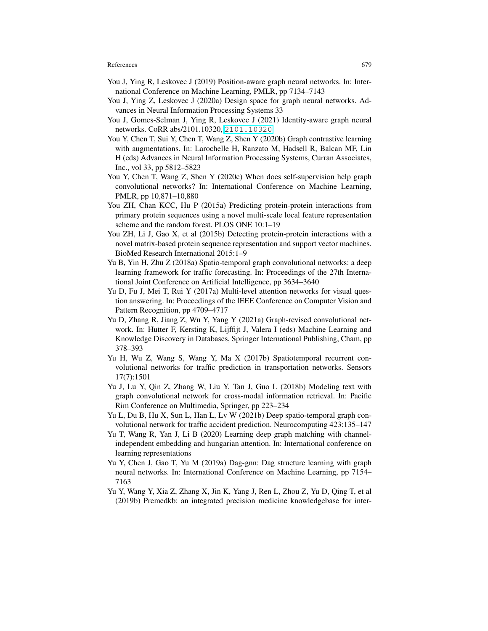- You J, Ying R, Leskovec J (2019) Position-aware graph neural networks. In: International Conference on Machine Learning, PMLR, pp 7134–7143
- You J, Ying Z, Leskovec J (2020a) Design space for graph neural networks. Advances in Neural Information Processing Systems 33
- You J, Gomes-Selman J, Ying R, Leskovec J (2021) Identity-aware graph neural networks. CoRR abs/2101.10320, <2101.10320>
- You Y, Chen T, Sui Y, Chen T, Wang Z, Shen Y (2020b) Graph contrastive learning with augmentations. In: Larochelle H, Ranzato M, Hadsell R, Balcan MF, Lin H (eds) Advances in Neural Information Processing Systems, Curran Associates, Inc., vol 33, pp 5812–5823
- You Y, Chen T, Wang Z, Shen Y (2020c) When does self-supervision help graph convolutional networks? In: International Conference on Machine Learning, PMLR, pp 10,871–10,880
- You ZH, Chan KCC, Hu P (2015a) Predicting protein-protein interactions from primary protein sequences using a novel multi-scale local feature representation scheme and the random forest. PLOS ONE 10:1–19
- You ZH, Li J, Gao X, et al (2015b) Detecting protein-protein interactions with a novel matrix-based protein sequence representation and support vector machines. BioMed Research International 2015:1–9
- Yu B, Yin H, Zhu Z (2018a) Spatio-temporal graph convolutional networks: a deep learning framework for traffic forecasting. In: Proceedings of the 27th International Joint Conference on Artificial Intelligence, pp 3634–3640
- Yu D, Fu J, Mei T, Rui Y (2017a) Multi-level attention networks for visual question answering. In: Proceedings of the IEEE Conference on Computer Vision and Pattern Recognition, pp 4709–4717
- Yu D, Zhang R, Jiang Z, Wu Y, Yang Y (2021a) Graph-revised convolutional network. In: Hutter F, Kersting K, Lijffijt J, Valera I (eds) Machine Learning and Knowledge Discovery in Databases, Springer International Publishing, Cham, pp 378–393
- Yu H, Wu Z, Wang S, Wang Y, Ma X (2017b) Spatiotemporal recurrent convolutional networks for traffic prediction in transportation networks. Sensors 17(7):1501
- Yu J, Lu Y, Qin Z, Zhang W, Liu Y, Tan J, Guo L (2018b) Modeling text with graph convolutional network for cross-modal information retrieval. In: Pacific Rim Conference on Multimedia, Springer, pp 223–234
- Yu L, Du B, Hu X, Sun L, Han L, Lv W (2021b) Deep spatio-temporal graph convolutional network for traffic accident prediction. Neurocomputing 423:135–147
- Yu T, Wang R, Yan J, Li B (2020) Learning deep graph matching with channelindependent embedding and hungarian attention. In: International conference on learning representations
- Yu Y, Chen J, Gao T, Yu M (2019a) Dag-gnn: Dag structure learning with graph neural networks. In: International Conference on Machine Learning, pp 7154– 7163
- Yu Y, Wang Y, Xia Z, Zhang X, Jin K, Yang J, Ren L, Zhou Z, Yu D, Qing T, et al (2019b) Premedkb: an integrated precision medicine knowledgebase for inter-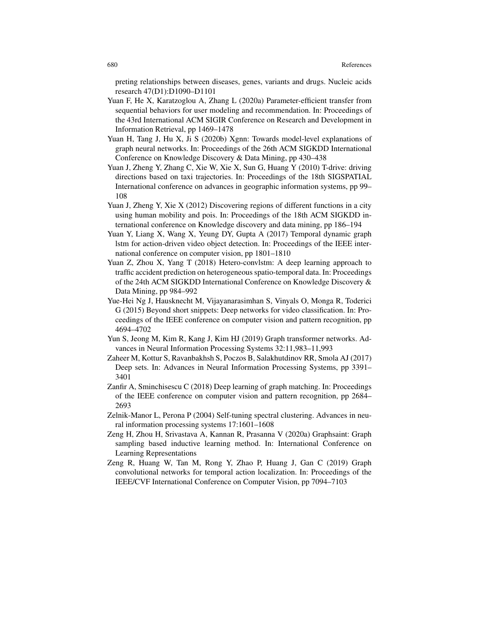preting relationships between diseases, genes, variants and drugs. Nucleic acids research 47(D1):D1090–D1101

- Yuan F, He X, Karatzoglou A, Zhang L (2020a) Parameter-efficient transfer from sequential behaviors for user modeling and recommendation. In: Proceedings of the 43rd International ACM SIGIR Conference on Research and Development in Information Retrieval, pp 1469–1478
- Yuan H, Tang J, Hu X, Ji S (2020b) Xgnn: Towards model-level explanations of graph neural networks. In: Proceedings of the 26th ACM SIGKDD International Conference on Knowledge Discovery & Data Mining, pp 430–438
- Yuan J, Zheng Y, Zhang C, Xie W, Xie X, Sun G, Huang Y (2010) T-drive: driving directions based on taxi trajectories. In: Proceedings of the 18th SIGSPATIAL International conference on advances in geographic information systems, pp 99– 108
- Yuan J, Zheng Y, Xie X (2012) Discovering regions of different functions in a city using human mobility and pois. In: Proceedings of the 18th ACM SIGKDD international conference on Knowledge discovery and data mining, pp 186–194
- Yuan Y, Liang X, Wang X, Yeung DY, Gupta A (2017) Temporal dynamic graph lstm for action-driven video object detection. In: Proceedings of the IEEE international conference on computer vision, pp 1801–1810
- Yuan Z, Zhou X, Yang T (2018) Hetero-convlstm: A deep learning approach to traffic accident prediction on heterogeneous spatio-temporal data. In: Proceedings of the 24th ACM SIGKDD International Conference on Knowledge Discovery & Data Mining, pp 984–992
- Yue-Hei Ng J, Hausknecht M, Vijayanarasimhan S, Vinyals O, Monga R, Toderici G (2015) Beyond short snippets: Deep networks for video classification. In: Proceedings of the IEEE conference on computer vision and pattern recognition, pp 4694–4702
- Yun S, Jeong M, Kim R, Kang J, Kim HJ (2019) Graph transformer networks. Advances in Neural Information Processing Systems 32:11,983–11,993
- Zaheer M, Kottur S, Ravanbakhsh S, Poczos B, Salakhutdinov RR, Smola AJ (2017) Deep sets. In: Advances in Neural Information Processing Systems, pp 3391– 3401
- Zanfir A, Sminchisescu C (2018) Deep learning of graph matching. In: Proceedings of the IEEE conference on computer vision and pattern recognition, pp 2684– 2693
- Zelnik-Manor L, Perona P (2004) Self-tuning spectral clustering. Advances in neural information processing systems 17:1601–1608
- Zeng H, Zhou H, Srivastava A, Kannan R, Prasanna V (2020a) Graphsaint: Graph sampling based inductive learning method. In: International Conference on Learning Representations
- Zeng R, Huang W, Tan M, Rong Y, Zhao P, Huang J, Gan C (2019) Graph convolutional networks for temporal action localization. In: Proceedings of the IEEE/CVF International Conference on Computer Vision, pp 7094–7103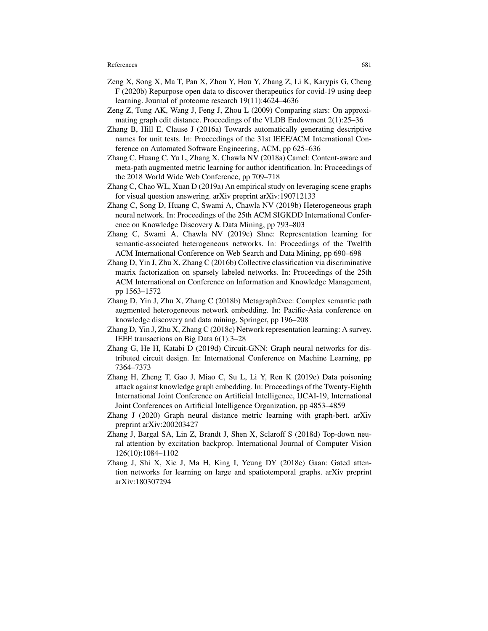- Zeng X, Song X, Ma T, Pan X, Zhou Y, Hou Y, Zhang Z, Li K, Karypis G, Cheng F (2020b) Repurpose open data to discover therapeutics for covid-19 using deep learning. Journal of proteome research 19(11):4624–4636
- Zeng Z, Tung AK, Wang J, Feng J, Zhou L (2009) Comparing stars: On approximating graph edit distance. Proceedings of the VLDB Endowment 2(1):25–36
- Zhang B, Hill E, Clause J (2016a) Towards automatically generating descriptive names for unit tests. In: Proceedings of the 31st IEEE/ACM International Conference on Automated Software Engineering, ACM, pp 625–636
- Zhang C, Huang C, Yu L, Zhang X, Chawla NV (2018a) Camel: Content-aware and meta-path augmented metric learning for author identification. In: Proceedings of the 2018 World Wide Web Conference, pp 709–718
- Zhang C, Chao WL, Xuan D (2019a) An empirical study on leveraging scene graphs for visual question answering. arXiv preprint arXiv:190712133
- Zhang C, Song D, Huang C, Swami A, Chawla NV (2019b) Heterogeneous graph neural network. In: Proceedings of the 25th ACM SIGKDD International Conference on Knowledge Discovery & Data Mining, pp 793–803
- Zhang C, Swami A, Chawla NV (2019c) Shne: Representation learning for semantic-associated heterogeneous networks. In: Proceedings of the Twelfth ACM International Conference on Web Search and Data Mining, pp 690–698
- Zhang D, Yin J, Zhu X, Zhang C (2016b) Collective classification via discriminative matrix factorization on sparsely labeled networks. In: Proceedings of the 25th ACM International on Conference on Information and Knowledge Management, pp 1563–1572
- Zhang D, Yin J, Zhu X, Zhang C (2018b) Metagraph2vec: Complex semantic path augmented heterogeneous network embedding. In: Pacific-Asia conference on knowledge discovery and data mining, Springer, pp 196–208
- Zhang D, Yin J, Zhu X, Zhang C (2018c) Network representation learning: A survey. IEEE transactions on Big Data 6(1):3–28
- Zhang G, He H, Katabi D (2019d) Circuit-GNN: Graph neural networks for distributed circuit design. In: International Conference on Machine Learning, pp 7364–7373
- Zhang H, Zheng T, Gao J, Miao C, Su L, Li Y, Ren K (2019e) Data poisoning attack against knowledge graph embedding. In: Proceedings of the Twenty-Eighth International Joint Conference on Artificial Intelligence, IJCAI-19, International Joint Conferences on Artificial Intelligence Organization, pp 4853–4859
- Zhang J (2020) Graph neural distance metric learning with graph-bert. arXiv preprint arXiv:200203427
- Zhang J, Bargal SA, Lin Z, Brandt J, Shen X, Sclaroff S (2018d) Top-down neural attention by excitation backprop. International Journal of Computer Vision 126(10):1084–1102
- Zhang J, Shi X, Xie J, Ma H, King I, Yeung DY (2018e) Gaan: Gated attention networks for learning on large and spatiotemporal graphs. arXiv preprint arXiv:180307294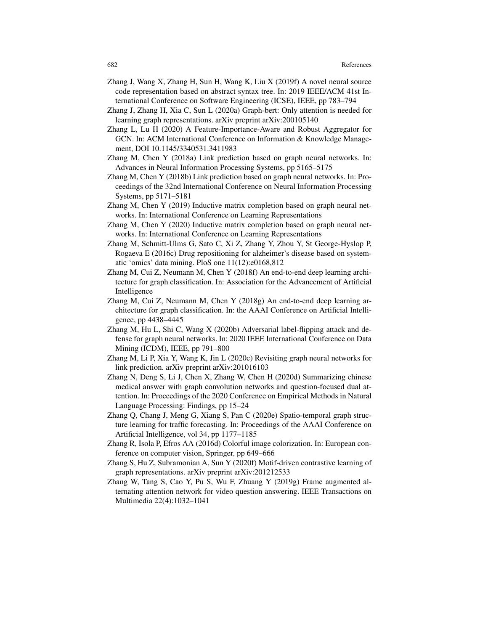- Zhang J, Wang X, Zhang H, Sun H, Wang K, Liu X (2019f) A novel neural source code representation based on abstract syntax tree. In: 2019 IEEE/ACM 41st International Conference on Software Engineering (ICSE), IEEE, pp 783–794
- Zhang J, Zhang H, Xia C, Sun L (2020a) Graph-bert: Only attention is needed for learning graph representations. arXiv preprint arXiv:200105140
- Zhang L, Lu H (2020) A Feature-Importance-Aware and Robust Aggregator for GCN. In: ACM International Conference on Information & Knowledge Management, DOI 10.1145/3340531.3411983
- Zhang M, Chen Y (2018a) Link prediction based on graph neural networks. In: Advances in Neural Information Processing Systems, pp 5165–5175
- Zhang M, Chen Y (2018b) Link prediction based on graph neural networks. In: Proceedings of the 32nd International Conference on Neural Information Processing Systems, pp 5171–5181
- Zhang M, Chen Y (2019) Inductive matrix completion based on graph neural networks. In: International Conference on Learning Representations
- Zhang M, Chen Y (2020) Inductive matrix completion based on graph neural networks. In: International Conference on Learning Representations
- Zhang M, Schmitt-Ulms G, Sato C, Xi Z, Zhang Y, Zhou Y, St George-Hyslop P, Rogaeva E (2016c) Drug repositioning for alzheimer's disease based on systematic 'omics' data mining. PloS one 11(12):e0168,812
- Zhang M, Cui Z, Neumann M, Chen Y (2018f) An end-to-end deep learning architecture for graph classification. In: Association for the Advancement of Artificial Intelligence
- Zhang M, Cui Z, Neumann M, Chen Y (2018g) An end-to-end deep learning architecture for graph classification. In: the AAAI Conference on Artificial Intelligence, pp 4438–4445
- Zhang M, Hu L, Shi C, Wang X (2020b) Adversarial label-flipping attack and defense for graph neural networks. In: 2020 IEEE International Conference on Data Mining (ICDM), IEEE, pp 791–800
- Zhang M, Li P, Xia Y, Wang K, Jin L (2020c) Revisiting graph neural networks for link prediction. arXiv preprint arXiv:201016103
- Zhang N, Deng S, Li J, Chen X, Zhang W, Chen H (2020d) Summarizing chinese medical answer with graph convolution networks and question-focused dual attention. In: Proceedings of the 2020 Conference on Empirical Methods in Natural Language Processing: Findings, pp 15–24
- Zhang Q, Chang J, Meng G, Xiang S, Pan C (2020e) Spatio-temporal graph structure learning for traffic forecasting. In: Proceedings of the AAAI Conference on Artificial Intelligence, vol 34, pp 1177–1185
- Zhang R, Isola P, Efros AA (2016d) Colorful image colorization. In: European conference on computer vision, Springer, pp 649–666
- Zhang S, Hu Z, Subramonian A, Sun Y (2020f) Motif-driven contrastive learning of graph representations. arXiv preprint arXiv:201212533
- Zhang W, Tang S, Cao Y, Pu S, Wu F, Zhuang Y (2019g) Frame augmented alternating attention network for video question answering. IEEE Transactions on Multimedia 22(4):1032–1041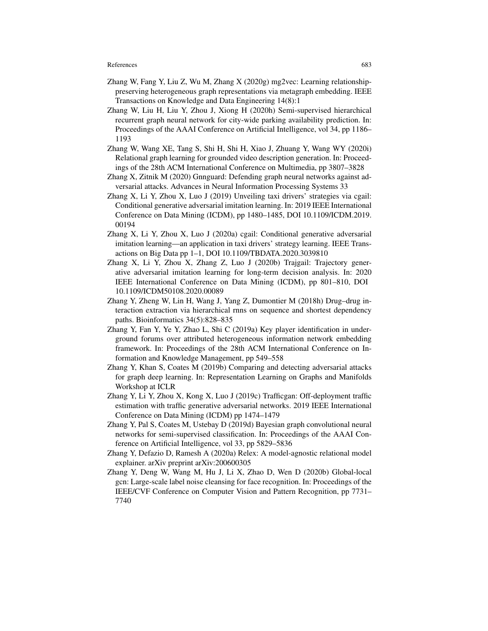- Zhang W, Fang Y, Liu Z, Wu M, Zhang X (2020g) mg2vec: Learning relationshippreserving heterogeneous graph representations via metagraph embedding. IEEE Transactions on Knowledge and Data Engineering 14(8):1
- Zhang W, Liu H, Liu Y, Zhou J, Xiong H (2020h) Semi-supervised hierarchical recurrent graph neural network for city-wide parking availability prediction. In: Proceedings of the AAAI Conference on Artificial Intelligence, vol 34, pp 1186– 1193
- Zhang W, Wang XE, Tang S, Shi H, Shi H, Xiao J, Zhuang Y, Wang WY (2020i) Relational graph learning for grounded video description generation. In: Proceedings of the 28th ACM International Conference on Multimedia, pp 3807–3828
- Zhang X, Zitnik M (2020) Gnnguard: Defending graph neural networks against adversarial attacks. Advances in Neural Information Processing Systems 33
- Zhang X, Li Y, Zhou X, Luo J (2019) Unveiling taxi drivers' strategies via cgail: Conditional generative adversarial imitation learning. In: 2019 IEEE International Conference on Data Mining (ICDM), pp 1480–1485, DOI 10.1109/ICDM.2019. 00194
- Zhang X, Li Y, Zhou X, Luo J (2020a) cgail: Conditional generative adversarial imitation learning—an application in taxi drivers' strategy learning. IEEE Transactions on Big Data pp 1–1, DOI 10.1109/TBDATA.2020.3039810
- Zhang X, Li Y, Zhou X, Zhang Z, Luo J (2020b) Trajgail: Trajectory generative adversarial imitation learning for long-term decision analysis. In: 2020 IEEE International Conference on Data Mining (ICDM), pp 801–810, DOI 10.1109/ICDM50108.2020.00089
- Zhang Y, Zheng W, Lin H, Wang J, Yang Z, Dumontier M (2018h) Drug–drug interaction extraction via hierarchical rnns on sequence and shortest dependency paths. Bioinformatics 34(5):828–835
- Zhang Y, Fan Y, Ye Y, Zhao L, Shi C (2019a) Key player identification in underground forums over attributed heterogeneous information network embedding framework. In: Proceedings of the 28th ACM International Conference on Information and Knowledge Management, pp 549–558
- Zhang Y, Khan S, Coates M (2019b) Comparing and detecting adversarial attacks for graph deep learning. In: Representation Learning on Graphs and Manifolds Workshop at ICLR
- Zhang Y, Li Y, Zhou X, Kong X, Luo J (2019c) Trafficgan: Off-deployment traffic estimation with traffic generative adversarial networks. 2019 IEEE International Conference on Data Mining (ICDM) pp 1474–1479
- Zhang Y, Pal S, Coates M, Ustebay D (2019d) Bayesian graph convolutional neural networks for semi-supervised classification. In: Proceedings of the AAAI Conference on Artificial Intelligence, vol 33, pp 5829–5836
- Zhang Y, Defazio D, Ramesh A (2020a) Relex: A model-agnostic relational model explainer. arXiv preprint arXiv:200600305
- Zhang Y, Deng W, Wang M, Hu J, Li X, Zhao D, Wen D (2020b) Global-local gcn: Large-scale label noise cleansing for face recognition. In: Proceedings of the IEEE/CVF Conference on Computer Vision and Pattern Recognition, pp 7731– 7740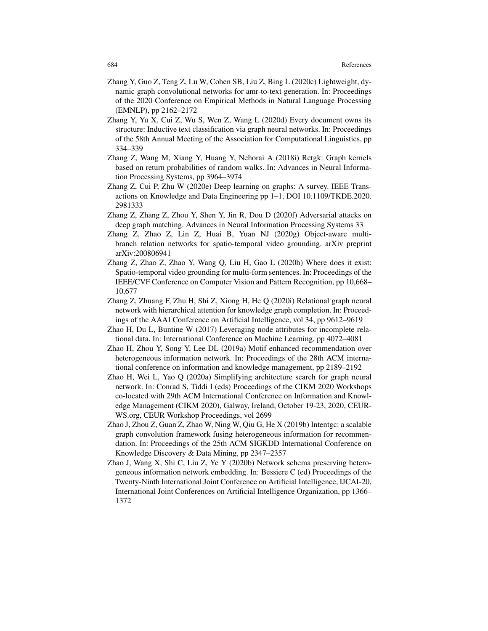- Zhang Y, Guo Z, Teng Z, Lu W, Cohen SB, Liu Z, Bing L (2020c) Lightweight, dynamic graph convolutional networks for amr-to-text generation. In: Proceedings of the 2020 Conference on Empirical Methods in Natural Language Processing (EMNLP), pp 2162–2172
- Zhang Y, Yu X, Cui Z, Wu S, Wen Z, Wang L (2020d) Every document owns its structure: Inductive text classification via graph neural networks. In: Proceedings of the 58th Annual Meeting of the Association for Computational Linguistics, pp 334–339
- Zhang Z, Wang M, Xiang Y, Huang Y, Nehorai A (2018i) Retgk: Graph kernels based on return probabilities of random walks. In: Advances in Neural Information Processing Systems, pp 3964–3974
- Zhang Z, Cui P, Zhu W (2020e) Deep learning on graphs: A survey. IEEE Transactions on Knowledge and Data Engineering pp 1–1, DOI 10.1109/TKDE.2020. 2981333
- Zhang Z, Zhang Z, Zhou Y, Shen Y, Jin R, Dou D (2020f) Adversarial attacks on deep graph matching. Advances in Neural Information Processing Systems 33
- Zhang Z, Zhao Z, Lin Z, Huai B, Yuan NJ (2020g) Object-aware multibranch relation networks for spatio-temporal video grounding. arXiv preprint arXiv:200806941
- Zhang Z, Zhao Z, Zhao Y, Wang Q, Liu H, Gao L (2020h) Where does it exist: Spatio-temporal video grounding for multi-form sentences. In: Proceedings of the IEEE/CVF Conference on Computer Vision and Pattern Recognition, pp 10,668– 10,677
- Zhang Z, Zhuang F, Zhu H, Shi Z, Xiong H, He Q (2020i) Relational graph neural network with hierarchical attention for knowledge graph completion. In: Proceedings of the AAAI Conference on Artificial Intelligence, vol 34, pp 9612–9619
- Zhao H, Du L, Buntine W (2017) Leveraging node attributes for incomplete relational data. In: International Conference on Machine Learning, pp 4072–4081
- Zhao H, Zhou Y, Song Y, Lee DL (2019a) Motif enhanced recommendation over heterogeneous information network. In: Proceedings of the 28th ACM international conference on information and knowledge management, pp 2189–2192
- Zhao H, Wei L, Yao Q (2020a) Simplifying architecture search for graph neural network. In: Conrad S, Tiddi I (eds) Proceedings of the CIKM 2020 Workshops co-located with 29th ACM International Conference on Information and Knowledge Management (CIKM 2020), Galway, Ireland, October 19-23, 2020, CEUR-WS.org, CEUR Workshop Proceedings, vol 2699
- Zhao J, Zhou Z, Guan Z, Zhao W, Ning W, Qiu G, He X (2019b) Intentgc: a scalable graph convolution framework fusing heterogeneous information for recommendation. In: Proceedings of the 25th ACM SIGKDD International Conference on Knowledge Discovery & Data Mining, pp 2347–2357
- Zhao J, Wang X, Shi C, Liu Z, Ye Y (2020b) Network schema preserving heterogeneous information network embedding. In: Bessiere C (ed) Proceedings of the Twenty-Ninth International Joint Conference on Artificial Intelligence, IJCAI-20, International Joint Conferences on Artificial Intelligence Organization, pp 1366– 1372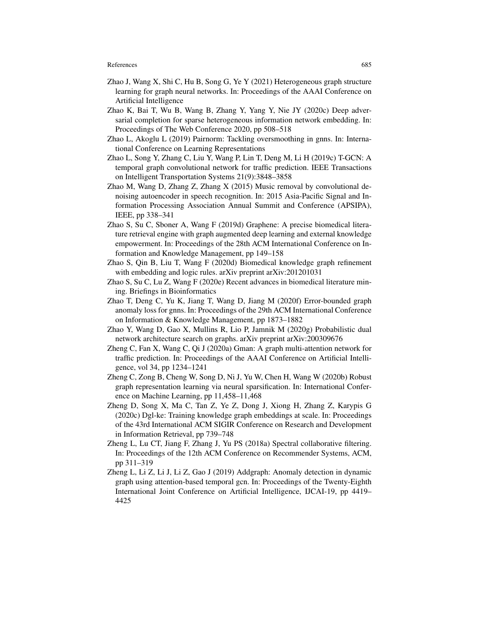- Zhao J, Wang X, Shi C, Hu B, Song G, Ye Y (2021) Heterogeneous graph structure learning for graph neural networks. In: Proceedings of the AAAI Conference on Artificial Intelligence
- Zhao K, Bai T, Wu B, Wang B, Zhang Y, Yang Y, Nie JY (2020c) Deep adversarial completion for sparse heterogeneous information network embedding. In: Proceedings of The Web Conference 2020, pp 508–518
- Zhao L, Akoglu L (2019) Pairnorm: Tackling oversmoothing in gnns. In: International Conference on Learning Representations
- Zhao L, Song Y, Zhang C, Liu Y, Wang P, Lin T, Deng M, Li H (2019c) T-GCN: A temporal graph convolutional network for traffic prediction. IEEE Transactions on Intelligent Transportation Systems 21(9):3848–3858
- Zhao M, Wang D, Zhang Z, Zhang X (2015) Music removal by convolutional denoising autoencoder in speech recognition. In: 2015 Asia-Pacific Signal and Information Processing Association Annual Summit and Conference (APSIPA), IEEE, pp 338–341
- Zhao S, Su C, Sboner A, Wang F (2019d) Graphene: A precise biomedical literature retrieval engine with graph augmented deep learning and external knowledge empowerment. In: Proceedings of the 28th ACM International Conference on Information and Knowledge Management, pp 149–158
- Zhao S, Qin B, Liu T, Wang F (2020d) Biomedical knowledge graph refinement with embedding and logic rules. arXiv preprint arXiv:201201031
- Zhao S, Su C, Lu Z, Wang F (2020e) Recent advances in biomedical literature mining. Briefings in Bioinformatics
- Zhao T, Deng C, Yu K, Jiang T, Wang D, Jiang M (2020f) Error-bounded graph anomaly loss for gnns. In: Proceedings of the 29th ACM International Conference on Information & Knowledge Management, pp 1873–1882
- Zhao Y, Wang D, Gao X, Mullins R, Lio P, Jamnik M (2020g) Probabilistic dual network architecture search on graphs. arXiv preprint arXiv:200309676
- Zheng C, Fan X, Wang C, Qi J (2020a) Gman: A graph multi-attention network for traffic prediction. In: Proceedings of the AAAI Conference on Artificial Intelligence, vol 34, pp 1234–1241
- Zheng C, Zong B, Cheng W, Song D, Ni J, Yu W, Chen H, Wang W (2020b) Robust graph representation learning via neural sparsification. In: International Conference on Machine Learning, pp 11,458–11,468
- Zheng D, Song X, Ma C, Tan Z, Ye Z, Dong J, Xiong H, Zhang Z, Karypis G (2020c) Dgl-ke: Training knowledge graph embeddings at scale. In: Proceedings of the 43rd International ACM SIGIR Conference on Research and Development in Information Retrieval, pp 739–748
- Zheng L, Lu CT, Jiang F, Zhang J, Yu PS (2018a) Spectral collaborative filtering. In: Proceedings of the 12th ACM Conference on Recommender Systems, ACM, pp 311–319
- Zheng L, Li Z, Li J, Li Z, Gao J (2019) Addgraph: Anomaly detection in dynamic graph using attention-based temporal gcn. In: Proceedings of the Twenty-Eighth International Joint Conference on Artificial Intelligence, IJCAI-19, pp 4419– 4425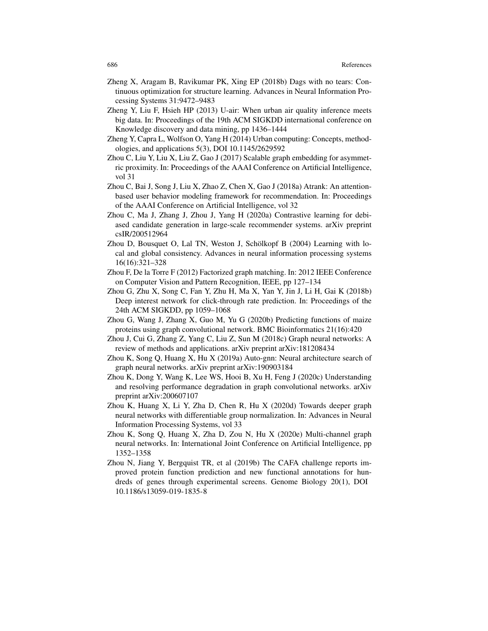- Zheng X, Aragam B, Ravikumar PK, Xing EP (2018b) Dags with no tears: Continuous optimization for structure learning. Advances in Neural Information Processing Systems 31:9472–9483
- Zheng Y, Liu F, Hsieh HP (2013) U-air: When urban air quality inference meets big data. In: Proceedings of the 19th ACM SIGKDD international conference on Knowledge discovery and data mining, pp 1436–1444
- Zheng Y, Capra L, Wolfson O, Yang H (2014) Urban computing: Concepts, methodologies, and applications 5(3), DOI 10.1145/2629592
- Zhou C, Liu Y, Liu X, Liu Z, Gao J (2017) Scalable graph embedding for asymmetric proximity. In: Proceedings of the AAAI Conference on Artificial Intelligence, vol 31
- Zhou C, Bai J, Song J, Liu X, Zhao Z, Chen X, Gao J (2018a) Atrank: An attentionbased user behavior modeling framework for recommendation. In: Proceedings of the AAAI Conference on Artificial Intelligence, vol 32
- Zhou C, Ma J, Zhang J, Zhou J, Yang H (2020a) Contrastive learning for debiased candidate generation in large-scale recommender systems. arXiv preprint csIR/200512964
- Zhou D, Bousquet O, Lal TN, Weston J, Schölkopf B (2004) Learning with local and global consistency. Advances in neural information processing systems 16(16):321–328
- Zhou F, De la Torre F (2012) Factorized graph matching. In: 2012 IEEE Conference on Computer Vision and Pattern Recognition, IEEE, pp 127–134
- Zhou G, Zhu X, Song C, Fan Y, Zhu H, Ma X, Yan Y, Jin J, Li H, Gai K (2018b) Deep interest network for click-through rate prediction. In: Proceedings of the 24th ACM SIGKDD, pp 1059–1068
- Zhou G, Wang J, Zhang X, Guo M, Yu G (2020b) Predicting functions of maize proteins using graph convolutional network. BMC Bioinformatics 21(16):420
- Zhou J, Cui G, Zhang Z, Yang C, Liu Z, Sun M (2018c) Graph neural networks: A review of methods and applications. arXiv preprint arXiv:181208434
- Zhou K, Song Q, Huang X, Hu X (2019a) Auto-gnn: Neural architecture search of graph neural networks. arXiv preprint arXiv:190903184
- Zhou K, Dong Y, Wang K, Lee WS, Hooi B, Xu H, Feng J (2020c) Understanding and resolving performance degradation in graph convolutional networks. arXiv preprint arXiv:200607107
- Zhou K, Huang X, Li Y, Zha D, Chen R, Hu X (2020d) Towards deeper graph neural networks with differentiable group normalization. In: Advances in Neural Information Processing Systems, vol 33
- Zhou K, Song Q, Huang X, Zha D, Zou N, Hu X (2020e) Multi-channel graph neural networks. In: International Joint Conference on Artificial Intelligence, pp 1352–1358
- Zhou N, Jiang Y, Bergquist TR, et al (2019b) The CAFA challenge reports improved protein function prediction and new functional annotations for hundreds of genes through experimental screens. Genome Biology 20(1), DOI 10.1186/s13059-019-1835-8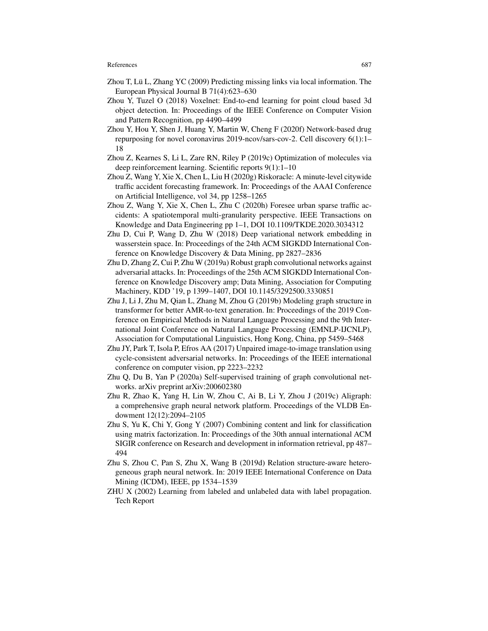- Zhou T, Lü L, Zhang YC (2009) Predicting missing links via local information. The European Physical Journal B 71(4):623–630
- Zhou Y, Tuzel O (2018) Voxelnet: End-to-end learning for point cloud based 3d object detection. In: Proceedings of the IEEE Conference on Computer Vision and Pattern Recognition, pp 4490–4499
- Zhou Y, Hou Y, Shen J, Huang Y, Martin W, Cheng F (2020f) Network-based drug repurposing for novel coronavirus 2019-ncov/sars-cov-2. Cell discovery 6(1):1– 18
- Zhou Z, Kearnes S, Li L, Zare RN, Riley P (2019c) Optimization of molecules via deep reinforcement learning. Scientific reports 9(1):1–10
- Zhou Z, Wang Y, Xie X, Chen L, Liu H (2020g) Riskoracle: A minute-level citywide traffic accident forecasting framework. In: Proceedings of the AAAI Conference on Artificial Intelligence, vol 34, pp 1258–1265
- Zhou Z, Wang Y, Xie X, Chen L, Zhu C (2020h) Foresee urban sparse traffic accidents: A spatiotemporal multi-granularity perspective. IEEE Transactions on Knowledge and Data Engineering pp 1–1, DOI 10.1109/TKDE.2020.3034312
- Zhu D, Cui P, Wang D, Zhu W (2018) Deep variational network embedding in wasserstein space. In: Proceedings of the 24th ACM SIGKDD International Conference on Knowledge Discovery & Data Mining, pp 2827–2836
- Zhu D, Zhang Z, Cui P, Zhu W (2019a) Robust graph convolutional networks against adversarial attacks. In: Proceedings of the 25th ACM SIGKDD International Conference on Knowledge Discovery amp; Data Mining, Association for Computing Machinery, KDD '19, p 1399–1407, DOI 10.1145/3292500.3330851
- Zhu J, Li J, Zhu M, Qian L, Zhang M, Zhou G (2019b) Modeling graph structure in transformer for better AMR-to-text generation. In: Proceedings of the 2019 Conference on Empirical Methods in Natural Language Processing and the 9th International Joint Conference on Natural Language Processing (EMNLP-IJCNLP), Association for Computational Linguistics, Hong Kong, China, pp 5459–5468
- Zhu JY, Park T, Isola P, Efros AA (2017) Unpaired image-to-image translation using cycle-consistent adversarial networks. In: Proceedings of the IEEE international conference on computer vision, pp 2223–2232
- Zhu Q, Du B, Yan P (2020a) Self-supervised training of graph convolutional networks. arXiv preprint arXiv:200602380
- Zhu R, Zhao K, Yang H, Lin W, Zhou C, Ai B, Li Y, Zhou J (2019c) Aligraph: a comprehensive graph neural network platform. Proceedings of the VLDB Endowment 12(12):2094–2105
- Zhu S, Yu K, Chi Y, Gong Y (2007) Combining content and link for classification using matrix factorization. In: Proceedings of the 30th annual international ACM SIGIR conference on Research and development in information retrieval, pp 487– 494
- Zhu S, Zhou C, Pan S, Zhu X, Wang B (2019d) Relation structure-aware heterogeneous graph neural network. In: 2019 IEEE International Conference on Data Mining (ICDM), IEEE, pp 1534–1539
- ZHU X (2002) Learning from labeled and unlabeled data with label propagation. Tech Report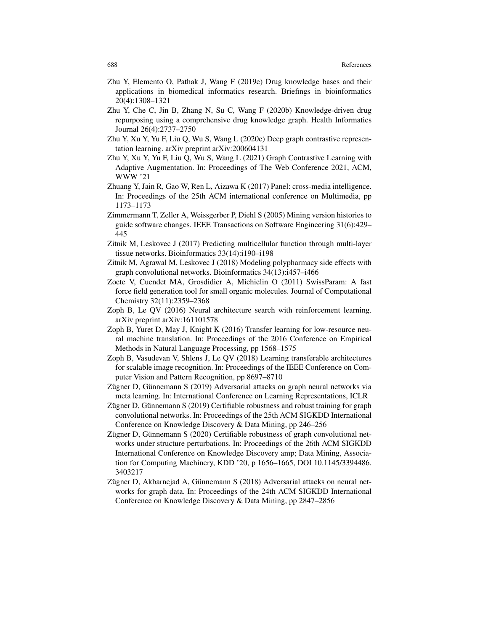- Zhu Y, Elemento O, Pathak J, Wang F (2019e) Drug knowledge bases and their applications in biomedical informatics research. Briefings in bioinformatics 20(4):1308–1321
- Zhu Y, Che C, Jin B, Zhang N, Su C, Wang F (2020b) Knowledge-driven drug repurposing using a comprehensive drug knowledge graph. Health Informatics Journal 26(4):2737–2750
- Zhu Y, Xu Y, Yu F, Liu Q, Wu S, Wang L (2020c) Deep graph contrastive representation learning. arXiv preprint arXiv:200604131
- Zhu Y, Xu Y, Yu F, Liu Q, Wu S, Wang L (2021) Graph Contrastive Learning with Adaptive Augmentation. In: Proceedings of The Web Conference 2021, ACM, WWW '21
- Zhuang Y, Jain R, Gao W, Ren L, Aizawa K (2017) Panel: cross-media intelligence. In: Proceedings of the 25th ACM international conference on Multimedia, pp 1173–1173
- Zimmermann T, Zeller A, Weissgerber P, Diehl S (2005) Mining version histories to guide software changes. IEEE Transactions on Software Engineering 31(6):429– 445
- Zitnik M, Leskovec J (2017) Predicting multicellular function through multi-layer tissue networks. Bioinformatics 33(14):i190–i198
- Zitnik M, Agrawal M, Leskovec J (2018) Modeling polypharmacy side effects with graph convolutional networks. Bioinformatics 34(13):i457–i466
- Zoete V, Cuendet MA, Grosdidier A, Michielin O (2011) SwissParam: A fast force field generation tool for small organic molecules. Journal of Computational Chemistry 32(11):2359–2368
- Zoph B, Le QV (2016) Neural architecture search with reinforcement learning. arXiv preprint arXiv:161101578
- Zoph B, Yuret D, May J, Knight K (2016) Transfer learning for low-resource neural machine translation. In: Proceedings of the 2016 Conference on Empirical Methods in Natural Language Processing, pp 1568–1575
- Zoph B, Vasudevan V, Shlens J, Le QV (2018) Learning transferable architectures for scalable image recognition. In: Proceedings of the IEEE Conference on Computer Vision and Pattern Recognition, pp 8697–8710
- Zügner D, Günnemann S (2019) Adversarial attacks on graph neural networks via meta learning. In: International Conference on Learning Representations, ICLR
- Zügner D, Günnemann S  $(2019)$  Certifiable robustness and robust training for graph convolutional networks. In: Proceedings of the 25th ACM SIGKDD International Conference on Knowledge Discovery & Data Mining, pp 246–256
- Zügner D, Günnemann S (2020) Certifiable robustness of graph convolutional networks under structure perturbations. In: Proceedings of the 26th ACM SIGKDD International Conference on Knowledge Discovery amp; Data Mining, Association for Computing Machinery, KDD '20, p 1656–1665, DOI 10.1145/3394486. 3403217
- Zügner D, Akbarnejad A, Günnemann S (2018) Adversarial attacks on neural networks for graph data. In: Proceedings of the 24th ACM SIGKDD International Conference on Knowledge Discovery & Data Mining, pp 2847–2856